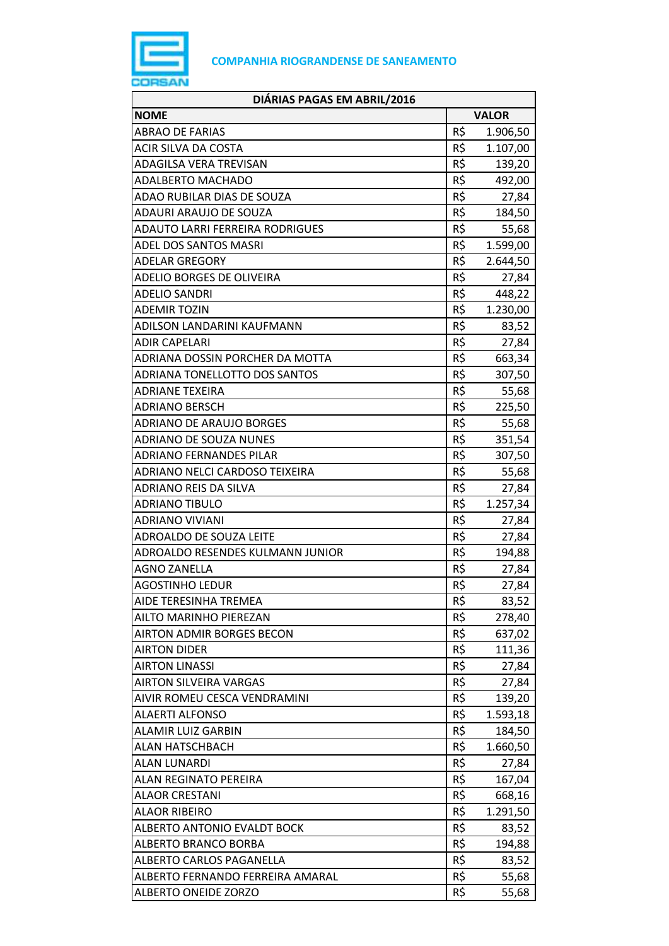

| DIÁRIAS PAGAS EM ABRIL/2016            |              |          |
|----------------------------------------|--------------|----------|
| <b>NOME</b>                            | <b>VALOR</b> |          |
| <b>ABRAO DE FARIAS</b>                 | R\$          | 1.906,50 |
| ACIR SILVA DA COSTA                    | R\$          | 1.107,00 |
| ADAGILSA VERA TREVISAN                 | R\$          | 139,20   |
| ADALBERTO MACHADO                      | R\$          | 492,00   |
| ADAO RUBILAR DIAS DE SOUZA             | R\$          | 27,84    |
| ADAURI ARAUJO DE SOUZA                 | R\$          | 184,50   |
| <b>ADAUTO LARRI FERREIRA RODRIGUES</b> | R\$          | 55,68    |
| ADEL DOS SANTOS MASRI                  | R\$          | 1.599,00 |
| <b>ADELAR GREGORY</b>                  | R\$          | 2.644,50 |
| ADELIO BORGES DE OLIVEIRA              | R\$          | 27,84    |
| <b>ADELIO SANDRI</b>                   | R\$          | 448,22   |
| <b>ADEMIR TOZIN</b>                    | R\$          | 1.230,00 |
| ADILSON LANDARINI KAUFMANN             | R\$          | 83,52    |
| <b>ADIR CAPELARI</b>                   | R\$          | 27,84    |
| ADRIANA DOSSIN PORCHER DA MOTTA        | R\$          | 663,34   |
| ADRIANA TONELLOTTO DOS SANTOS          | R\$          | 307,50   |
| <b>ADRIANE TEXEIRA</b>                 | R\$          | 55,68    |
| ADRIANO BERSCH                         | R\$          | 225,50   |
| <b>ADRIANO DE ARAUJO BORGES</b>        | R\$          | 55,68    |
| <b>ADRIANO DE SOUZA NUNES</b>          | R\$          | 351,54   |
| <b>ADRIANO FERNANDES PILAR</b>         | R\$          | 307,50   |
| ADRIANO NELCI CARDOSO TEIXEIRA         | R\$          | 55,68    |
| ADRIANO REIS DA SILVA                  | R\$          | 27,84    |
| <b>ADRIANO TIBULO</b>                  | R\$          | 1.257,34 |
| <b>ADRIANO VIVIANI</b>                 | R\$          | 27,84    |
| <b>ADROALDO DE SOUZA LEITE</b>         | R\$          | 27,84    |
| ADROALDO RESENDES KULMANN JUNIOR       | R\$          | 194,88   |
| <b>AGNO ZANELLA</b>                    | R\$          | 27,84    |
| <b>AGOSTINHO LEDUR</b>                 | R\$          | 27,84    |
| AIDE TERESINHA TREMEA                  | R\$          | 83,52    |
| <b>AILTO MARINHO PIEREZAN</b>          | R\$          | 278,40   |
| <b>AIRTON ADMIR BORGES BECON</b>       | R\$          | 637,02   |
| <b>AIRTON DIDER</b>                    | R\$          | 111,36   |
| <b>AIRTON LINASSI</b>                  | R\$          | 27,84    |
| <b>AIRTON SILVEIRA VARGAS</b>          | R\$          | 27,84    |
| AIVIR ROMEU CESCA VENDRAMINI           | R\$          | 139,20   |
| <b>ALAERTI ALFONSO</b>                 | R\$          | 1.593,18 |
| ALAMIR LUIZ GARBIN                     | R\$          | 184,50   |
| <b>ALAN HATSCHBACH</b>                 | R\$          | 1.660,50 |
| <b>ALAN LUNARDI</b>                    | R\$          | 27,84    |
| ALAN REGINATO PEREIRA                  | R\$          | 167,04   |
| <b>ALAOR CRESTANI</b>                  | R\$          | 668,16   |
| <b>ALAOR RIBEIRO</b>                   | R\$          | 1.291,50 |
| ALBERTO ANTONIO EVALDT BOCK            | R\$          | 83,52    |
| ALBERTO BRANCO BORBA                   | R\$          | 194,88   |
| ALBERTO CARLOS PAGANELLA               | R\$          | 83,52    |
| ALBERTO FERNANDO FERREIRA AMARAL       | R\$          | 55,68    |
| ALBERTO ONEIDE ZORZO                   | R\$          | 55,68    |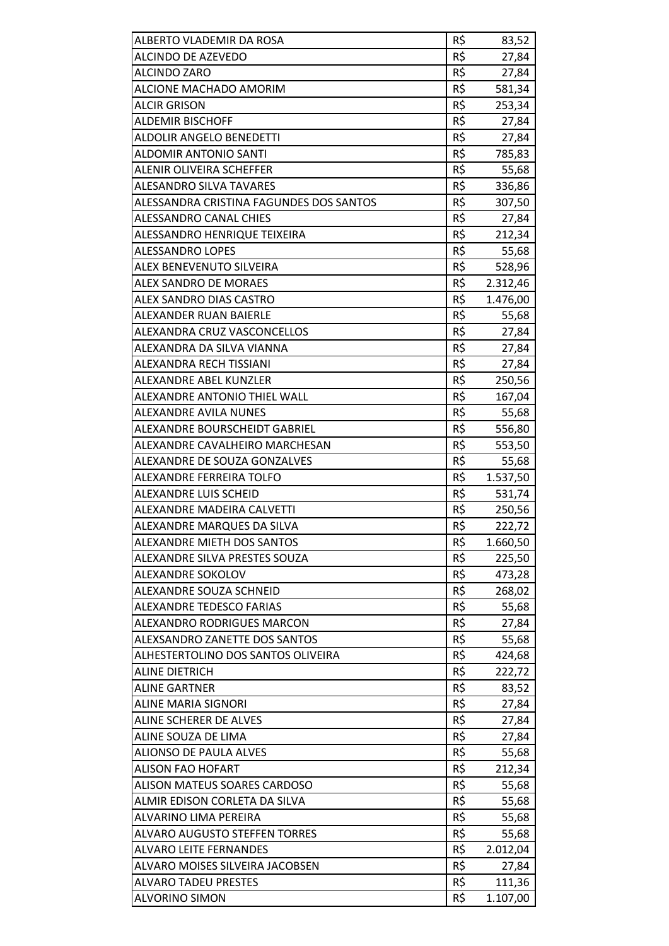| R\$<br>ALCINDO DE AZEVEDO<br>27,84<br>R\$<br><b>ALCINDO ZARO</b><br>27,84<br>R\$<br>ALCIONE MACHADO AMORIM<br>581,34<br>R\$<br><b>ALCIR GRISON</b><br>253,34<br>R\$<br><b>ALDEMIR BISCHOFF</b><br>27,84<br>R\$<br>ALDOLIR ANGELO BENEDETTI<br>27,84<br>R\$<br><b>ALDOMIR ANTONIO SANTI</b><br>785,83<br>R\$<br><b>ALENIR OLIVEIRA SCHEFFER</b><br>55,68<br><b>ALESANDRO SILVA TAVARES</b><br>R\$<br>336,86<br>R\$<br>ALESSANDRA CRISTINA FAGUNDES DOS SANTOS<br>307,50<br>R\$<br>ALESSANDRO CANAL CHIES<br>27,84<br>R\$<br>ALESSANDRO HENRIQUE TEIXEIRA<br>212,34<br>R\$<br><b>ALESSANDRO LOPES</b><br>55,68<br>R\$<br>ALEX BENEVENUTO SILVEIRA<br>528,96<br>R\$<br><b>ALEX SANDRO DE MORAES</b><br>2.312,46<br>R\$<br>1.476,00<br>ALEX SANDRO DIAS CASTRO<br>R\$<br>ALEXANDER RUAN BAIERLE<br>55,68<br>R\$<br>ALEXANDRA CRUZ VASCONCELLOS<br>27,84<br>R\$<br>ALEXANDRA DA SILVA VIANNA<br>27,84<br>R\$<br>ALEXANDRA RECH TISSIANI<br>27,84<br>R\$<br>ALEXANDRE ABEL KUNZLER<br>250,56<br>R\$<br><b>ALEXANDRE ANTONIO THIEL WALL</b><br>167,04<br>R\$<br><b>ALEXANDRE AVILA NUNES</b><br>55,68<br>ALEXANDRE BOURSCHEIDT GABRIEL<br>R\$<br>556,80<br>R\$<br>ALEXANDRE CAVALHEIRO MARCHESAN<br>553,50<br>R\$<br>ALEXANDRE DE SOUZA GONZALVES<br>55,68<br>R\$<br>1.537,50<br>ALEXANDRE FERREIRA TOLFO<br>R\$<br>ALEXANDRE LUIS SCHEID<br>531,74<br>R\$<br>ALEXANDRE MADEIRA CALVETTI<br>250,56<br>R\$<br>ALEXANDRE MARQUES DA SILVA<br>222,72<br>R\$<br>ALEXANDRE MIETH DOS SANTOS<br>1.660,50<br>R\$<br>ALEXANDRE SILVA PRESTES SOUZA<br>225,50<br>R\$<br>ALEXANDRE SOKOLOV<br>473,28<br>R\$<br>ALEXANDRE SOUZA SCHNEID<br>268,02<br>R\$<br><b>ALEXANDRE TEDESCO FARIAS</b><br>55,68<br>R\$<br><b>ALEXANDRO RODRIGUES MARCON</b><br>27,84<br>ALEXSANDRO ZANETTE DOS SANTOS<br>R\$<br>55,68<br>R\$<br>ALHESTERTOLINO DOS SANTOS OLIVEIRA<br>424,68<br>R\$<br><b>ALINE DIETRICH</b><br>222,72<br>R\$<br><b>ALINE GARTNER</b><br>83,52<br>R\$<br>ALINE MARIA SIGNORI<br>27,84<br>R\$<br>ALINE SCHERER DE ALVES<br>27,84<br>R\$<br>ALINE SOUZA DE LIMA<br>27,84<br>R\$<br><b>ALIONSO DE PAULA ALVES</b><br>55,68<br>R\$<br><b>ALISON FAO HOFART</b><br>212,34<br>R\$<br><b>ALISON MATEUS SOARES CARDOSO</b><br>55,68<br>R\$<br>ALMIR EDISON CORLETA DA SILVA<br>55,68<br>R\$<br>ALVARINO LIMA PEREIRA<br>55,68<br>R\$<br><b>ALVARO AUGUSTO STEFFEN TORRES</b><br>55,68<br>R\$<br><b>ALVARO LEITE FERNANDES</b><br>2.012,04<br>R\$<br>ALVARO MOISES SILVEIRA JACOBSEN<br>27,84<br>R\$<br><b>ALVARO TADEU PRESTES</b><br>111,36<br>R\$<br><b>ALVORINO SIMON</b><br>1.107,00 |                          |     |       |
|---------------------------------------------------------------------------------------------------------------------------------------------------------------------------------------------------------------------------------------------------------------------------------------------------------------------------------------------------------------------------------------------------------------------------------------------------------------------------------------------------------------------------------------------------------------------------------------------------------------------------------------------------------------------------------------------------------------------------------------------------------------------------------------------------------------------------------------------------------------------------------------------------------------------------------------------------------------------------------------------------------------------------------------------------------------------------------------------------------------------------------------------------------------------------------------------------------------------------------------------------------------------------------------------------------------------------------------------------------------------------------------------------------------------------------------------------------------------------------------------------------------------------------------------------------------------------------------------------------------------------------------------------------------------------------------------------------------------------------------------------------------------------------------------------------------------------------------------------------------------------------------------------------------------------------------------------------------------------------------------------------------------------------------------------------------------------------------------------------------------------------------------------------------------------------------------------------------------------------------------------------------------------------------------------------------------------------------------------------------------------------------------------------------------------------------------------------------------------------------------------------------------------------------------------------------------|--------------------------|-----|-------|
|                                                                                                                                                                                                                                                                                                                                                                                                                                                                                                                                                                                                                                                                                                                                                                                                                                                                                                                                                                                                                                                                                                                                                                                                                                                                                                                                                                                                                                                                                                                                                                                                                                                                                                                                                                                                                                                                                                                                                                                                                                                                                                                                                                                                                                                                                                                                                                                                                                                                                                                                                                     | ALBERTO VLADEMIR DA ROSA | R\$ | 83,52 |
|                                                                                                                                                                                                                                                                                                                                                                                                                                                                                                                                                                                                                                                                                                                                                                                                                                                                                                                                                                                                                                                                                                                                                                                                                                                                                                                                                                                                                                                                                                                                                                                                                                                                                                                                                                                                                                                                                                                                                                                                                                                                                                                                                                                                                                                                                                                                                                                                                                                                                                                                                                     |                          |     |       |
|                                                                                                                                                                                                                                                                                                                                                                                                                                                                                                                                                                                                                                                                                                                                                                                                                                                                                                                                                                                                                                                                                                                                                                                                                                                                                                                                                                                                                                                                                                                                                                                                                                                                                                                                                                                                                                                                                                                                                                                                                                                                                                                                                                                                                                                                                                                                                                                                                                                                                                                                                                     |                          |     |       |
|                                                                                                                                                                                                                                                                                                                                                                                                                                                                                                                                                                                                                                                                                                                                                                                                                                                                                                                                                                                                                                                                                                                                                                                                                                                                                                                                                                                                                                                                                                                                                                                                                                                                                                                                                                                                                                                                                                                                                                                                                                                                                                                                                                                                                                                                                                                                                                                                                                                                                                                                                                     |                          |     |       |
|                                                                                                                                                                                                                                                                                                                                                                                                                                                                                                                                                                                                                                                                                                                                                                                                                                                                                                                                                                                                                                                                                                                                                                                                                                                                                                                                                                                                                                                                                                                                                                                                                                                                                                                                                                                                                                                                                                                                                                                                                                                                                                                                                                                                                                                                                                                                                                                                                                                                                                                                                                     |                          |     |       |
|                                                                                                                                                                                                                                                                                                                                                                                                                                                                                                                                                                                                                                                                                                                                                                                                                                                                                                                                                                                                                                                                                                                                                                                                                                                                                                                                                                                                                                                                                                                                                                                                                                                                                                                                                                                                                                                                                                                                                                                                                                                                                                                                                                                                                                                                                                                                                                                                                                                                                                                                                                     |                          |     |       |
|                                                                                                                                                                                                                                                                                                                                                                                                                                                                                                                                                                                                                                                                                                                                                                                                                                                                                                                                                                                                                                                                                                                                                                                                                                                                                                                                                                                                                                                                                                                                                                                                                                                                                                                                                                                                                                                                                                                                                                                                                                                                                                                                                                                                                                                                                                                                                                                                                                                                                                                                                                     |                          |     |       |
|                                                                                                                                                                                                                                                                                                                                                                                                                                                                                                                                                                                                                                                                                                                                                                                                                                                                                                                                                                                                                                                                                                                                                                                                                                                                                                                                                                                                                                                                                                                                                                                                                                                                                                                                                                                                                                                                                                                                                                                                                                                                                                                                                                                                                                                                                                                                                                                                                                                                                                                                                                     |                          |     |       |
|                                                                                                                                                                                                                                                                                                                                                                                                                                                                                                                                                                                                                                                                                                                                                                                                                                                                                                                                                                                                                                                                                                                                                                                                                                                                                                                                                                                                                                                                                                                                                                                                                                                                                                                                                                                                                                                                                                                                                                                                                                                                                                                                                                                                                                                                                                                                                                                                                                                                                                                                                                     |                          |     |       |
|                                                                                                                                                                                                                                                                                                                                                                                                                                                                                                                                                                                                                                                                                                                                                                                                                                                                                                                                                                                                                                                                                                                                                                                                                                                                                                                                                                                                                                                                                                                                                                                                                                                                                                                                                                                                                                                                                                                                                                                                                                                                                                                                                                                                                                                                                                                                                                                                                                                                                                                                                                     |                          |     |       |
|                                                                                                                                                                                                                                                                                                                                                                                                                                                                                                                                                                                                                                                                                                                                                                                                                                                                                                                                                                                                                                                                                                                                                                                                                                                                                                                                                                                                                                                                                                                                                                                                                                                                                                                                                                                                                                                                                                                                                                                                                                                                                                                                                                                                                                                                                                                                                                                                                                                                                                                                                                     |                          |     |       |
|                                                                                                                                                                                                                                                                                                                                                                                                                                                                                                                                                                                                                                                                                                                                                                                                                                                                                                                                                                                                                                                                                                                                                                                                                                                                                                                                                                                                                                                                                                                                                                                                                                                                                                                                                                                                                                                                                                                                                                                                                                                                                                                                                                                                                                                                                                                                                                                                                                                                                                                                                                     |                          |     |       |
|                                                                                                                                                                                                                                                                                                                                                                                                                                                                                                                                                                                                                                                                                                                                                                                                                                                                                                                                                                                                                                                                                                                                                                                                                                                                                                                                                                                                                                                                                                                                                                                                                                                                                                                                                                                                                                                                                                                                                                                                                                                                                                                                                                                                                                                                                                                                                                                                                                                                                                                                                                     |                          |     |       |
|                                                                                                                                                                                                                                                                                                                                                                                                                                                                                                                                                                                                                                                                                                                                                                                                                                                                                                                                                                                                                                                                                                                                                                                                                                                                                                                                                                                                                                                                                                                                                                                                                                                                                                                                                                                                                                                                                                                                                                                                                                                                                                                                                                                                                                                                                                                                                                                                                                                                                                                                                                     |                          |     |       |
|                                                                                                                                                                                                                                                                                                                                                                                                                                                                                                                                                                                                                                                                                                                                                                                                                                                                                                                                                                                                                                                                                                                                                                                                                                                                                                                                                                                                                                                                                                                                                                                                                                                                                                                                                                                                                                                                                                                                                                                                                                                                                                                                                                                                                                                                                                                                                                                                                                                                                                                                                                     |                          |     |       |
|                                                                                                                                                                                                                                                                                                                                                                                                                                                                                                                                                                                                                                                                                                                                                                                                                                                                                                                                                                                                                                                                                                                                                                                                                                                                                                                                                                                                                                                                                                                                                                                                                                                                                                                                                                                                                                                                                                                                                                                                                                                                                                                                                                                                                                                                                                                                                                                                                                                                                                                                                                     |                          |     |       |
|                                                                                                                                                                                                                                                                                                                                                                                                                                                                                                                                                                                                                                                                                                                                                                                                                                                                                                                                                                                                                                                                                                                                                                                                                                                                                                                                                                                                                                                                                                                                                                                                                                                                                                                                                                                                                                                                                                                                                                                                                                                                                                                                                                                                                                                                                                                                                                                                                                                                                                                                                                     |                          |     |       |
|                                                                                                                                                                                                                                                                                                                                                                                                                                                                                                                                                                                                                                                                                                                                                                                                                                                                                                                                                                                                                                                                                                                                                                                                                                                                                                                                                                                                                                                                                                                                                                                                                                                                                                                                                                                                                                                                                                                                                                                                                                                                                                                                                                                                                                                                                                                                                                                                                                                                                                                                                                     |                          |     |       |
|                                                                                                                                                                                                                                                                                                                                                                                                                                                                                                                                                                                                                                                                                                                                                                                                                                                                                                                                                                                                                                                                                                                                                                                                                                                                                                                                                                                                                                                                                                                                                                                                                                                                                                                                                                                                                                                                                                                                                                                                                                                                                                                                                                                                                                                                                                                                                                                                                                                                                                                                                                     |                          |     |       |
|                                                                                                                                                                                                                                                                                                                                                                                                                                                                                                                                                                                                                                                                                                                                                                                                                                                                                                                                                                                                                                                                                                                                                                                                                                                                                                                                                                                                                                                                                                                                                                                                                                                                                                                                                                                                                                                                                                                                                                                                                                                                                                                                                                                                                                                                                                                                                                                                                                                                                                                                                                     |                          |     |       |
|                                                                                                                                                                                                                                                                                                                                                                                                                                                                                                                                                                                                                                                                                                                                                                                                                                                                                                                                                                                                                                                                                                                                                                                                                                                                                                                                                                                                                                                                                                                                                                                                                                                                                                                                                                                                                                                                                                                                                                                                                                                                                                                                                                                                                                                                                                                                                                                                                                                                                                                                                                     |                          |     |       |
|                                                                                                                                                                                                                                                                                                                                                                                                                                                                                                                                                                                                                                                                                                                                                                                                                                                                                                                                                                                                                                                                                                                                                                                                                                                                                                                                                                                                                                                                                                                                                                                                                                                                                                                                                                                                                                                                                                                                                                                                                                                                                                                                                                                                                                                                                                                                                                                                                                                                                                                                                                     |                          |     |       |
|                                                                                                                                                                                                                                                                                                                                                                                                                                                                                                                                                                                                                                                                                                                                                                                                                                                                                                                                                                                                                                                                                                                                                                                                                                                                                                                                                                                                                                                                                                                                                                                                                                                                                                                                                                                                                                                                                                                                                                                                                                                                                                                                                                                                                                                                                                                                                                                                                                                                                                                                                                     |                          |     |       |
|                                                                                                                                                                                                                                                                                                                                                                                                                                                                                                                                                                                                                                                                                                                                                                                                                                                                                                                                                                                                                                                                                                                                                                                                                                                                                                                                                                                                                                                                                                                                                                                                                                                                                                                                                                                                                                                                                                                                                                                                                                                                                                                                                                                                                                                                                                                                                                                                                                                                                                                                                                     |                          |     |       |
|                                                                                                                                                                                                                                                                                                                                                                                                                                                                                                                                                                                                                                                                                                                                                                                                                                                                                                                                                                                                                                                                                                                                                                                                                                                                                                                                                                                                                                                                                                                                                                                                                                                                                                                                                                                                                                                                                                                                                                                                                                                                                                                                                                                                                                                                                                                                                                                                                                                                                                                                                                     |                          |     |       |
|                                                                                                                                                                                                                                                                                                                                                                                                                                                                                                                                                                                                                                                                                                                                                                                                                                                                                                                                                                                                                                                                                                                                                                                                                                                                                                                                                                                                                                                                                                                                                                                                                                                                                                                                                                                                                                                                                                                                                                                                                                                                                                                                                                                                                                                                                                                                                                                                                                                                                                                                                                     |                          |     |       |
|                                                                                                                                                                                                                                                                                                                                                                                                                                                                                                                                                                                                                                                                                                                                                                                                                                                                                                                                                                                                                                                                                                                                                                                                                                                                                                                                                                                                                                                                                                                                                                                                                                                                                                                                                                                                                                                                                                                                                                                                                                                                                                                                                                                                                                                                                                                                                                                                                                                                                                                                                                     |                          |     |       |
|                                                                                                                                                                                                                                                                                                                                                                                                                                                                                                                                                                                                                                                                                                                                                                                                                                                                                                                                                                                                                                                                                                                                                                                                                                                                                                                                                                                                                                                                                                                                                                                                                                                                                                                                                                                                                                                                                                                                                                                                                                                                                                                                                                                                                                                                                                                                                                                                                                                                                                                                                                     |                          |     |       |
|                                                                                                                                                                                                                                                                                                                                                                                                                                                                                                                                                                                                                                                                                                                                                                                                                                                                                                                                                                                                                                                                                                                                                                                                                                                                                                                                                                                                                                                                                                                                                                                                                                                                                                                                                                                                                                                                                                                                                                                                                                                                                                                                                                                                                                                                                                                                                                                                                                                                                                                                                                     |                          |     |       |
|                                                                                                                                                                                                                                                                                                                                                                                                                                                                                                                                                                                                                                                                                                                                                                                                                                                                                                                                                                                                                                                                                                                                                                                                                                                                                                                                                                                                                                                                                                                                                                                                                                                                                                                                                                                                                                                                                                                                                                                                                                                                                                                                                                                                                                                                                                                                                                                                                                                                                                                                                                     |                          |     |       |
|                                                                                                                                                                                                                                                                                                                                                                                                                                                                                                                                                                                                                                                                                                                                                                                                                                                                                                                                                                                                                                                                                                                                                                                                                                                                                                                                                                                                                                                                                                                                                                                                                                                                                                                                                                                                                                                                                                                                                                                                                                                                                                                                                                                                                                                                                                                                                                                                                                                                                                                                                                     |                          |     |       |
|                                                                                                                                                                                                                                                                                                                                                                                                                                                                                                                                                                                                                                                                                                                                                                                                                                                                                                                                                                                                                                                                                                                                                                                                                                                                                                                                                                                                                                                                                                                                                                                                                                                                                                                                                                                                                                                                                                                                                                                                                                                                                                                                                                                                                                                                                                                                                                                                                                                                                                                                                                     |                          |     |       |
|                                                                                                                                                                                                                                                                                                                                                                                                                                                                                                                                                                                                                                                                                                                                                                                                                                                                                                                                                                                                                                                                                                                                                                                                                                                                                                                                                                                                                                                                                                                                                                                                                                                                                                                                                                                                                                                                                                                                                                                                                                                                                                                                                                                                                                                                                                                                                                                                                                                                                                                                                                     |                          |     |       |
|                                                                                                                                                                                                                                                                                                                                                                                                                                                                                                                                                                                                                                                                                                                                                                                                                                                                                                                                                                                                                                                                                                                                                                                                                                                                                                                                                                                                                                                                                                                                                                                                                                                                                                                                                                                                                                                                                                                                                                                                                                                                                                                                                                                                                                                                                                                                                                                                                                                                                                                                                                     |                          |     |       |
|                                                                                                                                                                                                                                                                                                                                                                                                                                                                                                                                                                                                                                                                                                                                                                                                                                                                                                                                                                                                                                                                                                                                                                                                                                                                                                                                                                                                                                                                                                                                                                                                                                                                                                                                                                                                                                                                                                                                                                                                                                                                                                                                                                                                                                                                                                                                                                                                                                                                                                                                                                     |                          |     |       |
|                                                                                                                                                                                                                                                                                                                                                                                                                                                                                                                                                                                                                                                                                                                                                                                                                                                                                                                                                                                                                                                                                                                                                                                                                                                                                                                                                                                                                                                                                                                                                                                                                                                                                                                                                                                                                                                                                                                                                                                                                                                                                                                                                                                                                                                                                                                                                                                                                                                                                                                                                                     |                          |     |       |
|                                                                                                                                                                                                                                                                                                                                                                                                                                                                                                                                                                                                                                                                                                                                                                                                                                                                                                                                                                                                                                                                                                                                                                                                                                                                                                                                                                                                                                                                                                                                                                                                                                                                                                                                                                                                                                                                                                                                                                                                                                                                                                                                                                                                                                                                                                                                                                                                                                                                                                                                                                     |                          |     |       |
|                                                                                                                                                                                                                                                                                                                                                                                                                                                                                                                                                                                                                                                                                                                                                                                                                                                                                                                                                                                                                                                                                                                                                                                                                                                                                                                                                                                                                                                                                                                                                                                                                                                                                                                                                                                                                                                                                                                                                                                                                                                                                                                                                                                                                                                                                                                                                                                                                                                                                                                                                                     |                          |     |       |
|                                                                                                                                                                                                                                                                                                                                                                                                                                                                                                                                                                                                                                                                                                                                                                                                                                                                                                                                                                                                                                                                                                                                                                                                                                                                                                                                                                                                                                                                                                                                                                                                                                                                                                                                                                                                                                                                                                                                                                                                                                                                                                                                                                                                                                                                                                                                                                                                                                                                                                                                                                     |                          |     |       |
|                                                                                                                                                                                                                                                                                                                                                                                                                                                                                                                                                                                                                                                                                                                                                                                                                                                                                                                                                                                                                                                                                                                                                                                                                                                                                                                                                                                                                                                                                                                                                                                                                                                                                                                                                                                                                                                                                                                                                                                                                                                                                                                                                                                                                                                                                                                                                                                                                                                                                                                                                                     |                          |     |       |
|                                                                                                                                                                                                                                                                                                                                                                                                                                                                                                                                                                                                                                                                                                                                                                                                                                                                                                                                                                                                                                                                                                                                                                                                                                                                                                                                                                                                                                                                                                                                                                                                                                                                                                                                                                                                                                                                                                                                                                                                                                                                                                                                                                                                                                                                                                                                                                                                                                                                                                                                                                     |                          |     |       |
|                                                                                                                                                                                                                                                                                                                                                                                                                                                                                                                                                                                                                                                                                                                                                                                                                                                                                                                                                                                                                                                                                                                                                                                                                                                                                                                                                                                                                                                                                                                                                                                                                                                                                                                                                                                                                                                                                                                                                                                                                                                                                                                                                                                                                                                                                                                                                                                                                                                                                                                                                                     |                          |     |       |
|                                                                                                                                                                                                                                                                                                                                                                                                                                                                                                                                                                                                                                                                                                                                                                                                                                                                                                                                                                                                                                                                                                                                                                                                                                                                                                                                                                                                                                                                                                                                                                                                                                                                                                                                                                                                                                                                                                                                                                                                                                                                                                                                                                                                                                                                                                                                                                                                                                                                                                                                                                     |                          |     |       |
|                                                                                                                                                                                                                                                                                                                                                                                                                                                                                                                                                                                                                                                                                                                                                                                                                                                                                                                                                                                                                                                                                                                                                                                                                                                                                                                                                                                                                                                                                                                                                                                                                                                                                                                                                                                                                                                                                                                                                                                                                                                                                                                                                                                                                                                                                                                                                                                                                                                                                                                                                                     |                          |     |       |
|                                                                                                                                                                                                                                                                                                                                                                                                                                                                                                                                                                                                                                                                                                                                                                                                                                                                                                                                                                                                                                                                                                                                                                                                                                                                                                                                                                                                                                                                                                                                                                                                                                                                                                                                                                                                                                                                                                                                                                                                                                                                                                                                                                                                                                                                                                                                                                                                                                                                                                                                                                     |                          |     |       |
|                                                                                                                                                                                                                                                                                                                                                                                                                                                                                                                                                                                                                                                                                                                                                                                                                                                                                                                                                                                                                                                                                                                                                                                                                                                                                                                                                                                                                                                                                                                                                                                                                                                                                                                                                                                                                                                                                                                                                                                                                                                                                                                                                                                                                                                                                                                                                                                                                                                                                                                                                                     |                          |     |       |
|                                                                                                                                                                                                                                                                                                                                                                                                                                                                                                                                                                                                                                                                                                                                                                                                                                                                                                                                                                                                                                                                                                                                                                                                                                                                                                                                                                                                                                                                                                                                                                                                                                                                                                                                                                                                                                                                                                                                                                                                                                                                                                                                                                                                                                                                                                                                                                                                                                                                                                                                                                     |                          |     |       |
|                                                                                                                                                                                                                                                                                                                                                                                                                                                                                                                                                                                                                                                                                                                                                                                                                                                                                                                                                                                                                                                                                                                                                                                                                                                                                                                                                                                                                                                                                                                                                                                                                                                                                                                                                                                                                                                                                                                                                                                                                                                                                                                                                                                                                                                                                                                                                                                                                                                                                                                                                                     |                          |     |       |
|                                                                                                                                                                                                                                                                                                                                                                                                                                                                                                                                                                                                                                                                                                                                                                                                                                                                                                                                                                                                                                                                                                                                                                                                                                                                                                                                                                                                                                                                                                                                                                                                                                                                                                                                                                                                                                                                                                                                                                                                                                                                                                                                                                                                                                                                                                                                                                                                                                                                                                                                                                     |                          |     |       |
|                                                                                                                                                                                                                                                                                                                                                                                                                                                                                                                                                                                                                                                                                                                                                                                                                                                                                                                                                                                                                                                                                                                                                                                                                                                                                                                                                                                                                                                                                                                                                                                                                                                                                                                                                                                                                                                                                                                                                                                                                                                                                                                                                                                                                                                                                                                                                                                                                                                                                                                                                                     |                          |     |       |
|                                                                                                                                                                                                                                                                                                                                                                                                                                                                                                                                                                                                                                                                                                                                                                                                                                                                                                                                                                                                                                                                                                                                                                                                                                                                                                                                                                                                                                                                                                                                                                                                                                                                                                                                                                                                                                                                                                                                                                                                                                                                                                                                                                                                                                                                                                                                                                                                                                                                                                                                                                     |                          |     |       |
|                                                                                                                                                                                                                                                                                                                                                                                                                                                                                                                                                                                                                                                                                                                                                                                                                                                                                                                                                                                                                                                                                                                                                                                                                                                                                                                                                                                                                                                                                                                                                                                                                                                                                                                                                                                                                                                                                                                                                                                                                                                                                                                                                                                                                                                                                                                                                                                                                                                                                                                                                                     |                          |     |       |
|                                                                                                                                                                                                                                                                                                                                                                                                                                                                                                                                                                                                                                                                                                                                                                                                                                                                                                                                                                                                                                                                                                                                                                                                                                                                                                                                                                                                                                                                                                                                                                                                                                                                                                                                                                                                                                                                                                                                                                                                                                                                                                                                                                                                                                                                                                                                                                                                                                                                                                                                                                     |                          |     |       |
|                                                                                                                                                                                                                                                                                                                                                                                                                                                                                                                                                                                                                                                                                                                                                                                                                                                                                                                                                                                                                                                                                                                                                                                                                                                                                                                                                                                                                                                                                                                                                                                                                                                                                                                                                                                                                                                                                                                                                                                                                                                                                                                                                                                                                                                                                                                                                                                                                                                                                                                                                                     |                          |     |       |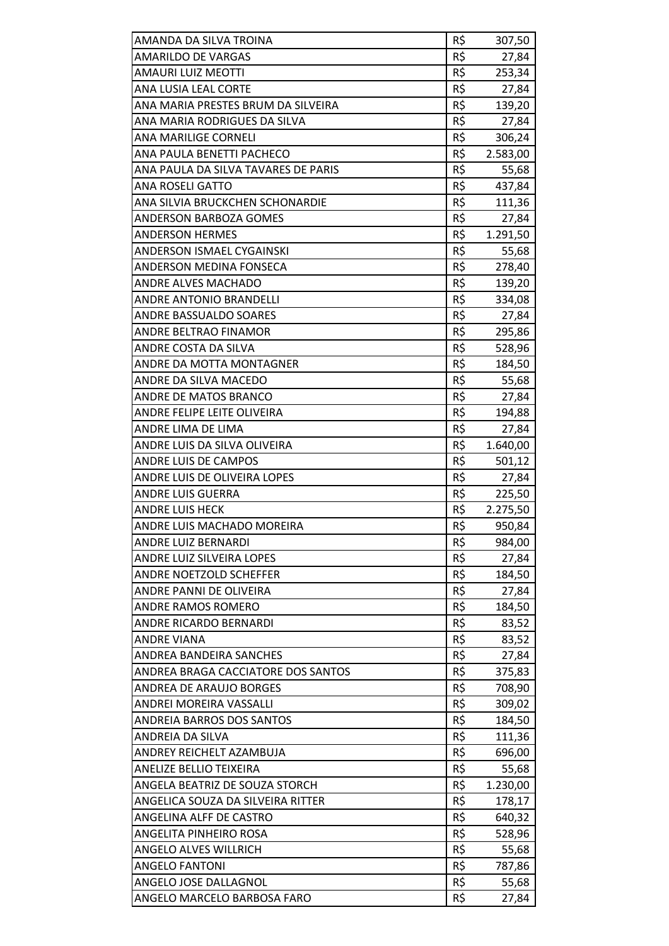| AMANDA DA SILVA TROINA              | R\$ | 307,50   |
|-------------------------------------|-----|----------|
| <b>AMARILDO DE VARGAS</b>           | R\$ | 27,84    |
| AMAURI LUIZ MEOTTI                  | R\$ | 253,34   |
| <b>ANA LUSIA LEAL CORTE</b>         | R\$ | 27,84    |
| ANA MARIA PRESTES BRUM DA SILVEIRA  | R\$ | 139,20   |
| ANA MARIA RODRIGUES DA SILVA        | R\$ | 27,84    |
| <b>ANA MARILIGE CORNELI</b>         | R\$ | 306,24   |
| ANA PAULA BENETTI PACHECO           | R\$ | 2.583,00 |
| ANA PAULA DA SILVA TAVARES DE PARIS | R\$ | 55,68    |
| <b>ANA ROSELI GATTO</b>             | R\$ | 437,84   |
| ANA SILVIA BRUCKCHEN SCHONARDIE     | R\$ | 111,36   |
| ANDERSON BARBOZA GOMES              | R\$ | 27,84    |
| <b>ANDERSON HERMES</b>              | R\$ | 1.291,50 |
| <b>ANDERSON ISMAEL CYGAINSKI</b>    | R\$ | 55,68    |
| <b>ANDERSON MEDINA FONSECA</b>      | R\$ | 278,40   |
| ANDRE ALVES MACHADO                 | R\$ | 139,20   |
| ANDRE ANTONIO BRANDELLI             | R\$ | 334,08   |
| <b>ANDRE BASSUALDO SOARES</b>       | R\$ | 27,84    |
| ANDRE BELTRAO FINAMOR               | R\$ | 295,86   |
| ANDRE COSTA DA SILVA                | R\$ | 528,96   |
| ANDRE DA MOTTA MONTAGNER            | R\$ | 184,50   |
| ANDRE DA SILVA MACEDO               | R\$ | 55,68    |
| ANDRE DE MATOS BRANCO               | R\$ | 27,84    |
| ANDRE FELIPE LEITE OLIVEIRA         | R\$ | 194,88   |
| ANDRE LIMA DE LIMA                  | R\$ | 27,84    |
| ANDRE LUIS DA SILVA OLIVEIRA        | R\$ | 1.640,00 |
| ANDRE LUIS DE CAMPOS                | R\$ | 501,12   |
| ANDRE LUIS DE OLIVEIRA LOPES        | R\$ | 27,84    |
| <b>ANDRE LUIS GUERRA</b>            | R\$ | 225,50   |
| <b>ANDRE LUIS HECK</b>              | R\$ | 2.275,50 |
| ANDRE LUIS MACHADO MOREIRA          | R\$ | 950,84   |
| <b>ANDRE LUIZ BERNARDI</b>          | R\$ | 984,00   |
| ANDRE LUIZ SILVEIRA LOPES           | R\$ | 27,84    |
| ANDRE NOETZOLD SCHEFFER             | R\$ | 184,50   |
| ANDRE PANNI DE OLIVEIRA             | R\$ | 27,84    |
| ANDRE RAMOS ROMERO                  | R\$ | 184,50   |
| ANDRE RICARDO BERNARDI              | R\$ | 83,52    |
| ANDRE VIANA                         | R\$ | 83,52    |
| ANDREA BANDEIRA SANCHES             | R\$ | 27,84    |
| ANDREA BRAGA CACCIATORE DOS SANTOS  | R\$ | 375,83   |
| ANDREA DE ARAUJO BORGES             | R\$ | 708,90   |
| ANDREI MOREIRA VASSALLI             | R\$ | 309,02   |
| <b>ANDREIA BARROS DOS SANTOS</b>    | R\$ | 184,50   |
| ANDREIA DA SILVA                    | R\$ | 111,36   |
| ANDREY REICHELT AZAMBUJA            | R\$ | 696,00   |
| ANELIZE BELLIO TEIXEIRA             | R\$ | 55,68    |
| ANGELA BEATRIZ DE SOUZA STORCH      | R\$ | 1.230,00 |
| ANGELICA SOUZA DA SILVEIRA RITTER   | R\$ | 178,17   |
| ANGELINA ALFF DE CASTRO             | R\$ | 640,32   |
| ANGELITA PINHEIRO ROSA              | R\$ | 528,96   |
| <b>ANGELO ALVES WILLRICH</b>        | R\$ | 55,68    |
| <b>ANGELO FANTONI</b>               | R\$ | 787,86   |
| ANGELO JOSE DALLAGNOL               | R\$ | 55,68    |
| ANGELO MARCELO BARBOSA FARO         | R\$ | 27,84    |
|                                     |     |          |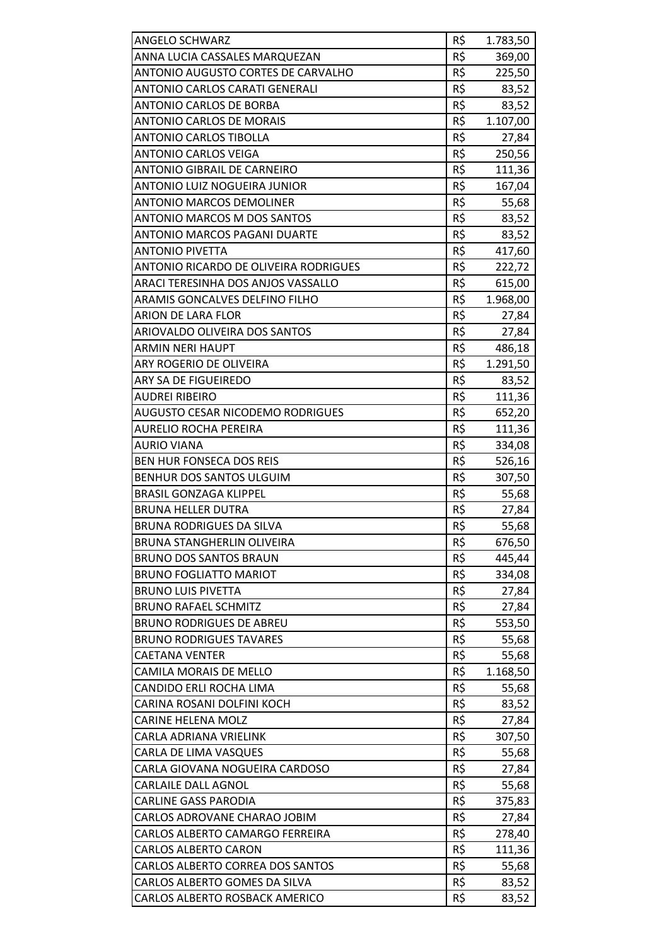| <b>ANGELO SCHWARZ</b>                        | R\$ | 1.783,50 |
|----------------------------------------------|-----|----------|
| ANNA LUCIA CASSALES MARQUEZAN                | R\$ | 369,00   |
| ANTONIO AUGUSTO CORTES DE CARVALHO           | R\$ | 225,50   |
| <b>ANTONIO CARLOS CARATI GENERALI</b>        | R\$ | 83,52    |
| ANTONIO CARLOS DE BORBA                      | R\$ | 83,52    |
| <b>ANTONIO CARLOS DE MORAIS</b>              | R\$ | 1.107,00 |
| <b>ANTONIO CARLOS TIBOLLA</b>                | R\$ | 27,84    |
| <b>ANTONIO CARLOS VEIGA</b>                  | R\$ | 250,56   |
| <b>ANTONIO GIBRAIL DE CARNEIRO</b>           | R\$ | 111,36   |
| ANTONIO LUIZ NOGUEIRA JUNIOR                 | R\$ | 167,04   |
| <b>ANTONIO MARCOS DEMOLINER</b>              | R\$ | 55,68    |
| <b>ANTONIO MARCOS M DOS SANTOS</b>           | R\$ | 83,52    |
| ANTONIO MARCOS PAGANI DUARTE                 | R\$ | 83,52    |
| <b>ANTONIO PIVETTA</b>                       | R\$ | 417,60   |
| <b>ANTONIO RICARDO DE OLIVEIRA RODRIGUES</b> | R\$ | 222,72   |
| ARACI TERESINHA DOS ANJOS VASSALLO           | R\$ | 615,00   |
| ARAMIS GONCALVES DELFINO FILHO               | R\$ | 1.968,00 |
| ARION DE LARA FLOR                           | R\$ | 27,84    |
| <b>ARIOVALDO OLIVEIRA DOS SANTOS</b>         | R\$ | 27,84    |
| <b>ARMIN NERI HAUPT</b>                      | R\$ | 486,18   |
| ARY ROGERIO DE OLIVEIRA                      | R\$ | 1.291,50 |
| ARY SA DE FIGUEIREDO                         | R\$ | 83,52    |
| <b>AUDREI RIBEIRO</b>                        | R\$ | 111,36   |
| AUGUSTO CESAR NICODEMO RODRIGUES             | R\$ | 652,20   |
| <b>AURELIO ROCHA PEREIRA</b>                 | R\$ | 111,36   |
| <b>AURIO VIANA</b>                           | R\$ | 334,08   |
| <b>BEN HUR FONSECA DOS REIS</b>              | R\$ | 526,16   |
| BENHUR DOS SANTOS ULGUIM                     | R\$ | 307,50   |
| <b>BRASIL GONZAGA KLIPPEL</b>                | R\$ | 55,68    |
| <b>BRUNA HELLER DUTRA</b>                    | R\$ | 27,84    |
| <b>BRUNA RODRIGUES DA SILVA</b>              | R\$ | 55,68    |
| <b>BRUNA STANGHERLIN OLIVEIRA</b>            | R\$ | 676,50   |
| <b>BRUNO DOS SANTOS BRAUN</b>                | R\$ | 445,44   |
| <b>BRUNO FOGLIATTO MARIOT</b>                | R\$ | 334,08   |
| <b>BRUNO LUIS PIVETTA</b>                    | R\$ | 27,84    |
| <b>BRUNO RAFAEL SCHMITZ</b>                  | R\$ | 27,84    |
| <b>BRUNO RODRIGUES DE ABREU</b>              | R\$ | 553,50   |
| <b>BRUNO RODRIGUES TAVARES</b>               | R\$ | 55,68    |
| <b>CAETANA VENTER</b>                        | R\$ | 55,68    |
| CAMILA MORAIS DE MELLO                       | R\$ | 1.168,50 |
| CANDIDO ERLI ROCHA LIMA                      | R\$ | 55,68    |
| CARINA ROSANI DOLFINI KOCH                   | R\$ | 83,52    |
| <b>CARINE HELENA MOLZ</b>                    | R\$ | 27,84    |
| CARLA ADRIANA VRIELINK                       | R\$ | 307,50   |
| CARLA DE LIMA VASQUES                        | R\$ | 55,68    |
| CARLA GIOVANA NOGUEIRA CARDOSO               | R\$ | 27,84    |
| <b>CARLAILE DALL AGNOL</b>                   | R\$ | 55,68    |
| <b>CARLINE GASS PARODIA</b>                  | R\$ | 375,83   |
| CARLOS ADROVANE CHARAO JOBIM                 | R\$ | 27,84    |
| CARLOS ALBERTO CAMARGO FERREIRA              | R\$ | 278,40   |
| <b>CARLOS ALBERTO CARON</b>                  | R\$ | 111,36   |
| CARLOS ALBERTO CORREA DOS SANTOS             | R\$ | 55,68    |
| CARLOS ALBERTO GOMES DA SILVA                | R\$ | 83,52    |
| <b>CARLOS ALBERTO ROSBACK AMERICO</b>        | R\$ | 83,52    |
|                                              |     |          |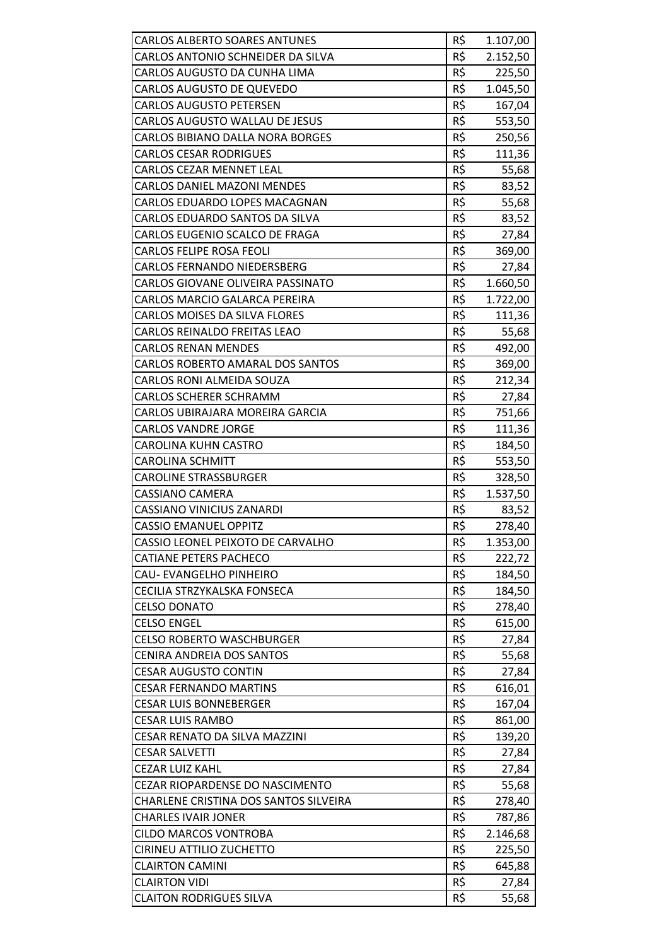| <b>CARLOS ALBERTO SOARES ANTUNES</b>   | R\$ | 1.107,00 |
|----------------------------------------|-----|----------|
| CARLOS ANTONIO SCHNEIDER DA SILVA      | R\$ | 2.152,50 |
| CARLOS AUGUSTO DA CUNHA LIMA           | R\$ | 225,50   |
| <b>CARLOS AUGUSTO DE QUEVEDO</b>       | R\$ | 1.045,50 |
| <b>CARLOS AUGUSTO PETERSEN</b>         | R\$ | 167,04   |
| CARLOS AUGUSTO WALLAU DE JESUS         | R\$ | 553,50   |
| CARLOS BIBIANO DALLA NORA BORGES       | R\$ | 250,56   |
| <b>CARLOS CESAR RODRIGUES</b>          | R\$ | 111,36   |
| <b>CARLOS CEZAR MENNET LEAL</b>        | R\$ | 55,68    |
| <b>CARLOS DANIEL MAZONI MENDES</b>     | R\$ | 83,52    |
| CARLOS EDUARDO LOPES MACAGNAN          | R\$ | 55,68    |
| CARLOS EDUARDO SANTOS DA SILVA         | R\$ | 83,52    |
| CARLOS EUGENIO SCALCO DE FRAGA         | R\$ | 27,84    |
| <b>CARLOS FELIPE ROSA FEOLI</b>        | R\$ | 369,00   |
| <b>CARLOS FERNANDO NIEDERSBERG</b>     | R\$ | 27,84    |
| CARLOS GIOVANE OLIVEIRA PASSINATO      | R\$ | 1.660,50 |
| CARLOS MARCIO GALARCA PEREIRA          | R\$ | 1.722,00 |
| <b>CARLOS MOISES DA SILVA FLORES</b>   | R\$ | 111,36   |
| CARLOS REINALDO FREITAS LEAO           | R\$ | 55,68    |
| <b>CARLOS RENAN MENDES</b>             | R\$ | 492,00   |
| CARLOS ROBERTO AMARAL DOS SANTOS       | R\$ | 369,00   |
| CARLOS RONI ALMEIDA SOUZA              | R\$ | 212,34   |
| <b>CARLOS SCHERER SCHRAMM</b>          | R\$ | 27,84    |
| CARLOS UBIRAJARA MOREIRA GARCIA        | R\$ | 751,66   |
| <b>CARLOS VANDRE JORGE</b>             | R\$ | 111,36   |
| CAROLINA KUHN CASTRO                   | R\$ | 184,50   |
| <b>CAROLINA SCHMITT</b>                | R\$ | 553,50   |
| <b>CAROLINE STRASSBURGER</b>           | R\$ | 328,50   |
| <b>CASSIANO CAMERA</b>                 | R\$ | 1.537,50 |
| <b>CASSIANO VINICIUS ZANARDI</b>       | R\$ | 83,52    |
| <b>CASSIO EMANUEL OPPITZ</b>           | R\$ | 278,40   |
| CASSIO LEONEL PEIXOTO DE CARVALHO      | R\$ | 1.353,00 |
| <b>CATIANE PETERS PACHECO</b>          | R\$ | 222,72   |
| CAU-EVANGELHO PINHEIRO                 | R\$ | 184,50   |
| CECILIA STRZYKALSKA FONSECA            | R\$ | 184,50   |
| <b>CELSO DONATO</b>                    | R\$ | 278,40   |
| <b>CELSO ENGEL</b>                     | R\$ | 615,00   |
| <b>CELSO ROBERTO WASCHBURGER</b>       | R\$ | 27,84    |
| <b>CENIRA ANDREIA DOS SANTOS</b>       | R\$ | 55,68    |
| <b>CESAR AUGUSTO CONTIN</b>            | R\$ | 27,84    |
| <b>CESAR FERNANDO MARTINS</b>          | R\$ | 616,01   |
| <b>CESAR LUIS BONNEBERGER</b>          | R\$ | 167,04   |
| <b>CESAR LUIS RAMBO</b>                | R\$ | 861,00   |
| CESAR RENATO DA SILVA MAZZINI          | R\$ | 139,20   |
| <b>CESAR SALVETTI</b>                  | R\$ | 27,84    |
| <b>CEZAR LUIZ KAHL</b>                 | R\$ | 27,84    |
| <b>CEZAR RIOPARDENSE DO NASCIMENTO</b> | R\$ | 55,68    |
| CHARLENE CRISTINA DOS SANTOS SILVEIRA  | R\$ | 278,40   |
| <b>CHARLES IVAIR JONER</b>             | R\$ | 787,86   |
| <b>CILDO MARCOS VONTROBA</b>           | R\$ | 2.146,68 |
| <b>CIRINEU ATTILIO ZUCHETTO</b>        | R\$ | 225,50   |
| <b>CLAIRTON CAMINI</b>                 | R\$ | 645,88   |
| <b>CLAIRTON VIDI</b>                   | R\$ | 27,84    |
| <b>CLAITON RODRIGUES SILVA</b>         | R\$ | 55,68    |
|                                        |     |          |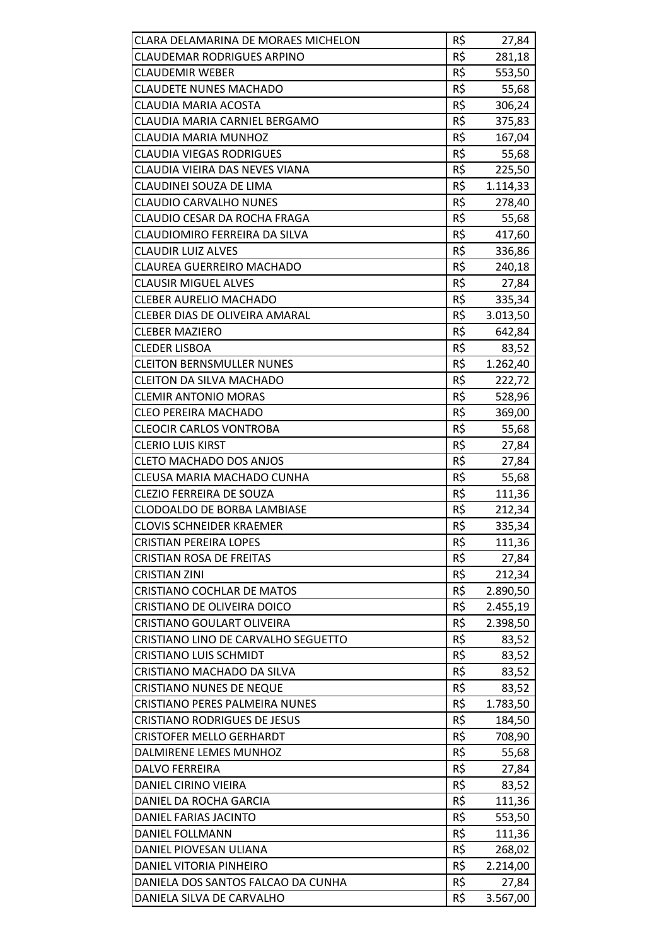| CLARA DELAMARINA DE MORAES MICHELON   | R\$ | 27,84    |
|---------------------------------------|-----|----------|
| <b>CLAUDEMAR RODRIGUES ARPINO</b>     | R\$ | 281,18   |
| <b>CLAUDEMIR WEBER</b>                | R\$ | 553,50   |
| <b>CLAUDETE NUNES MACHADO</b>         | R\$ | 55,68    |
| <b>CLAUDIA MARIA ACOSTA</b>           | R\$ | 306,24   |
| CLAUDIA MARIA CARNIEL BERGAMO         | R\$ | 375,83   |
| <b>CLAUDIA MARIA MUNHOZ</b>           | R\$ | 167,04   |
| <b>CLAUDIA VIEGAS RODRIGUES</b>       | R\$ | 55,68    |
| CLAUDIA VIEIRA DAS NEVES VIANA        | R\$ | 225,50   |
| CLAUDINEI SOUZA DE LIMA               | R\$ | 1.114,33 |
| <b>CLAUDIO CARVALHO NUNES</b>         | R\$ | 278,40   |
| CLAUDIO CESAR DA ROCHA FRAGA          | R\$ | 55,68    |
| CLAUDIOMIRO FERREIRA DA SILVA         | R\$ | 417,60   |
| <b>CLAUDIR LUIZ ALVES</b>             | R\$ | 336,86   |
| <b>CLAUREA GUERREIRO MACHADO</b>      | R\$ | 240,18   |
| <b>CLAUSIR MIGUEL ALVES</b>           | R\$ | 27,84    |
| <b>CLEBER AURELIO MACHADO</b>         | R\$ | 335,34   |
| <b>CLEBER DIAS DE OLIVEIRA AMARAL</b> | R\$ | 3.013,50 |
| <b>CLEBER MAZIERO</b>                 | R\$ | 642,84   |
| <b>CLEDER LISBOA</b>                  | R\$ | 83,52    |
| <b>CLEITON BERNSMULLER NUNES</b>      | R\$ | 1.262,40 |
| <b>CLEITON DA SILVA MACHADO</b>       | R\$ | 222,72   |
| <b>CLEMIR ANTONIO MORAS</b>           | R\$ | 528,96   |
| <b>CLEO PEREIRA MACHADO</b>           | R\$ | 369,00   |
| <b>CLEOCIR CARLOS VONTROBA</b>        | R\$ | 55,68    |
| <b>CLERIO LUIS KIRST</b>              | R\$ | 27,84    |
| <b>CLETO MACHADO DOS ANJOS</b>        | R\$ | 27,84    |
| CLEUSA MARIA MACHADO CUNHA            | R\$ | 55,68    |
| <b>CLEZIO FERREIRA DE SOUZA</b>       | R\$ | 111,36   |
| <b>CLODOALDO DE BORBA LAMBIASE</b>    | R\$ | 212,34   |
| <b>CLOVIS SCHNEIDER KRAEMER</b>       | R\$ | 335,34   |
| <b>CRISTIAN PEREIRA LOPES</b>         | R\$ | 111,36   |
| <b>CRISTIAN ROSA DE FREITAS</b>       | R\$ | 27,84    |
| <b>CRISTIAN ZINI</b>                  | R\$ | 212,34   |
| <b>CRISTIANO COCHLAR DE MATOS</b>     | R\$ | 2.890,50 |
| CRISTIANO DE OLIVEIRA DOICO           | R\$ | 2.455,19 |
| CRISTIANO GOULART OLIVEIRA            | R\$ | 2.398,50 |
| CRISTIANO LINO DE CARVALHO SEGUETTO   | R\$ | 83,52    |
| <b>CRISTIANO LUIS SCHMIDT</b>         | R\$ | 83,52    |
| CRISTIANO MACHADO DA SILVA            | R\$ | 83,52    |
| <b>CRISTIANO NUNES DE NEQUE</b>       | R\$ | 83,52    |
| CRISTIANO PERES PALMEIRA NUNES        | R\$ | 1.783,50 |
| <b>CRISTIANO RODRIGUES DE JESUS</b>   | R\$ | 184,50   |
| <b>CRISTOFER MELLO GERHARDT</b>       | R\$ | 708,90   |
| DALMIRENE LEMES MUNHOZ                | R\$ | 55,68    |
| <b>DALVO FERREIRA</b>                 | R\$ | 27,84    |
| DANIEL CIRINO VIEIRA                  | R\$ | 83,52    |
| DANIEL DA ROCHA GARCIA                | R\$ | 111,36   |
| DANIEL FARIAS JACINTO                 | R\$ | 553,50   |
| DANIEL FOLLMANN                       | R\$ | 111,36   |
| DANIEL PIOVESAN ULIANA                | R\$ | 268,02   |
| DANIEL VITORIA PINHEIRO               | R\$ | 2.214,00 |
| DANIELA DOS SANTOS FALCAO DA CUNHA    | R\$ | 27,84    |
| DANIELA SILVA DE CARVALHO             | R\$ | 3.567,00 |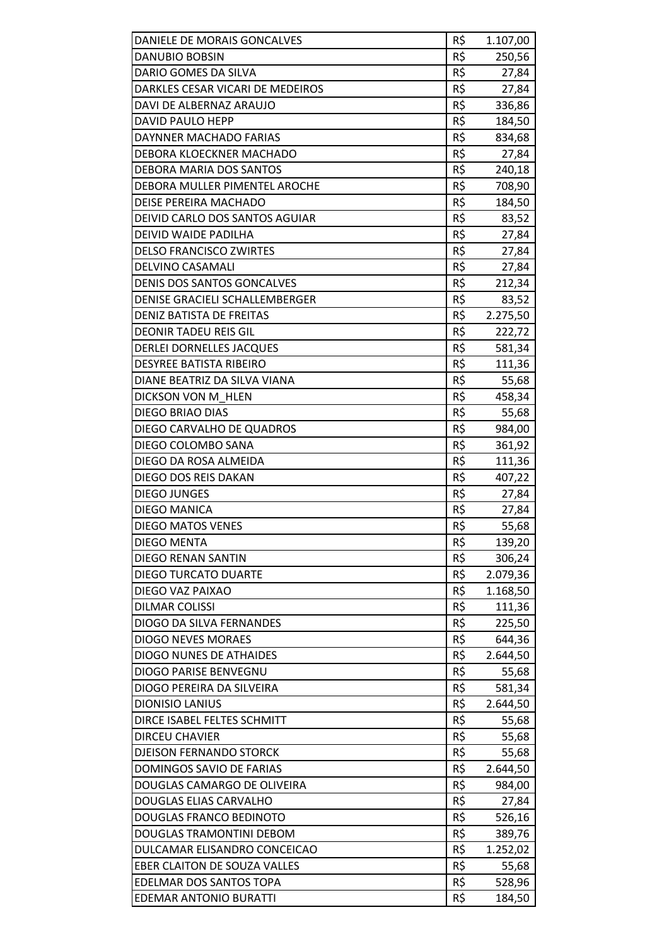| DANIELE DE MORAIS GONCALVES      | R\$ | 1.107,00 |
|----------------------------------|-----|----------|
| DANUBIO BOBSIN                   | R\$ | 250,56   |
| DARIO GOMES DA SILVA             | R\$ | 27,84    |
| DARKLES CESAR VICARI DE MEDEIROS | R\$ | 27,84    |
| DAVI DE ALBERNAZ ARAUJO          | R\$ | 336,86   |
| DAVID PAULO HEPP                 | R\$ | 184,50   |
| DAYNNER MACHADO FARIAS           | R\$ | 834,68   |
| DEBORA KLOECKNER MACHADO         | R\$ | 27,84    |
| DEBORA MARIA DOS SANTOS          | R\$ | 240,18   |
| DEBORA MULLER PIMENTEL AROCHE    | R\$ | 708,90   |
| DEISE PEREIRA MACHADO            | R\$ | 184,50   |
| DEIVID CARLO DOS SANTOS AGUIAR   | R\$ | 83,52    |
| DEIVID WAIDE PADILHA             | R\$ | 27,84    |
| <b>DELSO FRANCISCO ZWIRTES</b>   | R\$ | 27,84    |
| DELVINO CASAMALI                 | R\$ | 27,84    |
| DENIS DOS SANTOS GONCALVES       | R\$ | 212,34   |
| DENISE GRACIELI SCHALLEMBERGER   | R\$ | 83,52    |
| <b>DENIZ BATISTA DE FREITAS</b>  | R\$ | 2.275,50 |
| <b>DEONIR TADEU REIS GIL</b>     | R\$ | 222,72   |
| <b>DERLEI DORNELLES JACQUES</b>  | R\$ |          |
| <b>DESYREE BATISTA RIBEIRO</b>   | R\$ | 581,34   |
|                                  |     | 111,36   |
| DIANE BEATRIZ DA SILVA VIANA     | R\$ | 55,68    |
| DICKSON VON M HLEN               | R\$ | 458,34   |
| DIEGO BRIAO DIAS                 | R\$ | 55,68    |
| DIEGO CARVALHO DE QUADROS        | R\$ | 984,00   |
| DIEGO COLOMBO SANA               | R\$ | 361,92   |
| DIEGO DA ROSA ALMEIDA            | R\$ | 111,36   |
| DIEGO DOS REIS DAKAN             | R\$ | 407,22   |
| <b>DIEGO JUNGES</b>              | R\$ | 27,84    |
| DIEGO MANICA                     | R\$ | 27,84    |
| <b>DIEGO MATOS VENES</b>         | R\$ | 55,68    |
| <b>DIEGO MENTA</b>               | R\$ | 139,20   |
| <b>DIEGO RENAN SANTIN</b>        | R\$ | 306,24   |
| <b>DIEGO TURCATO DUARTE</b>      | R\$ | 2.079,36 |
| DIEGO VAZ PAIXAO                 | R\$ | 1.168,50 |
| <b>DILMAR COLISSI</b>            | R\$ | 111,36   |
| DIOGO DA SILVA FERNANDES         | R\$ | 225,50   |
| <b>DIOGO NEVES MORAES</b>        | R\$ | 644,36   |
| <b>DIOGO NUNES DE ATHAIDES</b>   | R\$ | 2.644,50 |
| DIOGO PARISE BENVEGNU            | R\$ | 55,68    |
| DIOGO PEREIRA DA SILVEIRA        | R\$ | 581,34   |
| <b>DIONISIO LANIUS</b>           | R\$ | 2.644,50 |
| DIRCE ISABEL FELTES SCHMITT      | R\$ | 55,68    |
| <b>DIRCEU CHAVIER</b>            | R\$ | 55,68    |
| <b>DJEISON FERNANDO STORCK</b>   | R\$ | 55,68    |
| DOMINGOS SAVIO DE FARIAS         | R\$ | 2.644,50 |
| DOUGLAS CAMARGO DE OLIVEIRA      | R\$ | 984,00   |
| DOUGLAS ELIAS CARVALHO           | R\$ | 27,84    |
| <b>DOUGLAS FRANCO BEDINOTO</b>   | R\$ | 526,16   |
| DOUGLAS TRAMONTINI DEBOM         | R\$ | 389,76   |
| DULCAMAR ELISANDRO CONCEICAO     | R\$ | 1.252,02 |
| EBER CLAITON DE SOUZA VALLES     | R\$ | 55,68    |
| EDELMAR DOS SANTOS TOPA          | R\$ | 528,96   |
| EDEMAR ANTONIO BURATTI           | R\$ | 184,50   |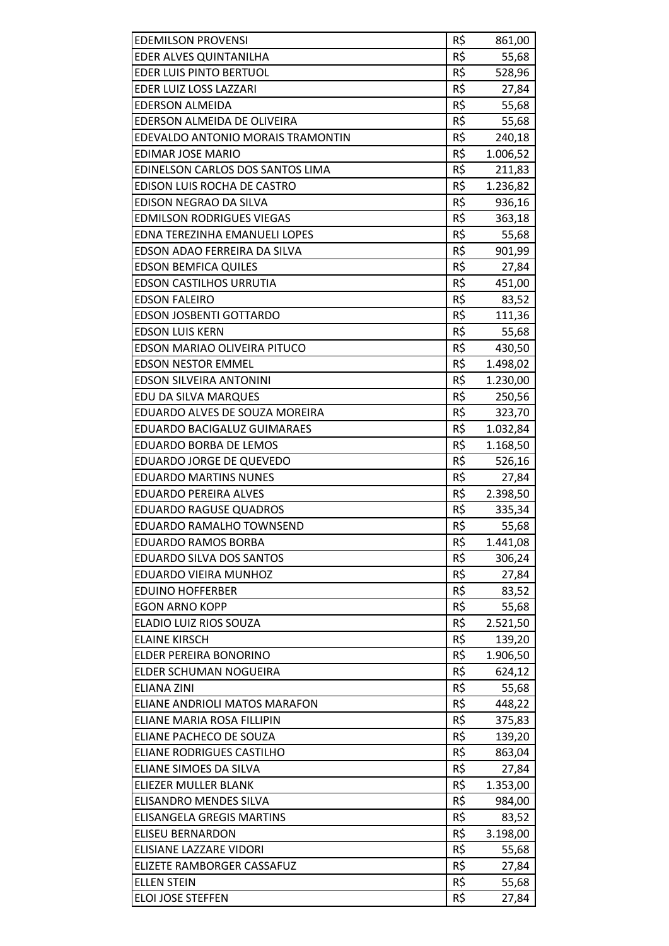| <b>EDEMILSON PROVENSI</b>          | R\$ | 861,00   |
|------------------------------------|-----|----------|
| EDER ALVES QUINTANILHA             | R\$ | 55,68    |
| <b>EDER LUIS PINTO BERTUOL</b>     | R\$ | 528,96   |
| <b>EDER LUIZ LOSS LAZZARI</b>      | R\$ | 27,84    |
| <b>EDERSON ALMEIDA</b>             | R\$ | 55,68    |
| EDERSON ALMEIDA DE OLIVEIRA        | R\$ | 55,68    |
| EDEVALDO ANTONIO MORAIS TRAMONTIN  | R\$ |          |
|                                    |     | 240,18   |
| <b>EDIMAR JOSE MARIO</b>           | R\$ | 1.006,52 |
| EDINELSON CARLOS DOS SANTOS LIMA   | R\$ | 211,83   |
| EDISON LUIS ROCHA DE CASTRO        | R\$ | 1.236,82 |
| EDISON NEGRAO DA SILVA             | R\$ | 936,16   |
| <b>EDMILSON RODRIGUES VIEGAS</b>   | R\$ | 363,18   |
| EDNA TEREZINHA EMANUELI LOPES      | R\$ | 55,68    |
| EDSON ADAO FERREIRA DA SILVA       | R\$ | 901,99   |
| <b>EDSON BEMFICA QUILES</b>        | R\$ | 27,84    |
| <b>EDSON CASTILHOS URRUTIA</b>     | R\$ | 451,00   |
| <b>EDSON FALEIRO</b>               | R\$ | 83,52    |
| <b>EDSON JOSBENTI GOTTARDO</b>     | R\$ | 111,36   |
| <b>EDSON LUIS KERN</b>             | R\$ | 55,68    |
| EDSON MARIAO OLIVEIRA PITUCO       | R\$ | 430,50   |
| <b>EDSON NESTOR EMMEL</b>          | R\$ | 1.498,02 |
| <b>EDSON SILVEIRA ANTONINI</b>     | R\$ | 1.230,00 |
| EDU DA SILVA MARQUES               | R\$ | 250,56   |
| EDUARDO ALVES DE SOUZA MOREIRA     | R\$ | 323,70   |
| <b>EDUARDO BACIGALUZ GUIMARAES</b> | R\$ | 1.032,84 |
| <b>EDUARDO BORBA DE LEMOS</b>      | R\$ | 1.168,50 |
| <b>EDUARDO JORGE DE QUEVEDO</b>    | R\$ | 526,16   |
| <b>EDUARDO MARTINS NUNES</b>       | R\$ | 27,84    |
| <b>EDUARDO PEREIRA ALVES</b>       | R\$ | 2.398,50 |
| <b>EDUARDO RAGUSE QUADROS</b>      | R\$ | 335,34   |
| EDUARDO RAMALHO TOWNSEND           | R\$ | 55,68    |
| EDUARDO RAMOS BORBA                | R\$ | 1.441,08 |
| <b>EDUARDO SILVA DOS SANTOS</b>    | R\$ | 306,24   |
| EDUARDO VIEIRA MUNHOZ              | R\$ | 27,84    |
| <b>EDUINO HOFFERBER</b>            | R\$ | 83,52    |
| <b>EGON ARNO KOPP</b>              | R\$ | 55,68    |
| ELADIO LUIZ RIOS SOUZA             | R\$ | 2.521,50 |
| <b>ELAINE KIRSCH</b>               | R\$ | 139,20   |
| ELDER PEREIRA BONORINO             | R\$ | 1.906,50 |
| ELDER SCHUMAN NOGUEIRA             | R\$ | 624,12   |
| <b>ELIANA ZINI</b>                 | R\$ | 55,68    |
| ELIANE ANDRIOLI MATOS MARAFON      | R\$ | 448,22   |
| ELIANE MARIA ROSA FILLIPIN         | R\$ | 375,83   |
| ELIANE PACHECO DE SOUZA            | R\$ | 139,20   |
| ELIANE RODRIGUES CASTILHO          | R\$ | 863,04   |
| ELIANE SIMOES DA SILVA             | R\$ | 27,84    |
| ELIEZER MULLER BLANK               | R\$ | 1.353,00 |
| <b>ELISANDRO MENDES SILVA</b>      | R\$ | 984,00   |
| <b>ELISANGELA GREGIS MARTINS</b>   | R\$ | 83,52    |
| <b>ELISEU BERNARDON</b>            | R\$ | 3.198,00 |
| ELISIANE LAZZARE VIDORI            | R\$ | 55,68    |
| ELIZETE RAMBORGER CASSAFUZ         | R\$ | 27,84    |
| <b>ELLEN STEIN</b>                 | R\$ | 55,68    |
| ELOI JOSE STEFFEN                  | R\$ | 27,84    |
|                                    |     |          |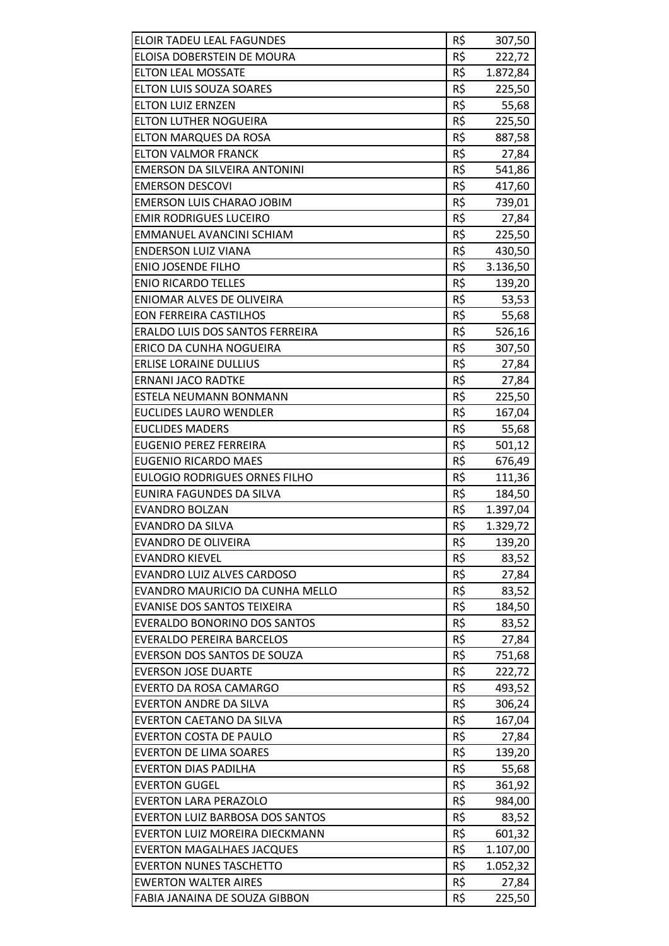| <b>ELOIR TADEU LEAL FAGUNDES</b>       | R\$ | 307,50          |
|----------------------------------------|-----|-----------------|
| ELOISA DOBERSTEIN DE MOURA             | R\$ | 222,72          |
| <b>ELTON LEAL MOSSATE</b>              | R\$ | 1.872,84        |
| <b>ELTON LUIS SOUZA SOARES</b>         | R\$ | 225,50          |
| <b>ELTON LUIZ ERNZEN</b>               | R\$ | 55,68           |
| <b>ELTON LUTHER NOGUEIRA</b>           | R\$ | 225,50          |
| <b>ELTON MARQUES DA ROSA</b>           | R\$ | 887,58          |
| <b>ELTON VALMOR FRANCK</b>             | R\$ | 27,84           |
| <b>EMERSON DA SILVEIRA ANTONINI</b>    | R\$ | 541,86          |
| <b>EMERSON DESCOVI</b>                 | R\$ | 417,60          |
| <b>EMERSON LUIS CHARAO JOBIM</b>       | R\$ | 739,01          |
| <b>EMIR RODRIGUES LUCEIRO</b>          | R\$ | 27,84           |
| EMMANUEL AVANCINI SCHIAM               | R\$ | 225,50          |
| <b>ENDERSON LUIZ VIANA</b>             | R\$ | 430,50          |
| <b>ENIO JOSENDE FILHO</b>              | R\$ | 3.136,50        |
| <b>ENIO RICARDO TELLES</b>             | R\$ | 139,20          |
| <b>ENIOMAR ALVES DE OLIVEIRA</b>       | R\$ | 53,53           |
| <b>EON FERREIRA CASTILHOS</b>          | R\$ | 55,68           |
| ERALDO LUIS DOS SANTOS FERREIRA        | R\$ | 526,16          |
| ERICO DA CUNHA NOGUEIRA                | R\$ | 307,50          |
| <b>ERLISE LORAINE DULLIUS</b>          | R\$ | 27,84           |
| <b>ERNANI JACO RADTKE</b>              | R\$ | 27,84           |
| ESTELA NEUMANN BONMANN                 | R\$ | 225,50          |
| <b>EUCLIDES LAURO WENDLER</b>          | R\$ | 167,04          |
| <b>EUCLIDES MADERS</b>                 | R\$ | 55,68           |
| <b>EUGENIO PEREZ FERREIRA</b>          | R\$ | 501,12          |
| <b>EUGENIO RICARDO MAES</b>            | R\$ | 676,49          |
| <b>EULOGIO RODRIGUES ORNES FILHO</b>   | R\$ | 111,36          |
| EUNIRA FAGUNDES DA SILVA               | R\$ | 184,50          |
| <b>EVANDRO BOLZAN</b>                  | R\$ | 1.397,04        |
| EVANDRO DA SILVA                       | R\$ | 1.329,72        |
| <b>EVANDRO DE OLIVEIRA</b>             | R\$ | 139,20          |
| <b>EVANDRO KIEVEL</b>                  | R\$ | 83,52           |
| <b>EVANDRO LUIZ ALVES CARDOSO</b>      | R\$ | 27,84           |
| EVANDRO MAURICIO DA CUNHA MELLO        | R\$ | 83,52           |
| <b>EVANISE DOS SANTOS TEIXEIRA</b>     | R\$ | 184,50          |
| <b>EVERALDO BONORINO DOS SANTOS</b>    | R\$ | 83,52           |
| <b>EVERALDO PEREIRA BARCELOS</b>       | R\$ | 27,84           |
| EVERSON DOS SANTOS DE SOUZA            | R\$ | 751,68          |
| <b>EVERSON JOSE DUARTE</b>             | R\$ | 222,72          |
| EVERTO DA ROSA CAMARGO                 | R\$ | 493,52          |
| <b>EVERTON ANDRE DA SILVA</b>          | R\$ | 306,24          |
| <b>EVERTON CAETANO DA SILVA</b>        | R\$ | 167,04          |
| <b>EVERTON COSTA DE PAULO</b>          | R\$ | 27,84           |
| <b>EVERTON DE LIMA SOARES</b>          | R\$ | 139,20          |
| <b>EVERTON DIAS PADILHA</b>            | R\$ | 55,68           |
| <b>EVERTON GUGEL</b>                   | R\$ | 361,92          |
| <b>EVERTON LARA PERAZOLO</b>           | R\$ | 984,00          |
| <b>EVERTON LUIZ BARBOSA DOS SANTOS</b> | R\$ | 83,52           |
| EVERTON LUIZ MOREIRA DIECKMANN         | R\$ | 601,32          |
| <b>EVERTON MAGALHAES JACQUES</b>       | R\$ | 1.107,00        |
| <b>EVERTON NUNES TASCHETTO</b>         | R\$ | 1.052,32        |
| <b>EWERTON WALTER AIRES</b>            | R\$ |                 |
| FABIA JANAINA DE SOUZA GIBBON          | R\$ | 27,84<br>225,50 |
|                                        |     |                 |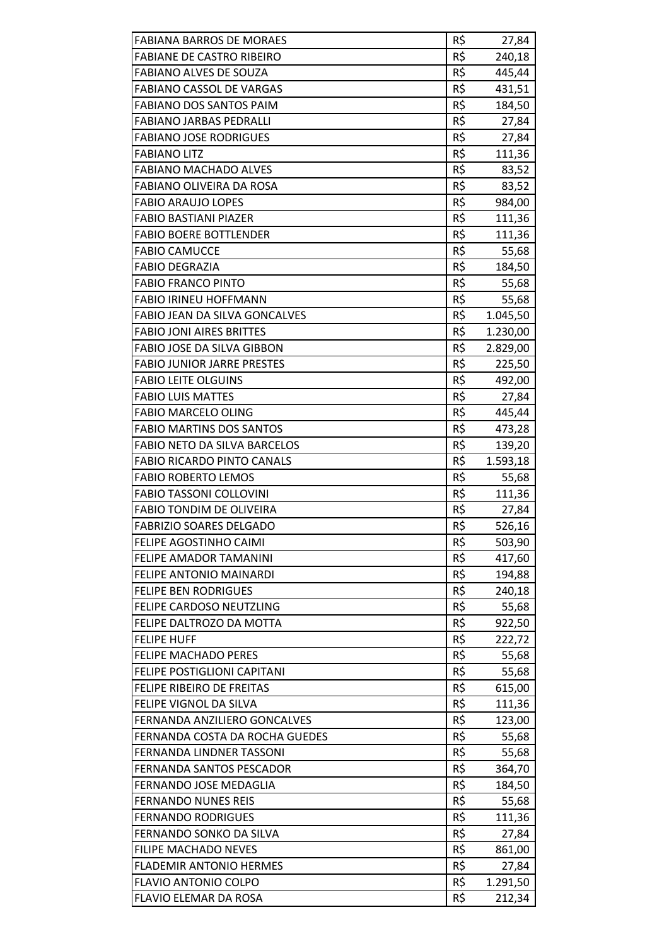| <b>FABIANA BARROS DE MORAES</b>                                   | R\$ | 27,84    |
|-------------------------------------------------------------------|-----|----------|
| <b>FABIANE DE CASTRO RIBEIRO</b>                                  | R\$ | 240,18   |
| <b>FABIANO ALVES DE SOUZA</b>                                     | R\$ | 445,44   |
| <b>FABIANO CASSOL DE VARGAS</b>                                   | R\$ | 431,51   |
| FABIANO DOS SANTOS PAIM                                           | R\$ | 184,50   |
| <b>FABIANO JARBAS PEDRALLI</b>                                    | R\$ | 27,84    |
| <b>FABIANO JOSE RODRIGUES</b>                                     | R\$ | 27,84    |
| <b>FABIANO LITZ</b>                                               | R\$ | 111,36   |
| <b>FABIANO MACHADO ALVES</b>                                      | R\$ | 83,52    |
| FABIANO OLIVEIRA DA ROSA                                          | R\$ | 83,52    |
| <b>FABIO ARAUJO LOPES</b>                                         | R\$ | 984,00   |
| <b>FABIO BASTIANI PIAZER</b>                                      | R\$ | 111,36   |
| <b>FABIO BOERE BOTTLENDER</b>                                     | R\$ | 111,36   |
| <b>FABIO CAMUCCE</b>                                              | R\$ | 55,68    |
| <b>FABIO DEGRAZIA</b>                                             | R\$ | 184,50   |
| <b>FABIO FRANCO PINTO</b>                                         | R\$ | 55,68    |
| <b>FABIO IRINEU HOFFMANN</b>                                      | R\$ | 55,68    |
| FABIO JEAN DA SILVA GONCALVES                                     | R\$ | 1.045,50 |
| <b>FABIO JONI AIRES BRITTES</b>                                   | R\$ | 1.230,00 |
| FABIO JOSE DA SILVA GIBBON                                        | R\$ | 2.829,00 |
| <b>FABIO JUNIOR JARRE PRESTES</b>                                 | R\$ | 225,50   |
| <b>FABIO LEITE OLGUINS</b>                                        | R\$ | 492,00   |
| <b>FABIO LUIS MATTES</b>                                          | R\$ | 27,84    |
| <b>FABIO MARCELO OLING</b>                                        | R\$ | 445,44   |
| <b>FABIO MARTINS DOS SANTOS</b>                                   | R\$ | 473,28   |
| FABIO NETO DA SILVA BARCELOS                                      | R\$ | 139,20   |
| <b>FABIO RICARDO PINTO CANALS</b>                                 | R\$ | 1.593,18 |
| <b>FABIO ROBERTO LEMOS</b>                                        | R\$ | 55,68    |
| <b>FABIO TASSONI COLLOVINI</b>                                    | R\$ | 111,36   |
| <b>FABIO TONDIM DE OLIVEIRA</b>                                   | R\$ | 27,84    |
| <b>FABRIZIO SOARES DELGADO</b>                                    | R\$ | 526,16   |
| FELIPE AGOSTINHO CAIMI                                            | R\$ | 503,90   |
| FELIPE AMADOR TAMANINI                                            | R\$ | 417,60   |
| <b>FELIPE ANTONIO MAINARDI</b>                                    | R\$ | 194,88   |
| <b>FELIPE BEN RODRIGUES</b>                                       | R\$ | 240,18   |
| FELIPE CARDOSO NEUTZLING                                          | R\$ | 55,68    |
| FELIPE DALTROZO DA MOTTA                                          | R\$ | 922,50   |
| <b>FELIPE HUFF</b>                                                | R\$ | 222,72   |
| <b>FELIPE MACHADO PERES</b>                                       | R\$ | 55,68    |
| FELIPE POSTIGLIONI CAPITANI                                       | R\$ | 55,68    |
| <b>FELIPE RIBEIRO DE FREITAS</b>                                  | R\$ | 615,00   |
| FELIPE VIGNOL DA SILVA                                            | R\$ | 111,36   |
| FERNANDA ANZILIERO GONCALVES                                      | R\$ | 123,00   |
|                                                                   | R\$ |          |
| FERNANDA COSTA DA ROCHA GUEDES<br><b>FERNANDA LINDNER TASSONI</b> | R\$ | 55,68    |
| FERNANDA SANTOS PESCADOR                                          | R\$ | 55,68    |
|                                                                   |     | 364,70   |
| FERNANDO JOSE MEDAGLIA                                            | R\$ | 184,50   |
| <b>FERNANDO NUNES REIS</b>                                        | R\$ | 55,68    |
| <b>FERNANDO RODRIGUES</b>                                         | R\$ | 111,36   |
| FERNANDO SONKO DA SILVA                                           | R\$ | 27,84    |
| FILIPE MACHADO NEVES                                              | R\$ | 861,00   |
| <b>FLADEMIR ANTONIO HERMES</b>                                    | R\$ | 27,84    |
| <b>FLAVIO ANTONIO COLPO</b>                                       | R\$ | 1.291,50 |
| FLAVIO ELEMAR DA ROSA                                             | R\$ | 212,34   |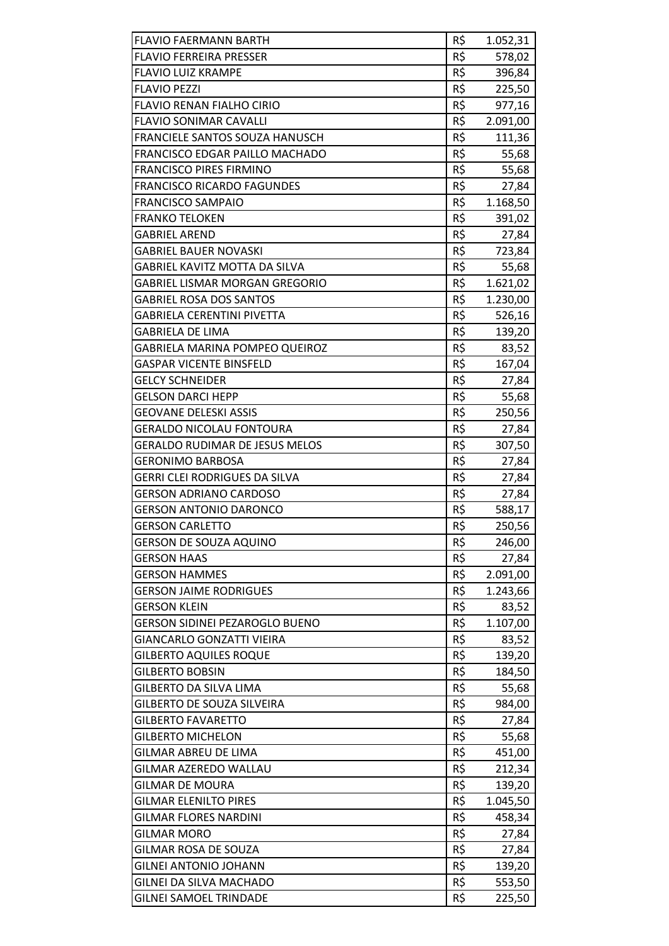| <b>FLAVIO FAERMANN BARTH</b>          | R\$ | 1.052,31 |
|---------------------------------------|-----|----------|
| <b>FLAVIO FERREIRA PRESSER</b>        | R\$ | 578,02   |
| <b>FLAVIO LUIZ KRAMPE</b>             | R\$ | 396,84   |
| <b>FLAVIO PEZZI</b>                   | R\$ | 225,50   |
| <b>FLAVIO RENAN FIALHO CIRIO</b>      | R\$ | 977,16   |
| <b>FLAVIO SONIMAR CAVALLI</b>         | R\$ | 2.091,00 |
| FRANCIELE SANTOS SOUZA HANUSCH        | R\$ | 111,36   |
| <b>FRANCISCO EDGAR PAILLO MACHADO</b> | R\$ | 55,68    |
| <b>FRANCISCO PIRES FIRMINO</b>        | R\$ | 55,68    |
| <b>FRANCISCO RICARDO FAGUNDES</b>     | R\$ | 27,84    |
| <b>FRANCISCO SAMPAIO</b>              | R\$ | 1.168,50 |
| <b>FRANKO TELOKEN</b>                 | R\$ | 391,02   |
| <b>GABRIEL AREND</b>                  | R\$ | 27,84    |
| <b>GABRIEL BAUER NOVASKI</b>          | R\$ | 723,84   |
| <b>GABRIEL KAVITZ MOTTA DA SILVA</b>  | R\$ | 55,68    |
| <b>GABRIEL LISMAR MORGAN GREGORIO</b> | R\$ | 1.621,02 |
| <b>GABRIEL ROSA DOS SANTOS</b>        | R\$ | 1.230,00 |
| <b>GABRIELA CERENTINI PIVETTA</b>     | R\$ | 526,16   |
| <b>GABRIELA DE LIMA</b>               | R\$ | 139,20   |
| <b>GABRIELA MARINA POMPEO QUEIROZ</b> | R\$ | 83,52    |
| <b>GASPAR VICENTE BINSFELD</b>        | R\$ | 167,04   |
| <b>GELCY SCHNEIDER</b>                | R\$ | 27,84    |
| <b>GELSON DARCI HEPP</b>              | R\$ | 55,68    |
| <b>GEOVANE DELESKI ASSIS</b>          | R\$ | 250,56   |
| <b>GERALDO NICOLAU FONTOURA</b>       | R\$ | 27,84    |
| <b>GERALDO RUDIMAR DE JESUS MELOS</b> | R\$ | 307,50   |
| <b>GERONIMO BARBOSA</b>               | R\$ | 27,84    |
| <b>GERRI CLEI RODRIGUES DA SILVA</b>  | R\$ | 27,84    |
| <b>GERSON ADRIANO CARDOSO</b>         | R\$ | 27,84    |
| <b>GERSON ANTONIO DARONCO</b>         | R\$ | 588,17   |
| <b>GERSON CARLETTO</b>                | R\$ | 250,56   |
| <b>GERSON DE SOUZA AQUINO</b>         | R\$ | 246,00   |
| <b>GERSON HAAS</b>                    | R\$ | 27,84    |
| <b>GERSON HAMMES</b>                  | R\$ | 2.091,00 |
| <b>GERSON JAIME RODRIGUES</b>         | R\$ | 1.243,66 |
| <b>GERSON KLEIN</b>                   | R\$ | 83,52    |
| <b>GERSON SIDINEI PEZAROGLO BUENO</b> | R\$ | 1.107,00 |
| <b>GIANCARLO GONZATTI VIEIRA</b>      | R\$ | 83,52    |
| <b>GILBERTO AQUILES ROQUE</b>         | R\$ | 139,20   |
| <b>GILBERTO BOBSIN</b>                | R\$ | 184,50   |
| <b>GILBERTO DA SILVA LIMA</b>         | R\$ | 55,68    |
| <b>GILBERTO DE SOUZA SILVEIRA</b>     | R\$ | 984,00   |
| <b>GILBERTO FAVARETTO</b>             | R\$ | 27,84    |
| <b>GILBERTO MICHELON</b>              | R\$ | 55,68    |
| <b>GILMAR ABREU DE LIMA</b>           | R\$ | 451,00   |
| GILMAR AZEREDO WALLAU                 | R\$ | 212,34   |
| <b>GILMAR DE MOURA</b>                | R\$ | 139,20   |
| <b>GILMAR ELENILTO PIRES</b>          | R\$ | 1.045,50 |
| <b>GILMAR FLORES NARDINI</b>          | R\$ | 458,34   |
| <b>GILMAR MORO</b>                    | R\$ | 27,84    |
| GILMAR ROSA DE SOUZA                  | R\$ | 27,84    |
| <b>GILNEI ANTONIO JOHANN</b>          | R\$ | 139,20   |
| GILNEI DA SILVA MACHADO               | R\$ | 553,50   |
| <b>GILNEI SAMOEL TRINDADE</b>         | R\$ | 225,50   |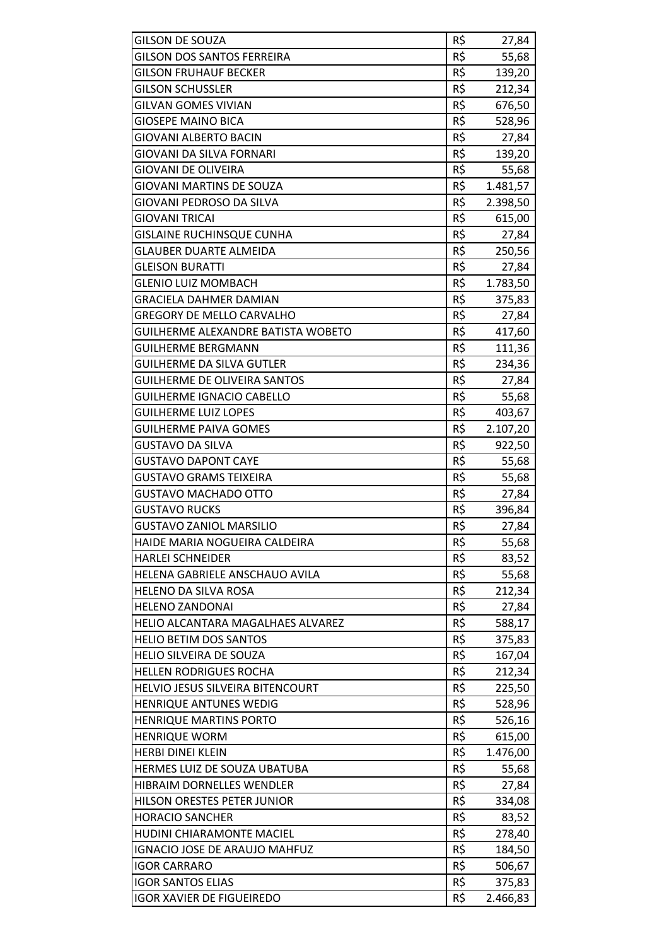| <b>GILSON DE SOUZA</b>               | R\$ | 27,84    |
|--------------------------------------|-----|----------|
| <b>GILSON DOS SANTOS FERREIRA</b>    | R\$ | 55,68    |
| <b>GILSON FRUHAUF BECKER</b>         | R\$ | 139,20   |
| <b>GILSON SCHUSSLER</b>              | R\$ | 212,34   |
| GILVAN GOMES VIVIAN                  | R\$ | 676,50   |
| <b>GIOSEPE MAINO BICA</b>            | R\$ | 528,96   |
| <b>GIOVANI ALBERTO BACIN</b>         | R\$ | 27,84    |
| <b>GIOVANI DA SILVA FORNARI</b>      | R\$ | 139,20   |
| <b>GIOVANI DE OLIVEIRA</b>           | R\$ | 55,68    |
| GIOVANI MARTINS DE SOUZA             | R\$ | 1.481,57 |
| GIOVANI PEDROSO DA SILVA             | R\$ | 2.398,50 |
| <b>GIOVANI TRICAI</b>                | R\$ | 615,00   |
| <b>GISLAINE RUCHINSQUE CUNHA</b>     | R\$ |          |
|                                      |     | 27,84    |
| <b>GLAUBER DUARTE ALMEIDA</b>        | R\$ | 250,56   |
| <b>GLEISON BURATTI</b>               | R\$ | 27,84    |
| <b>GLENIO LUIZ MOMBACH</b>           | R\$ | 1.783,50 |
| <b>GRACIELA DAHMER DAMIAN</b>        | R\$ | 375,83   |
| <b>GREGORY DE MELLO CARVALHO</b>     | R\$ | 27,84    |
| GUILHERME ALEXANDRE BATISTA WOBETO   | R\$ | 417,60   |
| GUILHERME BERGMANN                   | R\$ | 111,36   |
| <b>GUILHERME DA SILVA GUTLER</b>     | R\$ | 234,36   |
| <b>GUILHERME DE OLIVEIRA SANTOS</b>  | R\$ | 27,84    |
| <b>GUILHERME IGNACIO CABELLO</b>     | R\$ | 55,68    |
| <b>GUILHERME LUIZ LOPES</b>          | R\$ | 403,67   |
| <b>GUILHERME PAIVA GOMES</b>         | R\$ | 2.107,20 |
| <b>GUSTAVO DA SILVA</b>              | R\$ | 922,50   |
| <b>GUSTAVO DAPONT CAYE</b>           | R\$ | 55,68    |
| <b>GUSTAVO GRAMS TEIXEIRA</b>        | R\$ | 55,68    |
| <b>GUSTAVO MACHADO OTTO</b>          | R\$ | 27,84    |
| <b>GUSTAVO RUCKS</b>                 | R\$ | 396,84   |
| <b>GUSTAVO ZANIOL MARSILIO</b>       | R\$ | 27,84    |
| HAIDE MARIA NOGUEIRA CALDEIRA        | R\$ | 55,68    |
| <b>HARLEI SCHNEIDER</b>              | R\$ | 83,52    |
| HELENA GABRIELE ANSCHAUO AVILA       | R\$ | 55,68    |
| <b>HELENO DA SILVA ROSA</b>          | R\$ | 212,34   |
| <b>HELENO ZANDONAI</b>               | R\$ | 27,84    |
| HELIO ALCANTARA MAGALHAES ALVAREZ    | R\$ | 588,17   |
| <b>HELIO BETIM DOS SANTOS</b>        | R\$ | 375,83   |
| HELIO SILVEIRA DE SOUZA              | R\$ | 167,04   |
| <b>HELLEN RODRIGUES ROCHA</b>        | R\$ | 212,34   |
| HELVIO JESUS SILVEIRA BITENCOURT     | R\$ | 225,50   |
| <b>HENRIQUE ANTUNES WEDIG</b>        | R\$ | 528,96   |
| <b>HENRIQUE MARTINS PORTO</b>        | R\$ | 526,16   |
| <b>HENRIQUE WORM</b>                 | R\$ | 615,00   |
| <b>HERBI DINEI KLEIN</b>             | R\$ | 1.476,00 |
| HERMES LUIZ DE SOUZA UBATUBA         | R\$ |          |
| HIBRAIM DORNELLES WENDLER            | R\$ | 55,68    |
|                                      |     | 27,84    |
| HILSON ORESTES PETER JUNIOR          | R\$ | 334,08   |
| <b>HORACIO SANCHER</b>               | R\$ | 83,52    |
| HUDINI CHIARAMONTE MACIEL            | R\$ | 278,40   |
| <b>IGNACIO JOSE DE ARAUJO MAHFUZ</b> | R\$ | 184,50   |
| <b>IGOR CARRARO</b>                  | R\$ | 506,67   |
| <b>IGOR SANTOS ELIAS</b>             | R\$ | 375,83   |
| <b>IGOR XAVIER DE FIGUEIREDO</b>     | R\$ | 2.466,83 |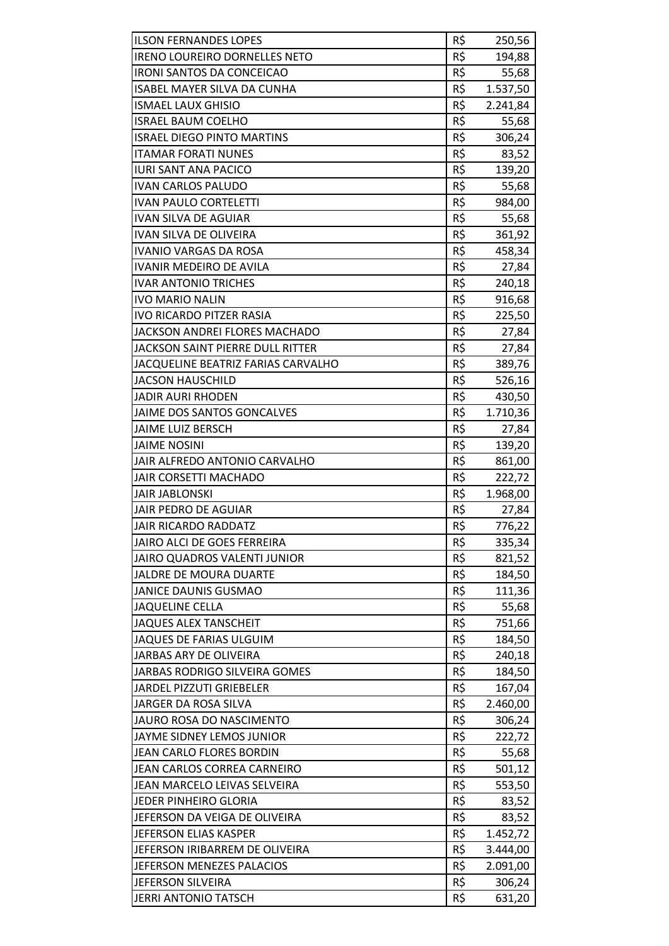| R\$<br><b>IRENO LOUREIRO DORNELLES NETO</b><br>194,88<br>R\$<br><b>IRONI SANTOS DA CONCEICAO</b><br>55,68<br>R\$<br><b>ISABEL MAYER SILVA DA CUNHA</b><br>1.537,50<br>R\$<br><b>ISMAEL LAUX GHISIO</b><br>2.241,84<br>R\$<br><b>ISRAEL BAUM COELHO</b><br>55,68<br>R\$<br><b>ISRAEL DIEGO PINTO MARTINS</b><br>306,24<br>R\$<br><b>ITAMAR FORATI NUNES</b><br>83,52<br>R\$<br><b>IURI SANT ANA PACICO</b><br>139,20<br>R\$<br><b>IVAN CARLOS PALUDO</b><br>55,68<br>R\$<br><b>IVAN PAULO CORTELETTI</b><br>984,00<br>R\$<br>55,68<br>IVAN SILVA DE AGUIAR<br>R\$<br><b>IVAN SILVA DE OLIVEIRA</b><br>361,92<br>R\$<br><b>IVANIO VARGAS DA ROSA</b><br>458,34<br>R\$<br><b>IVANIR MEDEIRO DE AVILA</b><br>27,84<br>R\$<br><b>IVAR ANTONIO TRICHES</b><br>240,18<br>R\$<br><b>IVO MARIO NALIN</b><br>916,68<br><b>IVO RICARDO PITZER RASIA</b><br>R\$<br>225,50<br>R\$<br>JACKSON ANDREI FLORES MACHADO<br>27,84<br>R\$<br>JACKSON SAINT PIERRE DULL RITTER<br>27,84<br>R\$<br>JACQUELINE BEATRIZ FARIAS CARVALHO<br>389,76<br>R\$<br><b>JACSON HAUSCHILD</b><br>526,16<br>R\$<br><b>JADIR AURI RHODEN</b><br>430,50<br>R\$<br>JAIME DOS SANTOS GONCALVES<br>1.710,36<br>R\$<br><b>JAIME LUIZ BERSCH</b><br>27,84<br>R\$<br><b>JAIME NOSINI</b><br>139,20<br>R\$<br>JAIR ALFREDO ANTONIO CARVALHO<br>861,00<br>R\$<br><b>JAIR CORSETTI MACHADO</b><br>222,72<br>R\$<br><b>JAIR JABLONSKI</b><br>1.968,00<br>JAIR PEDRO DE AGUIAR<br>R\$<br>27,84<br>R\$<br>776,22<br><b>JAIR RICARDO RADDATZ</b><br>JAIRO ALCI DE GOES FERREIRA<br>R\$<br>335,34<br>R\$<br>JAIRO QUADROS VALENTI JUNIOR<br>821,52<br>R\$<br><b>JALDRE DE MOURA DUARTE</b><br>184,50<br>R\$<br><b>JANICE DAUNIS GUSMAO</b><br>111,36<br>R\$<br><b>JAQUELINE CELLA</b><br>55,68<br>R\$<br><b>JAQUES ALEX TANSCHEIT</b><br>751,66<br>R\$<br>JAQUES DE FARIAS ULGUIM<br>184,50<br>R\$<br><b>JARBAS ARY DE OLIVEIRA</b><br>240,18<br>R\$<br>JARBAS RODRIGO SILVEIRA GOMES<br>184,50<br>R\$<br><b>JARDEL PIZZUTI GRIEBELER</b><br>167,04<br>R\$<br>JARGER DA ROSA SILVA<br>2.460,00<br>R\$<br>JAURO ROSA DO NASCIMENTO<br>306,24<br>R\$<br>JAYME SIDNEY LEMOS JUNIOR<br>222,72<br>R\$<br>JEAN CARLO FLORES BORDIN<br>55,68<br>R\$<br>JEAN CARLOS CORREA CARNEIRO<br>501,12<br>R\$<br>JEAN MARCELO LEIVAS SELVEIRA<br>553,50<br>R\$<br>JEDER PINHEIRO GLORIA<br>83,52<br>R\$<br>JEFERSON DA VEIGA DE OLIVEIRA<br>83,52<br>R\$<br><b>JEFERSON ELIAS KASPER</b><br>1.452,72<br>R\$<br>JEFERSON IRIBARREM DE OLIVEIRA<br>3.444,00<br>R\$<br>JEFERSON MENEZES PALACIOS<br>2.091,00<br>R\$<br>JEFERSON SILVEIRA<br>306,24 | <b>ILSON FERNANDES LOPES</b> | R\$ | 250,56 |
|-----------------------------------------------------------------------------------------------------------------------------------------------------------------------------------------------------------------------------------------------------------------------------------------------------------------------------------------------------------------------------------------------------------------------------------------------------------------------------------------------------------------------------------------------------------------------------------------------------------------------------------------------------------------------------------------------------------------------------------------------------------------------------------------------------------------------------------------------------------------------------------------------------------------------------------------------------------------------------------------------------------------------------------------------------------------------------------------------------------------------------------------------------------------------------------------------------------------------------------------------------------------------------------------------------------------------------------------------------------------------------------------------------------------------------------------------------------------------------------------------------------------------------------------------------------------------------------------------------------------------------------------------------------------------------------------------------------------------------------------------------------------------------------------------------------------------------------------------------------------------------------------------------------------------------------------------------------------------------------------------------------------------------------------------------------------------------------------------------------------------------------------------------------------------------------------------------------------------------------------------------------------------------------------------------------------------------------------------------------------------------------------------------------------------------------------------------------------------------------------------------------------------------------------------------------------------------|------------------------------|-----|--------|
|                                                                                                                                                                                                                                                                                                                                                                                                                                                                                                                                                                                                                                                                                                                                                                                                                                                                                                                                                                                                                                                                                                                                                                                                                                                                                                                                                                                                                                                                                                                                                                                                                                                                                                                                                                                                                                                                                                                                                                                                                                                                                                                                                                                                                                                                                                                                                                                                                                                                                                                                                                             |                              |     |        |
|                                                                                                                                                                                                                                                                                                                                                                                                                                                                                                                                                                                                                                                                                                                                                                                                                                                                                                                                                                                                                                                                                                                                                                                                                                                                                                                                                                                                                                                                                                                                                                                                                                                                                                                                                                                                                                                                                                                                                                                                                                                                                                                                                                                                                                                                                                                                                                                                                                                                                                                                                                             |                              |     |        |
|                                                                                                                                                                                                                                                                                                                                                                                                                                                                                                                                                                                                                                                                                                                                                                                                                                                                                                                                                                                                                                                                                                                                                                                                                                                                                                                                                                                                                                                                                                                                                                                                                                                                                                                                                                                                                                                                                                                                                                                                                                                                                                                                                                                                                                                                                                                                                                                                                                                                                                                                                                             |                              |     |        |
|                                                                                                                                                                                                                                                                                                                                                                                                                                                                                                                                                                                                                                                                                                                                                                                                                                                                                                                                                                                                                                                                                                                                                                                                                                                                                                                                                                                                                                                                                                                                                                                                                                                                                                                                                                                                                                                                                                                                                                                                                                                                                                                                                                                                                                                                                                                                                                                                                                                                                                                                                                             |                              |     |        |
|                                                                                                                                                                                                                                                                                                                                                                                                                                                                                                                                                                                                                                                                                                                                                                                                                                                                                                                                                                                                                                                                                                                                                                                                                                                                                                                                                                                                                                                                                                                                                                                                                                                                                                                                                                                                                                                                                                                                                                                                                                                                                                                                                                                                                                                                                                                                                                                                                                                                                                                                                                             |                              |     |        |
|                                                                                                                                                                                                                                                                                                                                                                                                                                                                                                                                                                                                                                                                                                                                                                                                                                                                                                                                                                                                                                                                                                                                                                                                                                                                                                                                                                                                                                                                                                                                                                                                                                                                                                                                                                                                                                                                                                                                                                                                                                                                                                                                                                                                                                                                                                                                                                                                                                                                                                                                                                             |                              |     |        |
|                                                                                                                                                                                                                                                                                                                                                                                                                                                                                                                                                                                                                                                                                                                                                                                                                                                                                                                                                                                                                                                                                                                                                                                                                                                                                                                                                                                                                                                                                                                                                                                                                                                                                                                                                                                                                                                                                                                                                                                                                                                                                                                                                                                                                                                                                                                                                                                                                                                                                                                                                                             |                              |     |        |
|                                                                                                                                                                                                                                                                                                                                                                                                                                                                                                                                                                                                                                                                                                                                                                                                                                                                                                                                                                                                                                                                                                                                                                                                                                                                                                                                                                                                                                                                                                                                                                                                                                                                                                                                                                                                                                                                                                                                                                                                                                                                                                                                                                                                                                                                                                                                                                                                                                                                                                                                                                             |                              |     |        |
|                                                                                                                                                                                                                                                                                                                                                                                                                                                                                                                                                                                                                                                                                                                                                                                                                                                                                                                                                                                                                                                                                                                                                                                                                                                                                                                                                                                                                                                                                                                                                                                                                                                                                                                                                                                                                                                                                                                                                                                                                                                                                                                                                                                                                                                                                                                                                                                                                                                                                                                                                                             |                              |     |        |
|                                                                                                                                                                                                                                                                                                                                                                                                                                                                                                                                                                                                                                                                                                                                                                                                                                                                                                                                                                                                                                                                                                                                                                                                                                                                                                                                                                                                                                                                                                                                                                                                                                                                                                                                                                                                                                                                                                                                                                                                                                                                                                                                                                                                                                                                                                                                                                                                                                                                                                                                                                             |                              |     |        |
|                                                                                                                                                                                                                                                                                                                                                                                                                                                                                                                                                                                                                                                                                                                                                                                                                                                                                                                                                                                                                                                                                                                                                                                                                                                                                                                                                                                                                                                                                                                                                                                                                                                                                                                                                                                                                                                                                                                                                                                                                                                                                                                                                                                                                                                                                                                                                                                                                                                                                                                                                                             |                              |     |        |
|                                                                                                                                                                                                                                                                                                                                                                                                                                                                                                                                                                                                                                                                                                                                                                                                                                                                                                                                                                                                                                                                                                                                                                                                                                                                                                                                                                                                                                                                                                                                                                                                                                                                                                                                                                                                                                                                                                                                                                                                                                                                                                                                                                                                                                                                                                                                                                                                                                                                                                                                                                             |                              |     |        |
|                                                                                                                                                                                                                                                                                                                                                                                                                                                                                                                                                                                                                                                                                                                                                                                                                                                                                                                                                                                                                                                                                                                                                                                                                                                                                                                                                                                                                                                                                                                                                                                                                                                                                                                                                                                                                                                                                                                                                                                                                                                                                                                                                                                                                                                                                                                                                                                                                                                                                                                                                                             |                              |     |        |
|                                                                                                                                                                                                                                                                                                                                                                                                                                                                                                                                                                                                                                                                                                                                                                                                                                                                                                                                                                                                                                                                                                                                                                                                                                                                                                                                                                                                                                                                                                                                                                                                                                                                                                                                                                                                                                                                                                                                                                                                                                                                                                                                                                                                                                                                                                                                                                                                                                                                                                                                                                             |                              |     |        |
|                                                                                                                                                                                                                                                                                                                                                                                                                                                                                                                                                                                                                                                                                                                                                                                                                                                                                                                                                                                                                                                                                                                                                                                                                                                                                                                                                                                                                                                                                                                                                                                                                                                                                                                                                                                                                                                                                                                                                                                                                                                                                                                                                                                                                                                                                                                                                                                                                                                                                                                                                                             |                              |     |        |
|                                                                                                                                                                                                                                                                                                                                                                                                                                                                                                                                                                                                                                                                                                                                                                                                                                                                                                                                                                                                                                                                                                                                                                                                                                                                                                                                                                                                                                                                                                                                                                                                                                                                                                                                                                                                                                                                                                                                                                                                                                                                                                                                                                                                                                                                                                                                                                                                                                                                                                                                                                             |                              |     |        |
|                                                                                                                                                                                                                                                                                                                                                                                                                                                                                                                                                                                                                                                                                                                                                                                                                                                                                                                                                                                                                                                                                                                                                                                                                                                                                                                                                                                                                                                                                                                                                                                                                                                                                                                                                                                                                                                                                                                                                                                                                                                                                                                                                                                                                                                                                                                                                                                                                                                                                                                                                                             |                              |     |        |
|                                                                                                                                                                                                                                                                                                                                                                                                                                                                                                                                                                                                                                                                                                                                                                                                                                                                                                                                                                                                                                                                                                                                                                                                                                                                                                                                                                                                                                                                                                                                                                                                                                                                                                                                                                                                                                                                                                                                                                                                                                                                                                                                                                                                                                                                                                                                                                                                                                                                                                                                                                             |                              |     |        |
|                                                                                                                                                                                                                                                                                                                                                                                                                                                                                                                                                                                                                                                                                                                                                                                                                                                                                                                                                                                                                                                                                                                                                                                                                                                                                                                                                                                                                                                                                                                                                                                                                                                                                                                                                                                                                                                                                                                                                                                                                                                                                                                                                                                                                                                                                                                                                                                                                                                                                                                                                                             |                              |     |        |
|                                                                                                                                                                                                                                                                                                                                                                                                                                                                                                                                                                                                                                                                                                                                                                                                                                                                                                                                                                                                                                                                                                                                                                                                                                                                                                                                                                                                                                                                                                                                                                                                                                                                                                                                                                                                                                                                                                                                                                                                                                                                                                                                                                                                                                                                                                                                                                                                                                                                                                                                                                             |                              |     |        |
|                                                                                                                                                                                                                                                                                                                                                                                                                                                                                                                                                                                                                                                                                                                                                                                                                                                                                                                                                                                                                                                                                                                                                                                                                                                                                                                                                                                                                                                                                                                                                                                                                                                                                                                                                                                                                                                                                                                                                                                                                                                                                                                                                                                                                                                                                                                                                                                                                                                                                                                                                                             |                              |     |        |
|                                                                                                                                                                                                                                                                                                                                                                                                                                                                                                                                                                                                                                                                                                                                                                                                                                                                                                                                                                                                                                                                                                                                                                                                                                                                                                                                                                                                                                                                                                                                                                                                                                                                                                                                                                                                                                                                                                                                                                                                                                                                                                                                                                                                                                                                                                                                                                                                                                                                                                                                                                             |                              |     |        |
|                                                                                                                                                                                                                                                                                                                                                                                                                                                                                                                                                                                                                                                                                                                                                                                                                                                                                                                                                                                                                                                                                                                                                                                                                                                                                                                                                                                                                                                                                                                                                                                                                                                                                                                                                                                                                                                                                                                                                                                                                                                                                                                                                                                                                                                                                                                                                                                                                                                                                                                                                                             |                              |     |        |
|                                                                                                                                                                                                                                                                                                                                                                                                                                                                                                                                                                                                                                                                                                                                                                                                                                                                                                                                                                                                                                                                                                                                                                                                                                                                                                                                                                                                                                                                                                                                                                                                                                                                                                                                                                                                                                                                                                                                                                                                                                                                                                                                                                                                                                                                                                                                                                                                                                                                                                                                                                             |                              |     |        |
|                                                                                                                                                                                                                                                                                                                                                                                                                                                                                                                                                                                                                                                                                                                                                                                                                                                                                                                                                                                                                                                                                                                                                                                                                                                                                                                                                                                                                                                                                                                                                                                                                                                                                                                                                                                                                                                                                                                                                                                                                                                                                                                                                                                                                                                                                                                                                                                                                                                                                                                                                                             |                              |     |        |
|                                                                                                                                                                                                                                                                                                                                                                                                                                                                                                                                                                                                                                                                                                                                                                                                                                                                                                                                                                                                                                                                                                                                                                                                                                                                                                                                                                                                                                                                                                                                                                                                                                                                                                                                                                                                                                                                                                                                                                                                                                                                                                                                                                                                                                                                                                                                                                                                                                                                                                                                                                             |                              |     |        |
|                                                                                                                                                                                                                                                                                                                                                                                                                                                                                                                                                                                                                                                                                                                                                                                                                                                                                                                                                                                                                                                                                                                                                                                                                                                                                                                                                                                                                                                                                                                                                                                                                                                                                                                                                                                                                                                                                                                                                                                                                                                                                                                                                                                                                                                                                                                                                                                                                                                                                                                                                                             |                              |     |        |
|                                                                                                                                                                                                                                                                                                                                                                                                                                                                                                                                                                                                                                                                                                                                                                                                                                                                                                                                                                                                                                                                                                                                                                                                                                                                                                                                                                                                                                                                                                                                                                                                                                                                                                                                                                                                                                                                                                                                                                                                                                                                                                                                                                                                                                                                                                                                                                                                                                                                                                                                                                             |                              |     |        |
|                                                                                                                                                                                                                                                                                                                                                                                                                                                                                                                                                                                                                                                                                                                                                                                                                                                                                                                                                                                                                                                                                                                                                                                                                                                                                                                                                                                                                                                                                                                                                                                                                                                                                                                                                                                                                                                                                                                                                                                                                                                                                                                                                                                                                                                                                                                                                                                                                                                                                                                                                                             |                              |     |        |
|                                                                                                                                                                                                                                                                                                                                                                                                                                                                                                                                                                                                                                                                                                                                                                                                                                                                                                                                                                                                                                                                                                                                                                                                                                                                                                                                                                                                                                                                                                                                                                                                                                                                                                                                                                                                                                                                                                                                                                                                                                                                                                                                                                                                                                                                                                                                                                                                                                                                                                                                                                             |                              |     |        |
|                                                                                                                                                                                                                                                                                                                                                                                                                                                                                                                                                                                                                                                                                                                                                                                                                                                                                                                                                                                                                                                                                                                                                                                                                                                                                                                                                                                                                                                                                                                                                                                                                                                                                                                                                                                                                                                                                                                                                                                                                                                                                                                                                                                                                                                                                                                                                                                                                                                                                                                                                                             |                              |     |        |
|                                                                                                                                                                                                                                                                                                                                                                                                                                                                                                                                                                                                                                                                                                                                                                                                                                                                                                                                                                                                                                                                                                                                                                                                                                                                                                                                                                                                                                                                                                                                                                                                                                                                                                                                                                                                                                                                                                                                                                                                                                                                                                                                                                                                                                                                                                                                                                                                                                                                                                                                                                             |                              |     |        |
|                                                                                                                                                                                                                                                                                                                                                                                                                                                                                                                                                                                                                                                                                                                                                                                                                                                                                                                                                                                                                                                                                                                                                                                                                                                                                                                                                                                                                                                                                                                                                                                                                                                                                                                                                                                                                                                                                                                                                                                                                                                                                                                                                                                                                                                                                                                                                                                                                                                                                                                                                                             |                              |     |        |
|                                                                                                                                                                                                                                                                                                                                                                                                                                                                                                                                                                                                                                                                                                                                                                                                                                                                                                                                                                                                                                                                                                                                                                                                                                                                                                                                                                                                                                                                                                                                                                                                                                                                                                                                                                                                                                                                                                                                                                                                                                                                                                                                                                                                                                                                                                                                                                                                                                                                                                                                                                             |                              |     |        |
|                                                                                                                                                                                                                                                                                                                                                                                                                                                                                                                                                                                                                                                                                                                                                                                                                                                                                                                                                                                                                                                                                                                                                                                                                                                                                                                                                                                                                                                                                                                                                                                                                                                                                                                                                                                                                                                                                                                                                                                                                                                                                                                                                                                                                                                                                                                                                                                                                                                                                                                                                                             |                              |     |        |
|                                                                                                                                                                                                                                                                                                                                                                                                                                                                                                                                                                                                                                                                                                                                                                                                                                                                                                                                                                                                                                                                                                                                                                                                                                                                                                                                                                                                                                                                                                                                                                                                                                                                                                                                                                                                                                                                                                                                                                                                                                                                                                                                                                                                                                                                                                                                                                                                                                                                                                                                                                             |                              |     |        |
|                                                                                                                                                                                                                                                                                                                                                                                                                                                                                                                                                                                                                                                                                                                                                                                                                                                                                                                                                                                                                                                                                                                                                                                                                                                                                                                                                                                                                                                                                                                                                                                                                                                                                                                                                                                                                                                                                                                                                                                                                                                                                                                                                                                                                                                                                                                                                                                                                                                                                                                                                                             |                              |     |        |
|                                                                                                                                                                                                                                                                                                                                                                                                                                                                                                                                                                                                                                                                                                                                                                                                                                                                                                                                                                                                                                                                                                                                                                                                                                                                                                                                                                                                                                                                                                                                                                                                                                                                                                                                                                                                                                                                                                                                                                                                                                                                                                                                                                                                                                                                                                                                                                                                                                                                                                                                                                             |                              |     |        |
|                                                                                                                                                                                                                                                                                                                                                                                                                                                                                                                                                                                                                                                                                                                                                                                                                                                                                                                                                                                                                                                                                                                                                                                                                                                                                                                                                                                                                                                                                                                                                                                                                                                                                                                                                                                                                                                                                                                                                                                                                                                                                                                                                                                                                                                                                                                                                                                                                                                                                                                                                                             |                              |     |        |
|                                                                                                                                                                                                                                                                                                                                                                                                                                                                                                                                                                                                                                                                                                                                                                                                                                                                                                                                                                                                                                                                                                                                                                                                                                                                                                                                                                                                                                                                                                                                                                                                                                                                                                                                                                                                                                                                                                                                                                                                                                                                                                                                                                                                                                                                                                                                                                                                                                                                                                                                                                             |                              |     |        |
|                                                                                                                                                                                                                                                                                                                                                                                                                                                                                                                                                                                                                                                                                                                                                                                                                                                                                                                                                                                                                                                                                                                                                                                                                                                                                                                                                                                                                                                                                                                                                                                                                                                                                                                                                                                                                                                                                                                                                                                                                                                                                                                                                                                                                                                                                                                                                                                                                                                                                                                                                                             |                              |     |        |
|                                                                                                                                                                                                                                                                                                                                                                                                                                                                                                                                                                                                                                                                                                                                                                                                                                                                                                                                                                                                                                                                                                                                                                                                                                                                                                                                                                                                                                                                                                                                                                                                                                                                                                                                                                                                                                                                                                                                                                                                                                                                                                                                                                                                                                                                                                                                                                                                                                                                                                                                                                             |                              |     |        |
|                                                                                                                                                                                                                                                                                                                                                                                                                                                                                                                                                                                                                                                                                                                                                                                                                                                                                                                                                                                                                                                                                                                                                                                                                                                                                                                                                                                                                                                                                                                                                                                                                                                                                                                                                                                                                                                                                                                                                                                                                                                                                                                                                                                                                                                                                                                                                                                                                                                                                                                                                                             |                              |     |        |
|                                                                                                                                                                                                                                                                                                                                                                                                                                                                                                                                                                                                                                                                                                                                                                                                                                                                                                                                                                                                                                                                                                                                                                                                                                                                                                                                                                                                                                                                                                                                                                                                                                                                                                                                                                                                                                                                                                                                                                                                                                                                                                                                                                                                                                                                                                                                                                                                                                                                                                                                                                             |                              |     |        |
|                                                                                                                                                                                                                                                                                                                                                                                                                                                                                                                                                                                                                                                                                                                                                                                                                                                                                                                                                                                                                                                                                                                                                                                                                                                                                                                                                                                                                                                                                                                                                                                                                                                                                                                                                                                                                                                                                                                                                                                                                                                                                                                                                                                                                                                                                                                                                                                                                                                                                                                                                                             |                              |     |        |
|                                                                                                                                                                                                                                                                                                                                                                                                                                                                                                                                                                                                                                                                                                                                                                                                                                                                                                                                                                                                                                                                                                                                                                                                                                                                                                                                                                                                                                                                                                                                                                                                                                                                                                                                                                                                                                                                                                                                                                                                                                                                                                                                                                                                                                                                                                                                                                                                                                                                                                                                                                             |                              |     |        |
|                                                                                                                                                                                                                                                                                                                                                                                                                                                                                                                                                                                                                                                                                                                                                                                                                                                                                                                                                                                                                                                                                                                                                                                                                                                                                                                                                                                                                                                                                                                                                                                                                                                                                                                                                                                                                                                                                                                                                                                                                                                                                                                                                                                                                                                                                                                                                                                                                                                                                                                                                                             |                              |     |        |
|                                                                                                                                                                                                                                                                                                                                                                                                                                                                                                                                                                                                                                                                                                                                                                                                                                                                                                                                                                                                                                                                                                                                                                                                                                                                                                                                                                                                                                                                                                                                                                                                                                                                                                                                                                                                                                                                                                                                                                                                                                                                                                                                                                                                                                                                                                                                                                                                                                                                                                                                                                             |                              |     |        |
|                                                                                                                                                                                                                                                                                                                                                                                                                                                                                                                                                                                                                                                                                                                                                                                                                                                                                                                                                                                                                                                                                                                                                                                                                                                                                                                                                                                                                                                                                                                                                                                                                                                                                                                                                                                                                                                                                                                                                                                                                                                                                                                                                                                                                                                                                                                                                                                                                                                                                                                                                                             |                              |     |        |
|                                                                                                                                                                                                                                                                                                                                                                                                                                                                                                                                                                                                                                                                                                                                                                                                                                                                                                                                                                                                                                                                                                                                                                                                                                                                                                                                                                                                                                                                                                                                                                                                                                                                                                                                                                                                                                                                                                                                                                                                                                                                                                                                                                                                                                                                                                                                                                                                                                                                                                                                                                             |                              |     |        |
|                                                                                                                                                                                                                                                                                                                                                                                                                                                                                                                                                                                                                                                                                                                                                                                                                                                                                                                                                                                                                                                                                                                                                                                                                                                                                                                                                                                                                                                                                                                                                                                                                                                                                                                                                                                                                                                                                                                                                                                                                                                                                                                                                                                                                                                                                                                                                                                                                                                                                                                                                                             |                              |     |        |
|                                                                                                                                                                                                                                                                                                                                                                                                                                                                                                                                                                                                                                                                                                                                                                                                                                                                                                                                                                                                                                                                                                                                                                                                                                                                                                                                                                                                                                                                                                                                                                                                                                                                                                                                                                                                                                                                                                                                                                                                                                                                                                                                                                                                                                                                                                                                                                                                                                                                                                                                                                             |                              |     |        |
|                                                                                                                                                                                                                                                                                                                                                                                                                                                                                                                                                                                                                                                                                                                                                                                                                                                                                                                                                                                                                                                                                                                                                                                                                                                                                                                                                                                                                                                                                                                                                                                                                                                                                                                                                                                                                                                                                                                                                                                                                                                                                                                                                                                                                                                                                                                                                                                                                                                                                                                                                                             | <b>JERRI ANTONIO TATSCH</b>  | R\$ | 631,20 |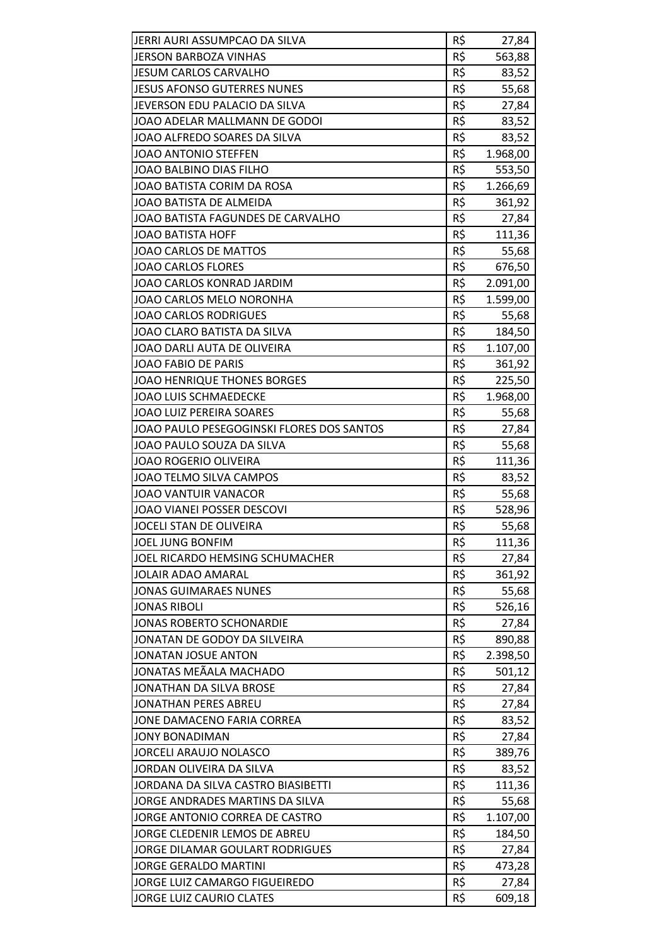| JERRI AURI ASSUMPCAO DA SILVA             | R\$ | 27,84    |
|-------------------------------------------|-----|----------|
| <b>JERSON BARBOZA VINHAS</b>              | R\$ | 563,88   |
| <b>JESUM CARLOS CARVALHO</b>              | R\$ | 83,52    |
| <b>JESUS AFONSO GUTERRES NUNES</b>        | R\$ | 55,68    |
| JEVERSON EDU PALACIO DA SILVA             | R\$ | 27,84    |
| JOAO ADELAR MALLMANN DE GODOI             | R\$ | 83,52    |
| JOAO ALFREDO SOARES DA SILVA              | R\$ | 83,52    |
| JOAO ANTONIO STEFFEN                      | R\$ | 1.968,00 |
| JOAO BALBINO DIAS FILHO                   | R\$ | 553,50   |
| JOAO BATISTA CORIM DA ROSA                | R\$ | 1.266,69 |
| JOAO BATISTA DE ALMEIDA                   | R\$ | 361,92   |
| JOAO BATISTA FAGUNDES DE CARVALHO         | R\$ | 27,84    |
| <b>JOAO BATISTA HOFF</b>                  | R\$ | 111,36   |
| JOAO CARLOS DE MATTOS                     | R\$ | 55,68    |
| <b>JOAO CARLOS FLORES</b>                 | R\$ | 676,50   |
| JOAO CARLOS KONRAD JARDIM                 | R\$ | 2.091,00 |
| JOAO CARLOS MELO NORONHA                  | R\$ | 1.599,00 |
| <b>JOAO CARLOS RODRIGUES</b>              | R\$ | 55,68    |
| JOAO CLARO BATISTA DA SILVA               | R\$ | 184,50   |
| JOAO DARLI AUTA DE OLIVEIRA               | R\$ | 1.107,00 |
| <b>JOAO FABIO DE PARIS</b>                | R\$ | 361,92   |
| <b>JOAO HENRIQUE THONES BORGES</b>        | R\$ | 225,50   |
| <b>JOAO LUIS SCHMAEDECKE</b>              | R\$ | 1.968,00 |
| <b>JOAO LUIZ PEREIRA SOARES</b>           | R\$ | 55,68    |
| JOAO PAULO PESEGOGINSKI FLORES DOS SANTOS | R\$ | 27,84    |
| JOAO PAULO SOUZA DA SILVA                 | R\$ | 55,68    |
| <b>JOAO ROGERIO OLIVEIRA</b>              | R\$ | 111,36   |
| JOAO TELMO SILVA CAMPOS                   | R\$ | 83,52    |
| <b>JOAO VANTUIR VANACOR</b>               | R\$ | 55,68    |
| JOAO VIANEI POSSER DESCOVI                | R\$ | 528,96   |
| JOCELI STAN DE OLIVEIRA                   | R\$ | 55,68    |
| <b>JOEL JUNG BONFIM</b>                   | R\$ | 111,36   |
| JOEL RICARDO HEMSING SCHUMACHER           | R\$ | 27,84    |
| JOLAIR ADAO AMARAL                        | R\$ | 361,92   |
| <b>JONAS GUIMARAES NUNES</b>              | R\$ | 55,68    |
| <b>JONAS RIBOLI</b>                       | R\$ | 526,16   |
| <b>JONAS ROBERTO SCHONARDIE</b>           | R\$ | 27,84    |
| JONATAN DE GODOY DA SILVEIRA              | R\$ | 890,88   |
| <b>JONATAN JOSUE ANTON</b>                | R\$ | 2.398,50 |
| JONATAS MEÃALA MACHADO                    | R\$ | 501,12   |
| JONATHAN DA SILVA BROSE                   | R\$ | 27,84    |
| <b>JONATHAN PERES ABREU</b>               | R\$ | 27,84    |
| JONE DAMACENO FARIA CORREA                | R\$ | 83,52    |
| <b>JONY BONADIMAN</b>                     | R\$ | 27,84    |
| <b>JORCELI ARAUJO NOLASCO</b>             | R\$ | 389,76   |
| JORDAN OLIVEIRA DA SILVA                  | R\$ | 83,52    |
| JORDANA DA SILVA CASTRO BIASIBETTI        | R\$ | 111,36   |
| JORGE ANDRADES MARTINS DA SILVA           | R\$ | 55,68    |
| JORGE ANTONIO CORREA DE CASTRO            | R\$ | 1.107,00 |
| JORGE CLEDENIR LEMOS DE ABREU             | R\$ | 184,50   |
| JORGE DILAMAR GOULART RODRIGUES           | R\$ | 27,84    |
| <b>JORGE GERALDO MARTINI</b>              | R\$ | 473,28   |
| JORGE LUIZ CAMARGO FIGUEIREDO             | R\$ | 27,84    |
| JORGE LUIZ CAURIO CLATES                  | R\$ | 609,18   |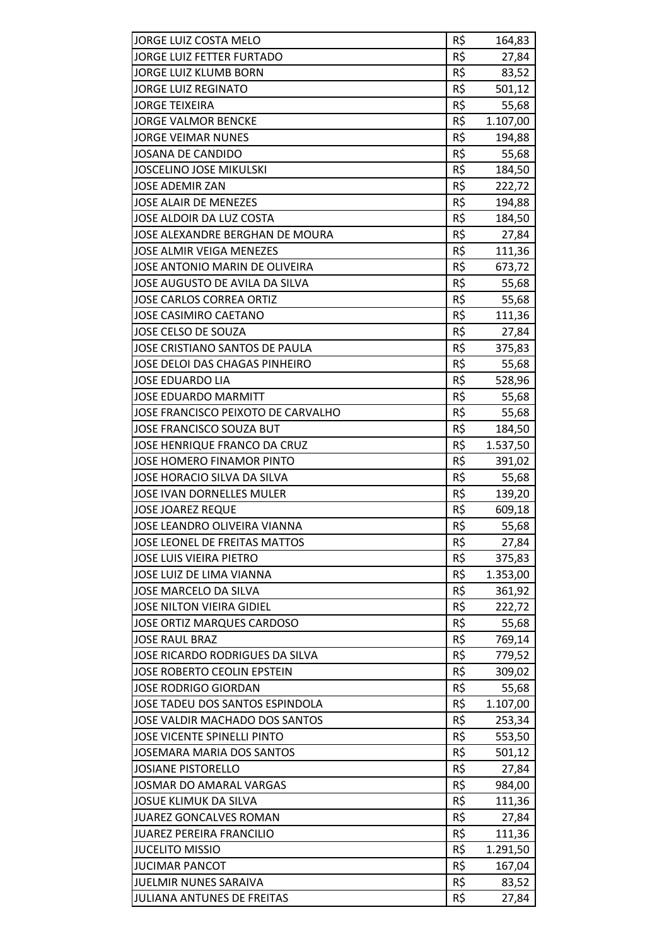| JORGE LUIZ COSTA MELO              | R\$ | 164,83   |
|------------------------------------|-----|----------|
| <b>JORGE LUIZ FETTER FURTADO</b>   | R\$ | 27,84    |
| JORGE LUIZ KLUMB BORN              | R\$ | 83,52    |
| <b>JORGE LUIZ REGINATO</b>         | R\$ | 501,12   |
| <b>JORGE TEIXEIRA</b>              | R\$ | 55,68    |
| <b>JORGE VALMOR BENCKE</b>         | R\$ | 1.107,00 |
| <b>JORGE VEIMAR NUNES</b>          | R\$ | 194,88   |
| <b>JOSANA DE CANDIDO</b>           | R\$ | 55,68    |
| <b>JOSCELINO JOSE MIKULSKI</b>     | R\$ | 184,50   |
| <b>JOSE ADEMIR ZAN</b>             | R\$ | 222,72   |
| <b>JOSE ALAIR DE MENEZES</b>       | R\$ | 194,88   |
| JOSE ALDOIR DA LUZ COSTA           | R\$ | 184,50   |
| JOSE ALEXANDRE BERGHAN DE MOURA    | R\$ | 27,84    |
| <b>JOSE ALMIR VEIGA MENEZES</b>    | R\$ | 111,36   |
| JOSE ANTONIO MARIN DE OLIVEIRA     | R\$ | 673,72   |
| JOSE AUGUSTO DE AVILA DA SILVA     | R\$ | 55,68    |
| <b>JOSE CARLOS CORREA ORTIZ</b>    | R\$ | 55,68    |
| <b>JOSE CASIMIRO CAETANO</b>       | R\$ | 111,36   |
| JOSE CELSO DE SOUZA                | R\$ | 27,84    |
| JOSE CRISTIANO SANTOS DE PAULA     | R\$ | 375,83   |
| JOSE DELOI DAS CHAGAS PINHEIRO     | R\$ | 55,68    |
| <b>JOSE EDUARDO LIA</b>            | R\$ | 528,96   |
| <b>JOSE EDUARDO MARMITT</b>        | R\$ | 55,68    |
| JOSE FRANCISCO PEIXOTO DE CARVALHO | R\$ | 55,68    |
| JOSE FRANCISCO SOUZA BUT           | R\$ | 184,50   |
| JOSE HENRIQUE FRANCO DA CRUZ       | R\$ | 1.537,50 |
| JOSE HOMERO FINAMOR PINTO          | R\$ | 391,02   |
| JOSE HORACIO SILVA DA SILVA        | R\$ | 55,68    |
| <b>JOSE IVAN DORNELLES MULER</b>   | R\$ | 139,20   |
| <b>JOSE JOAREZ REQUE</b>           | R\$ | 609,18   |
| JOSE LEANDRO OLIVEIRA VIANNA       | R\$ | 55,68    |
| JOSE LEONEL DE FREITAS MATTOS      | R\$ | 27,84    |
| <b>JOSE LUIS VIEIRA PIETRO</b>     | R\$ | 375,83   |
| JOSE LUIZ DE LIMA VIANNA           | R\$ | 1.353,00 |
| JOSE MARCELO DA SILVA              | R\$ | 361,92   |
| JOSE NILTON VIEIRA GIDIEL          | R\$ | 222,72   |
| <b>JOSE ORTIZ MARQUES CARDOSO</b>  | R\$ | 55,68    |
| <b>JOSE RAUL BRAZ</b>              | R\$ | 769,14   |
| JOSE RICARDO RODRIGUES DA SILVA    | R\$ | 779,52   |
| JOSE ROBERTO CEOLIN EPSTEIN        | R\$ | 309,02   |
| <b>JOSE RODRIGO GIORDAN</b>        | R\$ | 55,68    |
| JOSE TADEU DOS SANTOS ESPINDOLA    | R\$ | 1.107,00 |
| JOSE VALDIR MACHADO DOS SANTOS     | R\$ | 253,34   |
| <b>JOSE VICENTE SPINELLI PINTO</b> | R\$ | 553,50   |
| <b>JOSEMARA MARIA DOS SANTOS</b>   | R\$ | 501,12   |
| <b>JOSIANE PISTORELLO</b>          | R\$ | 27,84    |
| JOSMAR DO AMARAL VARGAS            | R\$ | 984,00   |
| <b>JOSUE KLIMUK DA SILVA</b>       | R\$ | 111,36   |
| <b>JUAREZ GONCALVES ROMAN</b>      | R\$ | 27,84    |
| <b>JUAREZ PEREIRA FRANCILIO</b>    | R\$ | 111,36   |
| <b>JUCELITO MISSIO</b>             | R\$ | 1.291,50 |
| <b>JUCIMAR PANCOT</b>              | R\$ | 167,04   |
| JUELMIR NUNES SARAIVA              | R\$ | 83,52    |
| <b>JULIANA ANTUNES DE FREITAS</b>  | R\$ | 27,84    |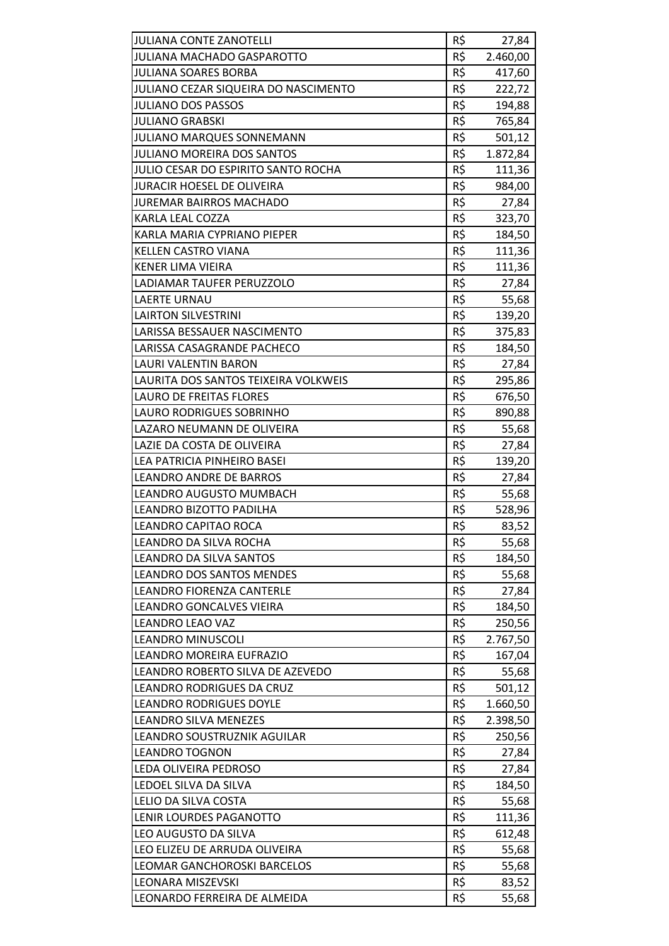| <b>JULIANA CONTE ZANOTELLI</b>              | R\$ | 27,84    |
|---------------------------------------------|-----|----------|
| <b>JULIANA MACHADO GASPAROTTO</b>           | R\$ | 2.460,00 |
| <b>JULIANA SOARES BORBA</b>                 | R\$ | 417,60   |
| <b>JULIANO CEZAR SIQUEIRA DO NASCIMENTO</b> | R\$ | 222,72   |
| <b>JULIANO DOS PASSOS</b>                   | R\$ | 194,88   |
| <b>JULIANO GRABSKI</b>                      | R\$ | 765,84   |
| <b>JULIANO MARQUES SONNEMANN</b>            | R\$ | 501,12   |
| <b>JULIANO MOREIRA DOS SANTOS</b>           | R\$ | 1.872,84 |
| JULIO CESAR DO ESPIRITO SANTO ROCHA         | R\$ | 111,36   |
| <b>JURACIR HOESEL DE OLIVEIRA</b>           | R\$ | 984,00   |
| <b>JUREMAR BAIRROS MACHADO</b>              | R\$ | 27,84    |
| KARLA LEAL COZZA                            | R\$ | 323,70   |
| KARLA MARIA CYPRIANO PIEPER                 | R\$ | 184,50   |
| KELLEN CASTRO VIANA                         | R\$ | 111,36   |
| <b>KENER LIMA VIEIRA</b>                    | R\$ | 111,36   |
| LADIAMAR TAUFER PERUZZOLO                   | R\$ | 27,84    |
| <b>LAERTE URNAU</b>                         | R\$ | 55,68    |
| <b>LAIRTON SILVESTRINI</b>                  | R\$ | 139,20   |
| LARISSA BESSAUER NASCIMENTO                 | R\$ | 375,83   |
| LARISSA CASAGRANDE PACHECO                  | R\$ | 184,50   |
| LAURI VALENTIN BARON                        | R\$ | 27,84    |
| LAURITA DOS SANTOS TEIXEIRA VOLKWEIS        | R\$ | 295,86   |
| <b>LAURO DE FREITAS FLORES</b>              | R\$ | 676,50   |
| LAURO RODRIGUES SOBRINHO                    | R\$ | 890,88   |
| LAZARO NEUMANN DE OLIVEIRA                  | R\$ | 55,68    |
| LAZIE DA COSTA DE OLIVEIRA                  | R\$ | 27,84    |
| LEA PATRICIA PINHEIRO BASEI                 | R\$ | 139,20   |
| <b>LEANDRO ANDRE DE BARROS</b>              | R\$ | 27,84    |
| LEANDRO AUGUSTO MUMBACH                     | R\$ | 55,68    |
| LEANDRO BIZOTTO PADILHA                     | R\$ | 528,96   |
| LEANDRO CAPITAO ROCA                        | R\$ | 83,52    |
| LEANDRO DA SILVA ROCHA                      | R\$ | 55,68    |
| LEANDRO DA SILVA SANTOS                     | R\$ | 184,50   |
| <b>LEANDRO DOS SANTOS MENDES</b>            | R\$ | 55,68    |
| LEANDRO FIORENZA CANTERLE                   | R\$ | 27,84    |
| LEANDRO GONCALVES VIEIRA                    | R\$ | 184,50   |
| <b>LEANDRO LEAO VAZ</b>                     | R\$ | 250,56   |
| <b>LEANDRO MINUSCOLI</b>                    | R\$ | 2.767,50 |
| LEANDRO MOREIRA EUFRAZIO                    | R\$ | 167,04   |
| LEANDRO ROBERTO SILVA DE AZEVEDO            | R\$ | 55,68    |
| LEANDRO RODRIGUES DA CRUZ                   | R\$ | 501,12   |
| <b>LEANDRO RODRIGUES DOYLE</b>              | R\$ | 1.660,50 |
| LEANDRO SILVA MENEZES                       | R\$ | 2.398,50 |
| LEANDRO SOUSTRUZNIK AGUILAR                 | R\$ | 250,56   |
| <b>LEANDRO TOGNON</b>                       | R\$ | 27,84    |
| LEDA OLIVEIRA PEDROSO                       | R\$ | 27,84    |
| LEDOEL SILVA DA SILVA                       | R\$ | 184,50   |
| LELIO DA SILVA COSTA                        | R\$ | 55,68    |
| LENIR LOURDES PAGANOTTO                     | R\$ | 111,36   |
| LEO AUGUSTO DA SILVA                        | R\$ | 612,48   |
| LEO ELIZEU DE ARRUDA OLIVEIRA               | R\$ | 55,68    |
| LEOMAR GANCHOROSKI BARCELOS                 | R\$ | 55,68    |
| LEONARA MISZEVSKI                           | R\$ | 83,52    |
| LEONARDO FERREIRA DE ALMEIDA                | R\$ | 55,68    |
|                                             |     |          |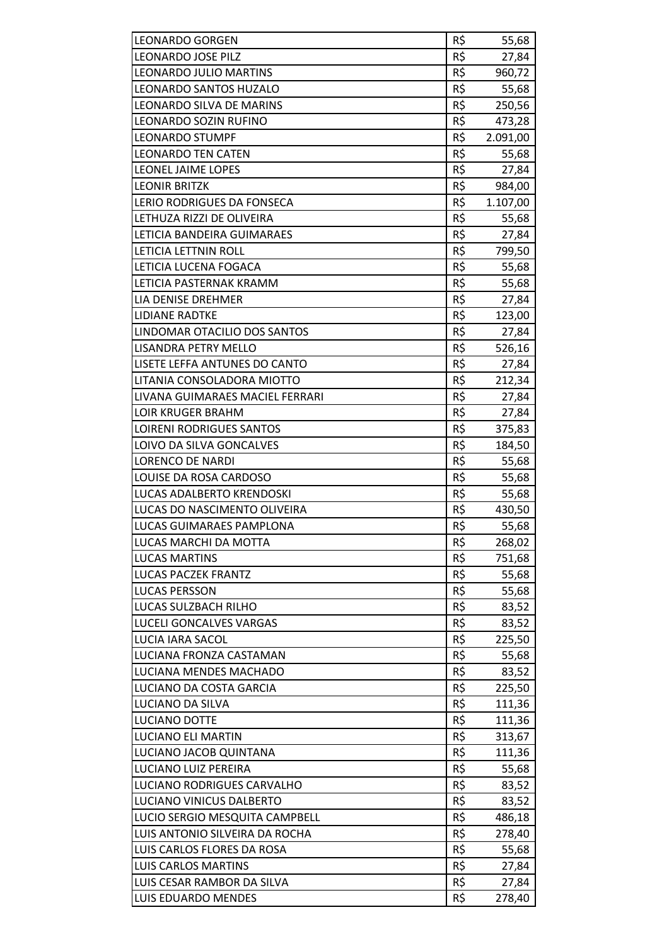| <b>LEONARDO GORGEN</b>          | R\$ | 55,68    |
|---------------------------------|-----|----------|
| <b>LEONARDO JOSE PILZ</b>       | R\$ | 27,84    |
| <b>LEONARDO JULIO MARTINS</b>   | R\$ | 960,72   |
| LEONARDO SANTOS HUZALO          | R\$ | 55,68    |
| LEONARDO SILVA DE MARINS        | R\$ | 250,56   |
| LEONARDO SOZIN RUFINO           | R\$ | 473,28   |
| <b>LEONARDO STUMPF</b>          | R\$ | 2.091,00 |
| <b>LEONARDO TEN CATEN</b>       | R\$ | 55,68    |
| LEONEL JAIME LOPES              | R\$ | 27,84    |
| <b>LEONIR BRITZK</b>            | R\$ | 984,00   |
| LERIO RODRIGUES DA FONSECA      | R\$ | 1.107,00 |
| LETHUZA RIZZI DE OLIVEIRA       | R\$ | 55,68    |
| LETICIA BANDEIRA GUIMARAES      | R\$ | 27,84    |
| LETICIA LETTNIN ROLL            | R\$ | 799,50   |
| LETICIA LUCENA FOGACA           | R\$ | 55,68    |
| LETICIA PASTERNAK KRAMM         | R\$ | 55,68    |
| LIA DENISE DREHMER              | R\$ | 27,84    |
| <b>LIDIANE RADTKE</b>           | R\$ |          |
| LINDOMAR OTACILIO DOS SANTOS    | R\$ | 123,00   |
|                                 |     | 27,84    |
| <b>LISANDRA PETRY MELLO</b>     | R\$ | 526,16   |
| LISETE LEFFA ANTUNES DO CANTO   | R\$ | 27,84    |
| LITANIA CONSOLADORA MIOTTO      | R\$ | 212,34   |
| LIVANA GUIMARAES MACIEL FERRARI | R\$ | 27,84    |
| <b>LOIR KRUGER BRAHM</b>        | R\$ | 27,84    |
| <b>LOIRENI RODRIGUES SANTOS</b> | R\$ | 375,83   |
| LOIVO DA SILVA GONCALVES        | R\$ | 184,50   |
| <b>LORENCO DE NARDI</b>         | R\$ | 55,68    |
| LOUISE DA ROSA CARDOSO          | R\$ | 55,68    |
| LUCAS ADALBERTO KRENDOSKI       | R\$ | 55,68    |
| LUCAS DO NASCIMENTO OLIVEIRA    | R\$ | 430,50   |
| LUCAS GUIMARAES PAMPLONA        | R\$ | 55,68    |
| LUCAS MARCHI DA MOTTA           | R\$ | 268,02   |
| <b>LUCAS MARTINS</b>            | R\$ | 751,68   |
| <b>LUCAS PACZEK FRANTZ</b>      | R\$ | 55,68    |
| <b>LUCAS PERSSON</b>            | R\$ | 55,68    |
| LUCAS SULZBACH RILHO            | R\$ | 83,52    |
| LUCELI GONCALVES VARGAS         | R\$ | 83,52    |
| LUCIA IARA SACOL                | R\$ | 225,50   |
| LUCIANA FRONZA CASTAMAN         | R\$ | 55,68    |
| LUCIANA MENDES MACHADO          | R\$ | 83,52    |
|                                 |     | 225,50   |
| LUCIANO DA COSTA GARCIA         | R\$ |          |
| LUCIANO DA SILVA                | R\$ | 111,36   |
| LUCIANO DOTTE                   | R\$ | 111,36   |
| <b>LUCIANO ELI MARTIN</b>       | R\$ | 313,67   |
| LUCIANO JACOB QUINTANA          | R\$ | 111,36   |
| LUCIANO LUIZ PEREIRA            | R\$ | 55,68    |
| LUCIANO RODRIGUES CARVALHO      | R\$ | 83,52    |
| LUCIANO VINICUS DALBERTO        | R\$ | 83,52    |
| LUCIO SERGIO MESQUITA CAMPBELL  | R\$ | 486,18   |
| LUIS ANTONIO SILVEIRA DA ROCHA  | R\$ | 278,40   |
| LUIS CARLOS FLORES DA ROSA      | R\$ | 55,68    |
| <b>LUIS CARLOS MARTINS</b>      | R\$ | 27,84    |
| LUIS CESAR RAMBOR DA SILVA      | R\$ | 27,84    |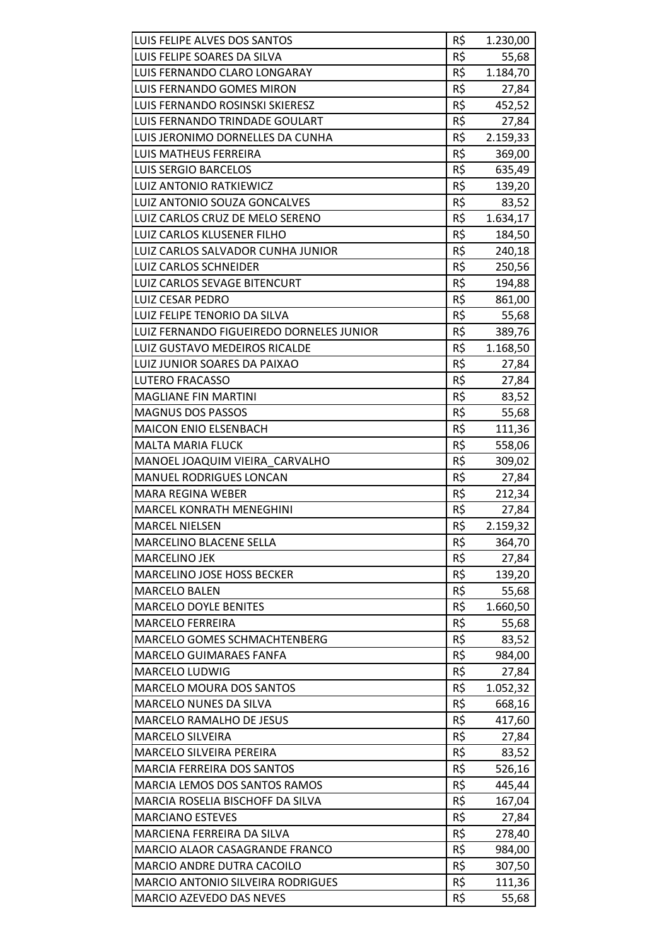| LUIS FELIPE ALVES DOS SANTOS             | R\$ | 1.230,00 |
|------------------------------------------|-----|----------|
| LUIS FELIPE SOARES DA SILVA              | R\$ | 55,68    |
| LUIS FERNANDO CLARO LONGARAY             | R\$ | 1.184,70 |
| LUIS FERNANDO GOMES MIRON                | R\$ | 27,84    |
| <b>LUIS FERNANDO ROSINSKI SKIERESZ</b>   | R\$ | 452,52   |
| LUIS FERNANDO TRINDADE GOULART           | R\$ | 27,84    |
| LUIS JERONIMO DORNELLES DA CUNHA         | R\$ | 2.159,33 |
| LUIS MATHEUS FERREIRA                    | R\$ | 369,00   |
| <b>LUIS SERGIO BARCELOS</b>              | R\$ | 635,49   |
| <b>LUIZ ANTONIO RATKIEWICZ</b>           | R\$ | 139,20   |
| LUIZ ANTONIO SOUZA GONCALVES             | R\$ | 83,52    |
| LUIZ CARLOS CRUZ DE MELO SERENO          | R\$ |          |
|                                          |     | 1.634,17 |
| LUIZ CARLOS KLUSENER FILHO               | R\$ | 184,50   |
| LUIZ CARLOS SALVADOR CUNHA JUNIOR        | R\$ | 240,18   |
| <b>LUIZ CARLOS SCHNEIDER</b>             | R\$ | 250,56   |
| LUIZ CARLOS SEVAGE BITENCURT             | R\$ | 194,88   |
| LUIZ CESAR PEDRO                         | R\$ | 861,00   |
| LUIZ FELIPE TENORIO DA SILVA             | R\$ | 55,68    |
| LUIZ FERNANDO FIGUEIREDO DORNELES JUNIOR | R\$ | 389,76   |
| LUIZ GUSTAVO MEDEIROS RICALDE            | R\$ | 1.168,50 |
| LUIZ JUNIOR SOARES DA PAIXAO             | R\$ | 27,84    |
| LUTERO FRACASSO                          | R\$ | 27,84    |
| <b>MAGLIANE FIN MARTINI</b>              | R\$ | 83,52    |
| <b>MAGNUS DOS PASSOS</b>                 | R\$ | 55,68    |
| <b>MAICON ENIO ELSENBACH</b>             | R\$ | 111,36   |
| <b>MALTA MARIA FLUCK</b>                 | R\$ | 558,06   |
| MANOEL JOAQUIM VIEIRA CARVALHO           | R\$ | 309,02   |
| <b>MANUEL RODRIGUES LONCAN</b>           | R\$ | 27,84    |
| <b>MARA REGINA WEBER</b>                 | R\$ | 212,34   |
| <b>MARCEL KONRATH MENEGHINI</b>          | R\$ | 27,84    |
| <b>MARCEL NIELSEN</b>                    | R\$ | 2.159,32 |
| MARCELINO BLACENE SELLA                  | R\$ | 364,70   |
| <b>MARCELINO JEK</b>                     | R\$ | 27,84    |
| MARCELINO JOSE HOSS BECKER               | R\$ | 139,20   |
| <b>MARCELO BALEN</b>                     | R\$ | 55,68    |
| <b>MARCELO DOYLE BENITES</b>             | R\$ | 1.660,50 |
| <b>MARCELO FERREIRA</b>                  | R\$ | 55,68    |
| MARCELO GOMES SCHMACHTENBERG             | R\$ | 83,52    |
| <b>MARCELO GUIMARAES FANFA</b>           | R\$ | 984,00   |
| MARCELO LUDWIG                           | R\$ | 27,84    |
| MARCELO MOURA DOS SANTOS                 | R\$ | 1.052,32 |
| MARCELO NUNES DA SILVA                   | R\$ | 668,16   |
| <b>MARCELO RAMALHO DE JESUS</b>          | R\$ |          |
| <b>MARCELO SILVEIRA</b>                  | R\$ | 417,60   |
| MARCELO SILVEIRA PEREIRA                 | R\$ | 27,84    |
|                                          |     | 83,52    |
| MARCIA FERREIRA DOS SANTOS               | R\$ | 526,16   |
| MARCIA LEMOS DOS SANTOS RAMOS            | R\$ | 445,44   |
| MARCIA ROSELIA BISCHOFF DA SILVA         | R\$ | 167,04   |
| <b>MARCIANO ESTEVES</b>                  | R\$ | 27,84    |
| MARCIENA FERREIRA DA SILVA               | R\$ | 278,40   |
| MARCIO ALAOR CASAGRANDE FRANCO           | R\$ | 984,00   |
| <b>MARCIO ANDRE DUTRA CACOILO</b>        | R\$ | 307,50   |
| MARCIO ANTONIO SILVEIRA RODRIGUES        | R\$ | 111,36   |
| MARCIO AZEVEDO DAS NEVES                 | R\$ | 55,68    |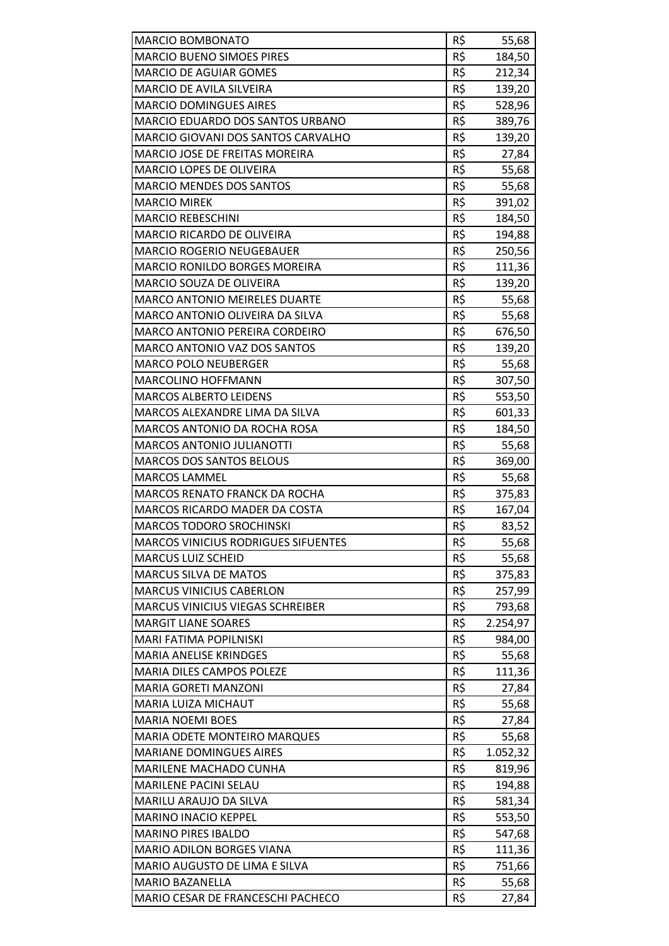| MARCIO BOMBONATO                           | R\$ | 55,68            |
|--------------------------------------------|-----|------------------|
| <b>MARCIO BUENO SIMOES PIRES</b>           | R\$ | 184,50           |
| <b>MARCIO DE AGUIAR GOMES</b>              | R\$ | 212,34           |
| MARCIO DE AVILA SILVEIRA                   | R\$ | 139,20           |
| <b>MARCIO DOMINGUES AIRES</b>              | R\$ | 528,96           |
| MARCIO EDUARDO DOS SANTOS URBANO           | R\$ | 389,76           |
| <b>MARCIO GIOVANI DOS SANTOS CARVALHO</b>  | R\$ | 139,20           |
| <b>MARCIO JOSE DE FREITAS MOREIRA</b>      | R\$ | 27,84            |
| MARCIO LOPES DE OLIVEIRA                   | R\$ | 55,68            |
| <b>MARCIO MENDES DOS SANTOS</b>            | R\$ | 55,68            |
| <b>MARCIO MIREK</b>                        | R\$ | 391,02           |
| <b>MARCIO REBESCHINI</b>                   | R\$ | 184,50           |
| <b>MARCIO RICARDO DE OLIVEIRA</b>          | R\$ | 194,88           |
| MARCIO ROGERIO NEUGEBAUER                  | R\$ | 250,56           |
| <b>MARCIO RONILDO BORGES MOREIRA</b>       | R\$ | 111,36           |
| <b>MARCIO SOUZA DE OLIVEIRA</b>            | R\$ | 139,20           |
| <b>MARCO ANTONIO MEIRELES DUARTE</b>       | R\$ | 55,68            |
| MARCO ANTONIO OLIVEIRA DA SILVA            | R\$ | 55,68            |
| <b>MARCO ANTONIO PEREIRA CORDEIRO</b>      | R\$ | 676,50           |
| MARCO ANTONIO VAZ DOS SANTOS               | R\$ | 139,20           |
| <b>MARCO POLO NEUBERGER</b>                | R\$ | 55,68            |
| <b>MARCOLINO HOFFMANN</b>                  | R\$ | 307,50           |
| <b>MARCOS ALBERTO LEIDENS</b>              | R\$ | 553,50           |
| MARCOS ALEXANDRE LIMA DA SILVA             | R\$ | 601,33           |
| <b>MARCOS ANTONIO DA ROCHA ROSA</b>        | R\$ | 184,50           |
| MARCOS ANTONIO JULIANOTTI                  | R\$ | 55,68            |
| <b>MARCOS DOS SANTOS BELOUS</b>            | R\$ | 369,00           |
| <b>MARCOS LAMMEL</b>                       | R\$ | 55,68            |
| <b>MARCOS RENATO FRANCK DA ROCHA</b>       | R\$ | 375,83           |
| MARCOS RICARDO MADER DA COSTA              | R\$ | 167,04           |
| <b>MARCOS TODORO SROCHINSKI</b>            | R\$ | 83,52            |
| <b>MARCOS VINICIUS RODRIGUES SIFUENTES</b> | R\$ | 55,68            |
| <b>MARCUS LUIZ SCHEID</b>                  | R\$ | 55,68            |
| <b>MARCUS SILVA DE MATOS</b>               | R\$ | 375,83           |
| <b>MARCUS VINICIUS CABERLON</b>            | R\$ | 257,99           |
| <b>MARCUS VINICIUS VIEGAS SCHREIBER</b>    | R\$ | 793,68           |
| <b>MARGIT LIANE SOARES</b>                 | R\$ | 2.254,97         |
| MARI FATIMA POPILNISKI                     | R\$ | 984,00           |
| <b>MARIA ANELISE KRINDGES</b>              | R\$ | 55,68            |
| <b>MARIA DILES CAMPOS POLEZE</b>           | R\$ | 111,36           |
| MARIA GORETI MANZONI                       | R\$ | 27,84            |
| MARIA LUIZA MICHAUT                        | R\$ | 55,68            |
| <b>MARIA NOEMI BOES</b>                    | R\$ | 27,84            |
| <b>MARIA ODETE MONTEIRO MARQUES</b>        | R\$ | 55,68            |
| <b>MARIANE DOMINGUES AIRES</b>             | R\$ | 1.052,32         |
| MARILENE MACHADO CUNHA                     | R\$ | 819,96           |
| MARILENE PACINI SELAU                      | R\$ | 194,88           |
| MARILU ARAUJO DA SILVA                     | R\$ | 581,34           |
| <b>MARINO INACIO KEPPEL</b>                | R\$ | 553,50           |
| <b>MARINO PIRES IBALDO</b>                 | R\$ |                  |
| <b>MARIO ADILON BORGES VIANA</b>           | R\$ | 547,68<br>111,36 |
| MARIO AUGUSTO DE LIMA E SILVA              | R\$ |                  |
|                                            | R\$ | 751,66           |
| <b>MARIO BAZANELLA</b>                     | R\$ | 55,68            |
| <b>MARIO CESAR DE FRANCESCHI PACHECO</b>   |     | 27,84            |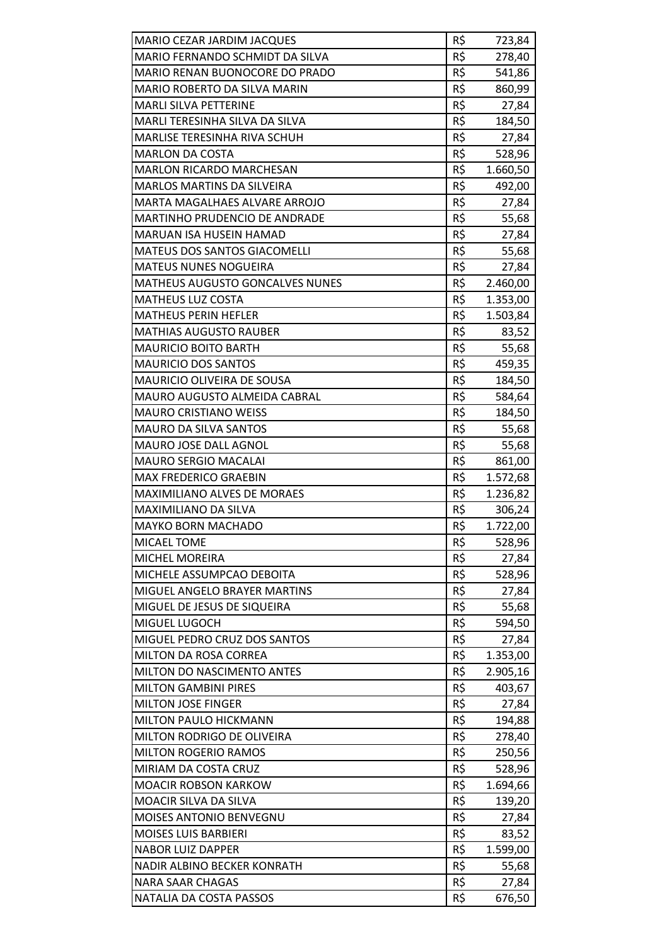| MARIO CEZAR JARDIM JACQUES           | R\$ | 723,84   |
|--------------------------------------|-----|----------|
| MARIO FERNANDO SCHMIDT DA SILVA      | R\$ | 278,40   |
| MARIO RENAN BUONOCORE DO PRADO       | R\$ | 541,86   |
| MARIO ROBERTO DA SILVA MARIN         | R\$ | 860,99   |
| <b>MARLI SILVA PETTERINE</b>         | R\$ | 27,84    |
| MARLI TERESINHA SILVA DA SILVA       | R\$ | 184,50   |
| <b>MARLISE TERESINHA RIVA SCHUH</b>  | R\$ | 27,84    |
| <b>MARLON DA COSTA</b>               | R\$ | 528,96   |
| <b>MARLON RICARDO MARCHESAN</b>      | R\$ | 1.660,50 |
| <b>MARLOS MARTINS DA SILVEIRA</b>    | R\$ | 492,00   |
| MARTA MAGALHAES ALVARE ARROJO        | R\$ | 27,84    |
| <b>MARTINHO PRUDENCIO DE ANDRADE</b> | R\$ | 55,68    |
| MARUAN ISA HUSEIN HAMAD              | R\$ | 27,84    |
| MATEUS DOS SANTOS GIACOMELLI         | R\$ | 55,68    |
| <b>MATEUS NUNES NOGUEIRA</b>         | R\$ | 27,84    |
| MATHEUS AUGUSTO GONCALVES NUNES      | R\$ | 2.460,00 |
| <b>MATHEUS LUZ COSTA</b>             | R\$ | 1.353,00 |
| <b>MATHEUS PERIN HEFLER</b>          | R\$ | 1.503,84 |
| <b>MATHIAS AUGUSTO RAUBER</b>        | R\$ | 83,52    |
| <b>MAURICIO BOITO BARTH</b>          | R\$ | 55,68    |
| <b>MAURICIO DOS SANTOS</b>           | R\$ | 459,35   |
| MAURICIO OLIVEIRA DE SOUSA           | R\$ | 184,50   |
| MAURO AUGUSTO ALMEIDA CABRAL         | R\$ | 584,64   |
| <b>MAURO CRISTIANO WEISS</b>         | R\$ | 184,50   |
| MAURO DA SILVA SANTOS                | R\$ | 55,68    |
| MAURO JOSE DALL AGNOL                | R\$ | 55,68    |
| <b>MAURO SERGIO MACALAI</b>          | R\$ | 861,00   |
| <b>MAX FREDERICO GRAEBIN</b>         | R\$ | 1.572,68 |
| <b>MAXIMILIANO ALVES DE MORAES</b>   | R\$ | 1.236,82 |
| MAXIMILIANO DA SILVA                 | R\$ | 306,24   |
| <b>MAYKO BORN MACHADO</b>            | R\$ | 1.722,00 |
| <b>MICAEL TOME</b>                   | R\$ | 528,96   |
| <b>MICHEL MOREIRA</b>                | R\$ | 27,84    |
| MICHELE ASSUMPCAO DEBOITA            | R\$ | 528,96   |
| MIGUEL ANGELO BRAYER MARTINS         | R\$ | 27,84    |
| MIGUEL DE JESUS DE SIQUEIRA          | R\$ | 55,68    |
| MIGUEL LUGOCH                        | R\$ | 594,50   |
| MIGUEL PEDRO CRUZ DOS SANTOS         | R\$ | 27,84    |
| MILTON DA ROSA CORREA                | R\$ | 1.353,00 |
| MILTON DO NASCIMENTO ANTES           | R\$ | 2.905,16 |
| <b>MILTON GAMBINI PIRES</b>          | R\$ | 403,67   |
| <b>MILTON JOSE FINGER</b>            | R\$ | 27,84    |
| MILTON PAULO HICKMANN                | R\$ | 194,88   |
| MILTON RODRIGO DE OLIVEIRA           | R\$ | 278,40   |
| <b>MILTON ROGERIO RAMOS</b>          | R\$ | 250,56   |
| MIRIAM DA COSTA CRUZ                 | R\$ | 528,96   |
| <b>MOACIR ROBSON KARKOW</b>          | R\$ | 1.694,66 |
| MOACIR SILVA DA SILVA                | R\$ | 139,20   |
| MOISES ANTONIO BENVEGNU              | R\$ | 27,84    |
| <b>MOISES LUIS BARBIERI</b>          | R\$ | 83,52    |
| <b>NABOR LUIZ DAPPER</b>             | R\$ | 1.599,00 |
| NADIR ALBINO BECKER KONRATH          | R\$ | 55,68    |
| <b>NARA SAAR CHAGAS</b>              | R\$ | 27,84    |
| NATALIA DA COSTA PASSOS              | R\$ | 676,50   |
|                                      |     |          |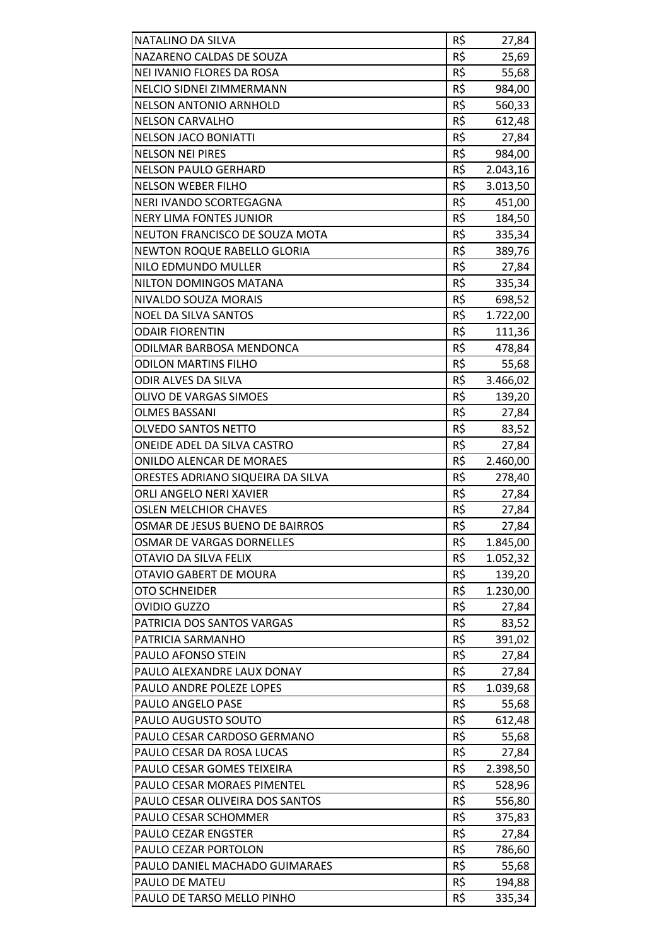| NATALINO DA SILVA                  | R\$        |                 |
|------------------------------------|------------|-----------------|
| NAZARENO CALDAS DE SOUZA           | R\$        | 27,84<br>25,69  |
| NEI IVANIO FLORES DA ROSA          | R\$        | 55,68           |
| NELCIO SIDNEI ZIMMERMANN           | R\$        | 984,00          |
| <b>NELSON ANTONIO ARNHOLD</b>      | R\$        | 560,33          |
| <b>NELSON CARVALHO</b>             | R\$        | 612,48          |
| <b>NELSON JACO BONIATTI</b>        | R\$        | 27,84           |
| <b>NELSON NEI PIRES</b>            | R\$        | 984,00          |
| <b>NELSON PAULO GERHARD</b>        | R\$        | 2.043,16        |
| <b>NELSON WEBER FILHO</b>          | R\$        | 3.013,50        |
| NERI IVANDO SCORTEGAGNA            | R\$        | 451,00          |
| <b>NERY LIMA FONTES JUNIOR</b>     | R\$        | 184,50          |
| NEUTON FRANCISCO DE SOUZA MOTA     | R\$        | 335,34          |
| <b>NEWTON ROQUE RABELLO GLORIA</b> | R\$        | 389,76          |
| NILO EDMUNDO MULLER                | R\$        |                 |
| NILTON DOMINGOS MATANA             | R\$        | 27,84<br>335,34 |
| NIVALDO SOUZA MORAIS               | R\$        |                 |
|                                    |            | 698,52          |
| <b>NOEL DA SILVA SANTOS</b>        | R\$<br>R\$ | 1.722,00        |
| <b>ODAIR FIORENTIN</b>             |            | 111,36          |
| ODILMAR BARBOSA MENDONCA           | R\$        | 478,84          |
| <b>ODILON MARTINS FILHO</b>        | R\$        | 55,68           |
| ODIR ALVES DA SILVA                | R\$        | 3.466,02        |
| OLIVO DE VARGAS SIMOES             | R\$        | 139,20          |
| <b>OLMES BASSANI</b>               | R\$        | 27,84           |
| <b>OLVEDO SANTOS NETTO</b>         | R\$        | 83,52           |
| ONEIDE ADEL DA SILVA CASTRO        | R\$        | 27,84           |
| <b>ONILDO ALENCAR DE MORAES</b>    | R\$        | 2.460,00        |
| ORESTES ADRIANO SIQUEIRA DA SILVA  | R\$        | 278,40          |
| ORLI ANGELO NERI XAVIER            | R\$        | 27,84           |
| <b>OSLEN MELCHIOR CHAVES</b>       | R\$        | 27,84           |
| OSMAR DE JESUS BUENO DE BAIRROS    | R\$        | 27,84           |
| OSMAR DE VARGAS DORNELLES          | R\$        | 1.845,00        |
| OTAVIO DA SILVA FELIX              | R\$        | 1.052,32        |
| <b>OTAVIO GABERT DE MOURA</b>      | R\$        | 139,20          |
| <b>OTO SCHNEIDER</b>               | R\$        | 1.230,00        |
| <b>OVIDIO GUZZO</b>                | R\$        | 27,84           |
| PATRICIA DOS SANTOS VARGAS         | R\$        | 83,52           |
| PATRICIA SARMANHO                  | R\$        | 391,02          |
| PAULO AFONSO STEIN                 | R\$        | 27,84           |
| PAULO ALEXANDRE LAUX DONAY         | R\$        | 27,84           |
| PAULO ANDRE POLEZE LOPES           | R\$        | 1.039,68        |
| PAULO ANGELO PASE                  | R\$        | 55,68           |
| PAULO AUGUSTO SOUTO                | R\$        | 612,48          |
| PAULO CESAR CARDOSO GERMANO        | R\$        | 55,68           |
| PAULO CESAR DA ROSA LUCAS          | R\$        | 27,84           |
| PAULO CESAR GOMES TEIXEIRA         | R\$        | 2.398,50        |
| PAULO CESAR MORAES PIMENTEL        | R\$        | 528,96          |
| PAULO CESAR OLIVEIRA DOS SANTOS    | R\$        | 556,80          |
| PAULO CESAR SCHOMMER               | R\$        | 375,83          |
| PAULO CEZAR ENGSTER                | R\$        | 27,84           |
| PAULO CEZAR PORTOLON               | R\$        | 786,60          |
| PAULO DANIEL MACHADO GUIMARAES     | R\$        | 55,68           |
| PAULO DE MATEU                     | R\$        | 194,88          |
| PAULO DE TARSO MELLO PINHO         | R\$        | 335,34          |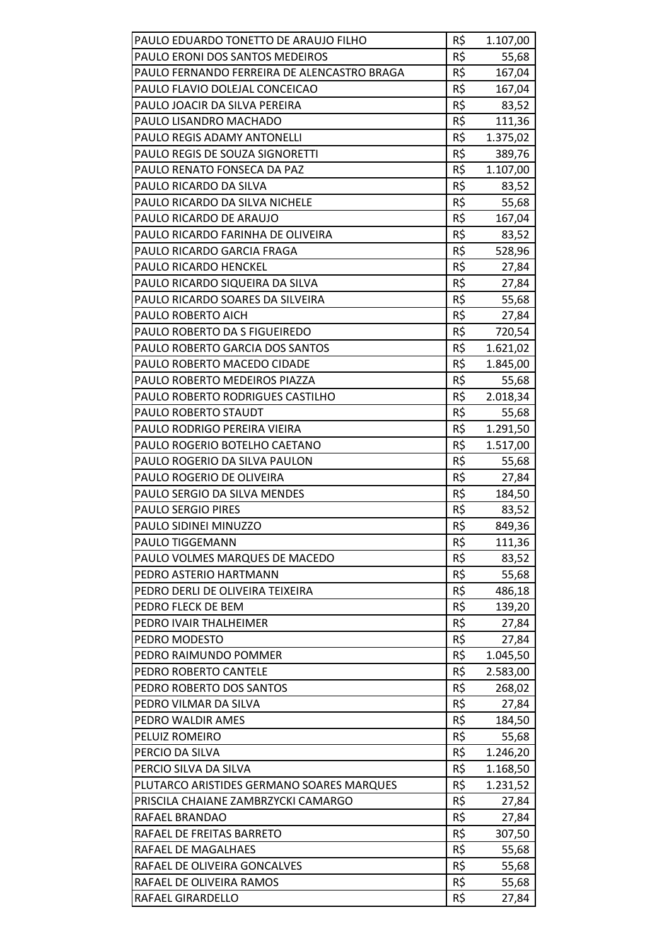| PAULO EDUARDO TONETTO DE ARAUJO FILHO       | R\$ | 1.107,00 |
|---------------------------------------------|-----|----------|
| PAULO ERONI DOS SANTOS MEDEIROS             | R\$ | 55,68    |
| PAULO FERNANDO FERREIRA DE ALENCASTRO BRAGA | R\$ | 167,04   |
| PAULO FLAVIO DOLEJAL CONCEICAO              | R\$ | 167,04   |
| PAULO JOACIR DA SILVA PEREIRA               | R\$ | 83,52    |
| PAULO LISANDRO MACHADO                      | R\$ | 111,36   |
| PAULO REGIS ADAMY ANTONELLI                 | R\$ | 1.375,02 |
| PAULO REGIS DE SOUZA SIGNORETTI             | R\$ | 389,76   |
| PAULO RENATO FONSECA DA PAZ                 | R\$ | 1.107,00 |
| PAULO RICARDO DA SILVA                      | R\$ | 83,52    |
| PAULO RICARDO DA SILVA NICHELE              | R\$ | 55,68    |
| PAULO RICARDO DE ARAUJO                     | R\$ | 167,04   |
| PAULO RICARDO FARINHA DE OLIVEIRA           | R\$ | 83,52    |
| PAULO RICARDO GARCIA FRAGA                  | R\$ | 528,96   |
| <b>PAULO RICARDO HENCKEL</b>                | R\$ | 27,84    |
| PAULO RICARDO SIQUEIRA DA SILVA             | R\$ | 27,84    |
| PAULO RICARDO SOARES DA SILVEIRA            | R\$ | 55,68    |
| PAULO ROBERTO AICH                          | R\$ | 27,84    |
| PAULO ROBERTO DA S FIGUEIREDO               | R\$ | 720,54   |
| PAULO ROBERTO GARCIA DOS SANTOS             | R\$ | 1.621,02 |
| PAULO ROBERTO MACEDO CIDADE                 | R\$ | 1.845,00 |
| PAULO ROBERTO MEDEIROS PIAZZA               | R\$ | 55,68    |
| PAULO ROBERTO RODRIGUES CASTILHO            | R\$ | 2.018,34 |
| PAULO ROBERTO STAUDT                        | R\$ | 55,68    |
| PAULO RODRIGO PEREIRA VIEIRA                | R\$ | 1.291,50 |
| PAULO ROGERIO BOTELHO CAETANO               | R\$ | 1.517,00 |
| PAULO ROGERIO DA SILVA PAULON               | R\$ | 55,68    |
| PAULO ROGERIO DE OLIVEIRA                   | R\$ | 27,84    |
| PAULO SERGIO DA SILVA MENDES                | R\$ | 184,50   |
| <b>PAULO SERGIO PIRES</b>                   | R\$ | 83,52    |
| PAULO SIDINEI MINUZZO                       | R\$ | 849,36   |
| PAULO TIGGEMANN                             | R\$ | 111,36   |
| PAULO VOLMES MARQUES DE MACEDO              | R\$ | 83,52    |
| PEDRO ASTERIO HARTMANN                      | R\$ | 55,68    |
| PEDRO DERLI DE OLIVEIRA TEIXEIRA            | R\$ | 486,18   |
| PEDRO FLECK DE BEM                          | R\$ | 139,20   |
| PEDRO IVAIR THALHEIMER                      | R\$ | 27,84    |
| PEDRO MODESTO                               | R\$ | 27,84    |
| PEDRO RAIMUNDO POMMER                       | R\$ | 1.045,50 |
| PEDRO ROBERTO CANTELE                       | R\$ | 2.583,00 |
| PEDRO ROBERTO DOS SANTOS                    | R\$ | 268,02   |
| PEDRO VILMAR DA SILVA                       | R\$ | 27,84    |
| PEDRO WALDIR AMES                           | R\$ | 184,50   |
| PELUIZ ROMEIRO                              | R\$ | 55,68    |
| PERCIO DA SILVA                             | R\$ | 1.246,20 |
| PERCIO SILVA DA SILVA                       | R\$ | 1.168,50 |
| PLUTARCO ARISTIDES GERMANO SOARES MARQUES   | R\$ | 1.231,52 |
| PRISCILA CHAIANE ZAMBRZYCKI CAMARGO         | R\$ | 27,84    |
| RAFAEL BRANDAO                              | R\$ | 27,84    |
| RAFAEL DE FREITAS BARRETO                   | R\$ | 307,50   |
| RAFAEL DE MAGALHAES                         | R\$ | 55,68    |
| RAFAEL DE OLIVEIRA GONCALVES                | R\$ | 55,68    |
| RAFAEL DE OLIVEIRA RAMOS                    | R\$ | 55,68    |
| RAFAEL GIRARDELLO                           | R\$ | 27,84    |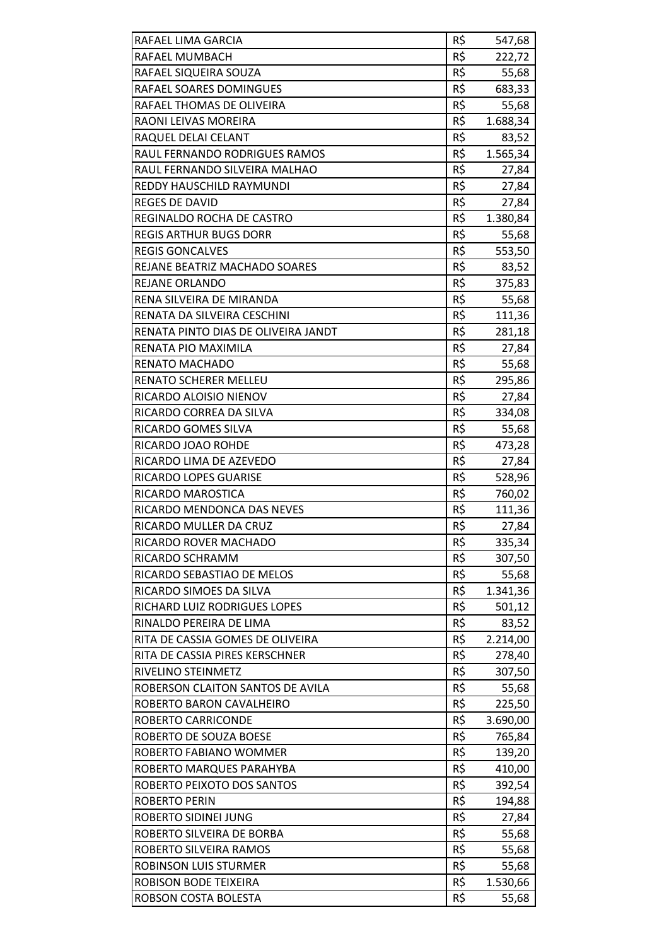| RAFAEL LIMA GARCIA                   | R\$ | 547,68   |
|--------------------------------------|-----|----------|
| RAFAEL MUMBACH                       | R\$ | 222,72   |
| RAFAEL SIQUEIRA SOUZA                | R\$ | 55,68    |
| RAFAEL SOARES DOMINGUES              | R\$ | 683,33   |
| RAFAEL THOMAS DE OLIVEIRA            | R\$ | 55,68    |
| RAONI LEIVAS MOREIRA                 | R\$ | 1.688,34 |
| RAQUEL DELAI CELANT                  | R\$ | 83,52    |
| RAUL FERNANDO RODRIGUES RAMOS        | R\$ | 1.565,34 |
| RAUL FERNANDO SILVEIRA MALHAO        | R\$ | 27,84    |
| REDDY HAUSCHILD RAYMUNDI             | R\$ | 27,84    |
| REGES DE DAVID                       | R\$ | 27,84    |
| REGINALDO ROCHA DE CASTRO            | R\$ | 1.380,84 |
| <b>REGIS ARTHUR BUGS DORR</b>        | R\$ | 55,68    |
| <b>REGIS GONCALVES</b>               | R\$ | 553,50   |
| <b>REJANE BEATRIZ MACHADO SOARES</b> | R\$ | 83,52    |
| REJANE ORLANDO                       | R\$ | 375,83   |
| RENA SILVEIRA DE MIRANDA             | R\$ | 55,68    |
| RENATA DA SILVEIRA CESCHINI          | R\$ | 111,36   |
| RENATA PINTO DIAS DE OLIVEIRA JANDT  | R\$ | 281,18   |
| RENATA PIO MAXIMILA                  | R\$ | 27,84    |
| RENATO MACHADO                       | R\$ | 55,68    |
| RENATO SCHERER MELLEU                | R\$ | 295,86   |
| RICARDO ALOISIO NIENOV               | R\$ | 27,84    |
| RICARDO CORREA DA SILVA              | R\$ | 334,08   |
| RICARDO GOMES SILVA                  | R\$ | 55,68    |
| RICARDO JOAO ROHDE                   | R\$ | 473,28   |
| RICARDO LIMA DE AZEVEDO              | R\$ | 27,84    |
| <b>RICARDO LOPES GUARISE</b>         | R\$ | 528,96   |
| RICARDO MAROSTICA                    | R\$ | 760,02   |
| RICARDO MENDONCA DAS NEVES           | R\$ | 111,36   |
| RICARDO MULLER DA CRUZ               | R\$ | 27,84    |
| RICARDO ROVER MACHADO                | R\$ | 335,34   |
| RICARDO SCHRAMM                      | R\$ | 307,50   |
| RICARDO SEBASTIAO DE MELOS           | R\$ | 55,68    |
| RICARDO SIMOES DA SILVA              | R\$ | 1.341,36 |
| RICHARD LUIZ RODRIGUES LOPES         | R\$ | 501,12   |
| RINALDO PEREIRA DE LIMA              | R\$ | 83,52    |
| RITA DE CASSIA GOMES DE OLIVEIRA     | R\$ | 2.214,00 |
| RITA DE CASSIA PIRES KERSCHNER       | R\$ | 278,40   |
| RIVELINO STEINMETZ                   | R\$ | 307,50   |
| ROBERSON CLAITON SANTOS DE AVILA     | R\$ | 55,68    |
| ROBERTO BARON CAVALHEIRO             | R\$ | 225,50   |
| ROBERTO CARRICONDE                   | R\$ | 3.690,00 |
| ROBERTO DE SOUZA BOESE               | R\$ | 765,84   |
| ROBERTO FABIANO WOMMER               | R\$ | 139,20   |
| ROBERTO MARQUES PARAHYBA             | R\$ | 410,00   |
| ROBERTO PEIXOTO DOS SANTOS           | R\$ | 392,54   |
| <b>ROBERTO PERIN</b>                 | R\$ | 194,88   |
| ROBERTO SIDINEI JUNG                 | R\$ | 27,84    |
| ROBERTO SILVEIRA DE BORBA            | R\$ | 55,68    |
| ROBERTO SILVEIRA RAMOS               | R\$ | 55,68    |
| ROBINSON LUIS STURMER                | R\$ | 55,68    |
| ROBISON BODE TEIXEIRA                | R\$ | 1.530,66 |
| ROBSON COSTA BOLESTA                 | R\$ | 55,68    |
|                                      |     |          |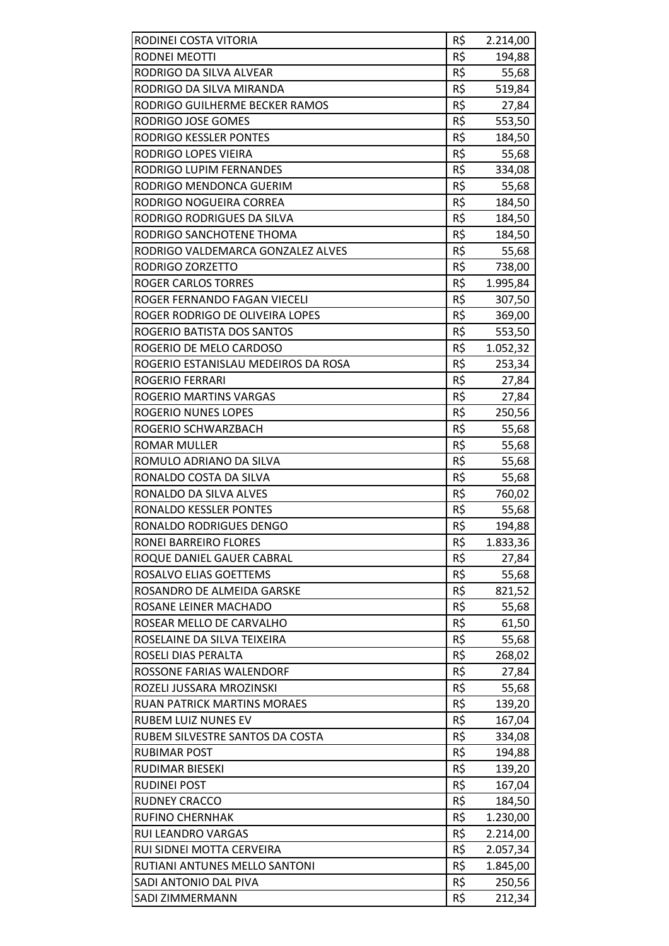| RODINEI COSTA VITORIA               | R\$ | 2.214,00 |
|-------------------------------------|-----|----------|
| RODNEI MEOTTI                       | R\$ | 194,88   |
| RODRIGO DA SILVA ALVEAR             | R\$ | 55,68    |
| RODRIGO DA SILVA MIRANDA            | R\$ | 519,84   |
| RODRIGO GUILHERME BECKER RAMOS      | R\$ | 27,84    |
| RODRIGO JOSE GOMES                  | R\$ | 553,50   |
| RODRIGO KESSLER PONTES              | R\$ | 184,50   |
| <b>RODRIGO LOPES VIEIRA</b>         | R\$ | 55,68    |
| RODRIGO LUPIM FERNANDES             | R\$ | 334,08   |
| RODRIGO MENDONCA GUERIM             | R\$ | 55,68    |
| RODRIGO NOGUEIRA CORREA             | R\$ | 184,50   |
| RODRIGO RODRIGUES DA SILVA          | R\$ | 184,50   |
| RODRIGO SANCHOTENE THOMA            | R\$ | 184,50   |
| RODRIGO VALDEMARCA GONZALEZ ALVES   | R\$ | 55,68    |
| RODRIGO ZORZETTO                    | R\$ | 738,00   |
| <b>ROGER CARLOS TORRES</b>          | R\$ | 1.995,84 |
| ROGER FERNANDO FAGAN VIECELI        | R\$ | 307,50   |
| ROGER RODRIGO DE OLIVEIRA LOPES     | R\$ |          |
| ROGERIO BATISTA DOS SANTOS          | R\$ | 369,00   |
|                                     |     | 553,50   |
| ROGERIO DE MELO CARDOSO             | R\$ | 1.052,32 |
| ROGERIO ESTANISLAU MEDEIROS DA ROSA | R\$ | 253,34   |
| ROGERIO FERRARI                     | R\$ | 27,84    |
| ROGERIO MARTINS VARGAS              | R\$ | 27,84    |
| ROGERIO NUNES LOPES                 | R\$ | 250,56   |
| ROGERIO SCHWARZBACH                 | R\$ | 55,68    |
| <b>ROMAR MULLER</b>                 | R\$ | 55,68    |
| ROMULO ADRIANO DA SILVA             | R\$ | 55,68    |
| RONALDO COSTA DA SILVA              | R\$ | 55,68    |
| RONALDO DA SILVA ALVES              | R\$ | 760,02   |
| RONALDO KESSLER PONTES              | R\$ | 55,68    |
| RONALDO RODRIGUES DENGO             | R\$ | 194,88   |
| RONEI BARREIRO FLORES               | R\$ | 1.833,36 |
| ROQUE DANIEL GAUER CABRAL           | R\$ | 27,84    |
| ROSALVO ELIAS GOETTEMS              | R\$ | 55,68    |
| ROSANDRO DE ALMEIDA GARSKE          | R\$ | 821,52   |
| ROSANE LEINER MACHADO               | R\$ | 55,68    |
| ROSEAR MELLO DE CARVALHO            | R\$ | 61,50    |
| ROSELAINE DA SILVA TEIXEIRA         | R\$ | 55,68    |
| ROSELI DIAS PERALTA                 | R\$ | 268,02   |
| ROSSONE FARIAS WALENDORF            | R\$ | 27,84    |
| ROZELI JUSSARA MROZINSKI            | R\$ | 55,68    |
| RUAN PATRICK MARTINS MORAES         | R\$ | 139,20   |
| <b>RUBEM LUIZ NUNES EV</b>          | R\$ | 167,04   |
| RUBEM SILVESTRE SANTOS DA COSTA     | R\$ | 334,08   |
| RUBIMAR POST                        | R\$ | 194,88   |
| RUDIMAR BIESEKI                     | R\$ | 139,20   |
| RUDINEI POST                        | R\$ | 167,04   |
| <b>RUDNEY CRACCO</b>                | R\$ | 184,50   |
| <b>RUFINO CHERNHAK</b>              | R\$ | 1.230,00 |
| <b>RUI LEANDRO VARGAS</b>           | R\$ | 2.214,00 |
| RUI SIDNEI MOTTA CERVEIRA           | R\$ | 2.057,34 |
| RUTIANI ANTUNES MELLO SANTONI       | R\$ | 1.845,00 |
| SADI ANTONIO DAL PIVA               | R\$ | 250,56   |
| <b>SADI ZIMMERMANN</b>              | R\$ | 212,34   |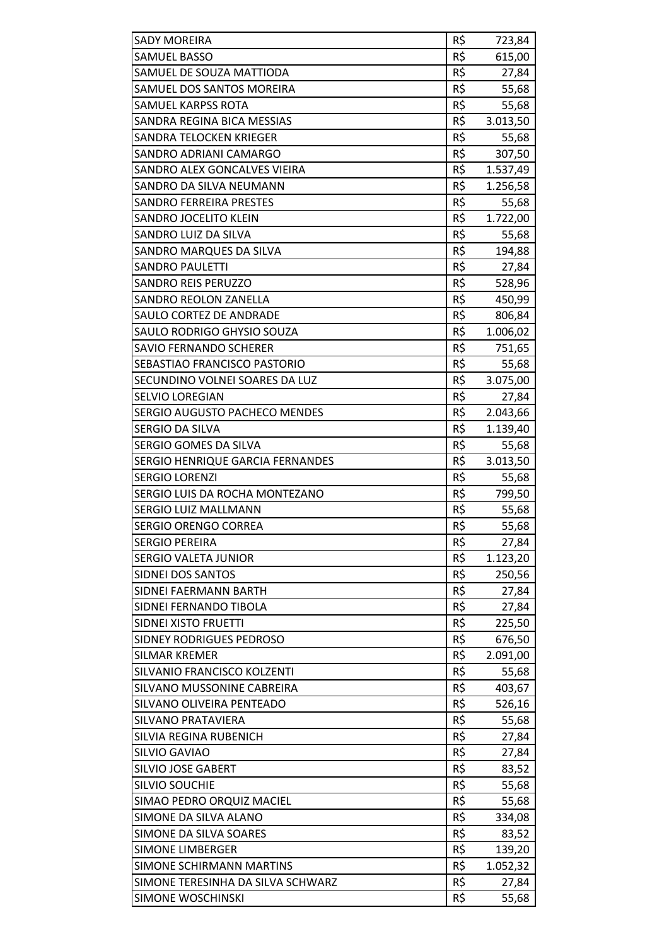| <b>SADY MOREIRA</b>               | R\$ | 723,84   |
|-----------------------------------|-----|----------|
| <b>SAMUEL BASSO</b>               | R\$ | 615,00   |
| SAMUEL DE SOUZA MATTIODA          | R\$ | 27,84    |
| SAMUEL DOS SANTOS MOREIRA         | R\$ | 55,68    |
| <b>SAMUEL KARPSS ROTA</b>         | R\$ | 55,68    |
| SANDRA REGINA BICA MESSIAS        | R\$ | 3.013,50 |
| SANDRA TELOCKEN KRIEGER           | R\$ | 55,68    |
| SANDRO ADRIANI CAMARGO            | R\$ | 307,50   |
| SANDRO ALEX GONCALVES VIEIRA      | R\$ | 1.537,49 |
| SANDRO DA SILVA NEUMANN           | R\$ | 1.256,58 |
| <b>SANDRO FERREIRA PRESTES</b>    | R\$ | 55,68    |
| SANDRO JOCELITO KLEIN             | R\$ | 1.722,00 |
| SANDRO LUIZ DA SILVA              | R\$ | 55,68    |
| SANDRO MARQUES DA SILVA           | R\$ | 194,88   |
| <b>SANDRO PAULETTI</b>            | R\$ | 27,84    |
| <b>SANDRO REIS PERUZZO</b>        | R\$ | 528,96   |
| SANDRO REOLON ZANELLA             | R\$ | 450,99   |
| <b>SAULO CORTEZ DE ANDRADE</b>    | R\$ | 806,84   |
| SAULO RODRIGO GHYSIO SOUZA        | R\$ | 1.006,02 |
| <b>SAVIO FERNANDO SCHERER</b>     | R\$ |          |
|                                   | R\$ | 751,65   |
| SEBASTIAO FRANCISCO PASTORIO      |     | 55,68    |
| SECUNDINO VOLNEI SOARES DA LUZ    | R\$ | 3.075,00 |
| <b>SELVIO LOREGIAN</b>            | R\$ | 27,84    |
| SERGIO AUGUSTO PACHECO MENDES     | R\$ | 2.043,66 |
| SERGIO DA SILVA                   | R\$ | 1.139,40 |
| SERGIO GOMES DA SILVA             | R\$ | 55,68    |
| SERGIO HENRIQUE GARCIA FERNANDES  | R\$ | 3.013,50 |
| <b>SERGIO LORENZI</b>             | R\$ | 55,68    |
| SERGIO LUIS DA ROCHA MONTEZANO    | R\$ | 799,50   |
| <b>SERGIO LUIZ MALLMANN</b>       | R\$ | 55,68    |
| <b>SERGIO ORENGO CORREA</b>       | R\$ | 55,68    |
| <b>SERGIO PEREIRA</b>             | R\$ | 27,84    |
| SERGIO VALETA JUNIOR              | R\$ | 1.123,20 |
| <b>SIDNEI DOS SANTOS</b>          | R\$ | 250,56   |
| SIDNEI FAERMANN BARTH             | R\$ | 27,84    |
| SIDNEI FERNANDO TIBOLA            | R\$ | 27,84    |
| SIDNEI XISTO FRUETTI              | R\$ | 225,50   |
| SIDNEY RODRIGUES PEDROSO          | R\$ | 676,50   |
| <b>SILMAR KREMER</b>              | R\$ | 2.091,00 |
| SILVANIO FRANCISCO KOLZENTI       | R\$ | 55,68    |
| SILVANO MUSSONINE CABREIRA        | R\$ | 403,67   |
| SILVANO OLIVEIRA PENTEADO         | R\$ | 526,16   |
| <b>SILVANO PRATAVIERA</b>         | R\$ | 55,68    |
| SILVIA REGINA RUBENICH            | R\$ | 27,84    |
| SILVIO GAVIAO                     | R\$ | 27,84    |
| SILVIO JOSE GABERT                | R\$ | 83,52    |
| <b>SILVIO SOUCHIE</b>             | R\$ | 55,68    |
| SIMAO PEDRO ORQUIZ MACIEL         | R\$ | 55,68    |
| SIMONE DA SILVA ALANO             | R\$ | 334,08   |
| SIMONE DA SILVA SOARES            | R\$ | 83,52    |
| <b>SIMONE LIMBERGER</b>           | R\$ | 139,20   |
| SIMONE SCHIRMANN MARTINS          | R\$ | 1.052,32 |
| SIMONE TERESINHA DA SILVA SCHWARZ | R\$ | 27,84    |
| <b>SIMONE WOSCHINSKI</b>          | R\$ | 55,68    |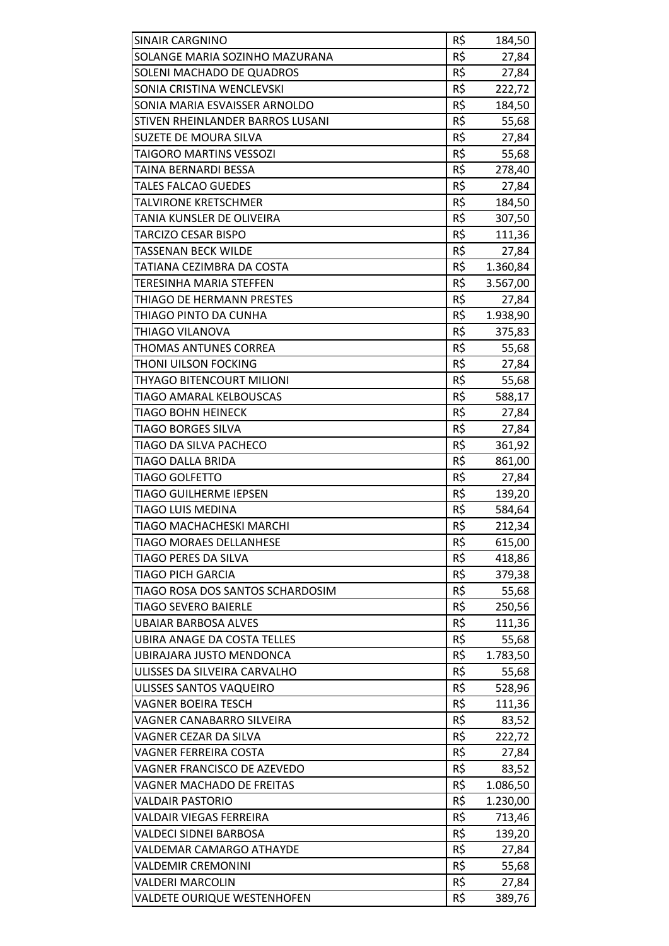| <b>SINAIR CARGNINO</b>             | R\$ | 184,50               |
|------------------------------------|-----|----------------------|
| SOLANGE MARIA SOZINHO MAZURANA     | R\$ | 27,84                |
| SOLENI MACHADO DE QUADROS          | R\$ | 27,84                |
| SONIA CRISTINA WENCLEVSKI          | R\$ | 222,72               |
| SONIA MARIA ESVAISSER ARNOLDO      | R\$ | 184,50               |
| STIVEN RHEINLANDER BARROS LUSANI   | R\$ | 55,68                |
| SUZETE DE MOURA SILVA              | R\$ | 27,84                |
| <b>TAIGORO MARTINS VESSOZI</b>     | R\$ | 55,68                |
| TAINA BERNARDI BESSA               | R\$ | 278,40               |
| <b>TALES FALCAO GUEDES</b>         | R\$ | 27,84                |
| <b>TALVIRONE KRETSCHMER</b>        | R\$ | 184,50               |
| TANIA KUNSLER DE OLIVEIRA          | R\$ | 307,50               |
| <b>TARCIZO CESAR BISPO</b>         | R\$ | 111,36               |
| <b>TASSENAN BECK WILDE</b>         | R\$ | 27,84                |
| TATIANA CEZIMBRA DA COSTA          | R\$ |                      |
| <b>TERESINHA MARIA STEFFEN</b>     | R\$ | 1.360,84<br>3.567,00 |
|                                    | R\$ |                      |
| THIAGO DE HERMANN PRESTES          |     | 27,84                |
| THIAGO PINTO DA CUNHA              | R\$ | 1.938,90             |
| THIAGO VILANOVA                    | R\$ | 375,83               |
| THOMAS ANTUNES CORREA              | R\$ | 55,68                |
| THONI UILSON FOCKING               | R\$ | 27,84                |
| THYAGO BITENCOURT MILIONI          | R\$ | 55,68                |
| TIAGO AMARAL KELBOUSCAS            | R\$ | 588,17               |
| <b>TIAGO BOHN HEINECK</b>          | R\$ | 27,84                |
| <b>TIAGO BORGES SILVA</b>          | R\$ | 27,84                |
| TIAGO DA SILVA PACHECO             | R\$ | 361,92               |
| <b>TIAGO DALLA BRIDA</b>           | R\$ | 861,00               |
| <b>TIAGO GOLFETTO</b>              | R\$ | 27,84                |
| <b>TIAGO GUILHERME IEPSEN</b>      | R\$ | 139,20               |
| <b>TIAGO LUIS MEDINA</b>           | R\$ | 584,64               |
| TIAGO MACHACHESKI MARCHI           | R\$ | 212,34               |
| <b>TIAGO MORAES DELLANHESE</b>     | R\$ | 615,00               |
| TIAGO PERES DA SILVA               | R\$ | 418,86               |
| <b>TIAGO PICH GARCIA</b>           | R\$ | 379,38               |
| TIAGO ROSA DOS SANTOS SCHARDOSIM   | R\$ | 55,68                |
| <b>TIAGO SEVERO BAIERLE</b>        | R\$ | 250,56               |
| <b>UBAIAR BARBOSA ALVES</b>        | R\$ | 111,36               |
| <b>UBIRA ANAGE DA COSTA TELLES</b> | R\$ | 55,68                |
| UBIRAJARA JUSTO MENDONCA           | R\$ | 1.783,50             |
| ULISSES DA SILVEIRA CARVALHO       | R\$ | 55,68                |
| ULISSES SANTOS VAQUEIRO            | R\$ | 528,96               |
| <b>VAGNER BOEIRA TESCH</b>         | R\$ | 111,36               |
| VAGNER CANABARRO SILVEIRA          | R\$ | 83,52                |
| VAGNER CEZAR DA SILVA              | R\$ | 222,72               |
| <b>VAGNER FERREIRA COSTA</b>       | R\$ | 27,84                |
| VAGNER FRANCISCO DE AZEVEDO        | R\$ | 83,52                |
| <b>VAGNER MACHADO DE FREITAS</b>   | R\$ | 1.086,50             |
| <b>VALDAIR PASTORIO</b>            | R\$ | 1.230,00             |
| VALDAIR VIEGAS FERREIRA            | R\$ | 713,46               |
| <b>VALDECI SIDNEI BARBOSA</b>      | R\$ | 139,20               |
| <b>VALDEMAR CAMARGO ATHAYDE</b>    | R\$ | 27,84                |
| <b>VALDEMIR CREMONINI</b>          | R\$ | 55,68                |
| <b>VALDERI MARCOLIN</b>            | R\$ | 27,84                |
| VALDETE OURIQUE WESTENHOFEN        | R\$ | 389,76               |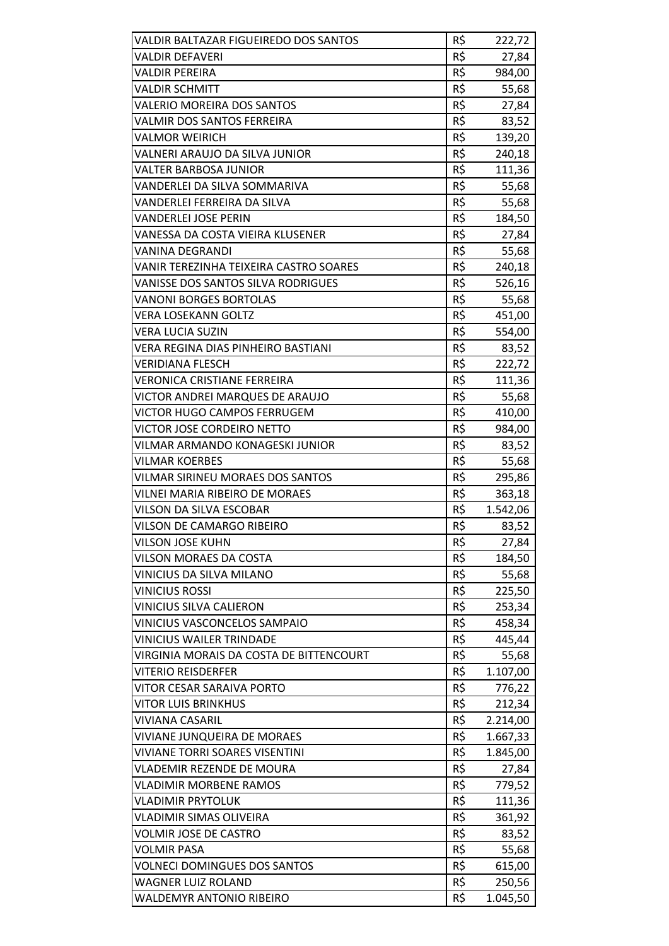| VALDIR BALTAZAR FIGUEIREDO DOS SANTOS                            | R\$        | 222,72             |
|------------------------------------------------------------------|------------|--------------------|
| <b>VALDIR DEFAVERI</b>                                           | R\$        | 27,84              |
| <b>VALDIR PEREIRA</b>                                            | R\$        | 984,00             |
| <b>VALDIR SCHMITT</b>                                            | R\$        | 55,68              |
| VALERIO MOREIRA DOS SANTOS                                       | R\$        | 27,84              |
| <b>VALMIR DOS SANTOS FERREIRA</b>                                | R\$        | 83,52              |
| <b>VALMOR WEIRICH</b>                                            | R\$        | 139,20             |
| VALNERI ARAUJO DA SILVA JUNIOR                                   | R\$        | 240,18             |
| <b>VALTER BARBOSA JUNIOR</b>                                     | R\$        | 111,36             |
| VANDERLEI DA SILVA SOMMARIVA                                     | R\$        | 55,68              |
| VANDERLEI FERREIRA DA SILVA                                      | R\$        | 55,68              |
| <b>VANDERLEI JOSE PERIN</b>                                      | R\$        | 184,50             |
| VANESSA DA COSTA VIEIRA KLUSENER                                 | R\$        | 27,84              |
| <b>VANINA DEGRANDI</b>                                           | R\$        | 55,68              |
| VANIR TEREZINHA TEIXEIRA CASTRO SOARES                           | R\$        | 240,18             |
| <b>VANISSE DOS SANTOS SILVA RODRIGUES</b>                        | R\$        | 526,16             |
| <b>VANONI BORGES BORTOLAS</b>                                    | R\$        | 55,68              |
| <b>VERA LOSEKANN GOLTZ</b>                                       | R\$        | 451,00             |
| <b>VERA LUCIA SUZIN</b>                                          | R\$        | 554,00             |
| VERA REGINA DIAS PINHEIRO BASTIANI                               | R\$        | 83,52              |
| <b>VERIDIANA FLESCH</b>                                          | R\$        | 222,72             |
| <b>VERONICA CRISTIANE FERREIRA</b>                               | R\$        | 111,36             |
| VICTOR ANDREI MARQUES DE ARAUJO                                  | R\$        | 55,68              |
| <b>VICTOR HUGO CAMPOS FERRUGEM</b>                               | R\$        | 410,00             |
| <b>VICTOR JOSE CORDEIRO NETTO</b>                                | R\$        | 984,00             |
| VILMAR ARMANDO KONAGESKI JUNIOR                                  | R\$        | 83,52              |
| <b>VILMAR KOERBES</b>                                            | R\$        | 55,68              |
| <b>VILMAR SIRINEU MORAES DOS SANTOS</b>                          | R\$        | 295,86             |
| <b>VILNEI MARIA RIBEIRO DE MORAES</b>                            | R\$        | 363,18             |
| VILSON DA SILVA ESCOBAR                                          | R\$        | 1.542,06           |
| VILSON DE CAMARGO RIBEIRO                                        | R\$        | 83,52              |
| <b>VILSON JOSE KUHN</b>                                          | R\$        | 27,84              |
| <b>VILSON MORAES DA COSTA</b>                                    | R\$        | 184,50             |
| VINICIUS DA SILVA MILANO                                         | R\$        | 55,68              |
| <b>VINICIUS ROSSI</b>                                            | R\$        | 225,50             |
| <b>VINICIUS SILVA CALIERON</b>                                   | R\$        | 253,34             |
| VINICIUS VASCONCELOS SAMPAIO                                     | R\$        | 458,34             |
| <b>VINICIUS WAILER TRINDADE</b>                                  | R\$        | 445,44             |
| VIRGINIA MORAIS DA COSTA DE BITTENCOURT                          | R\$        | 55,68              |
| <b>VITERIO REISDERFER</b>                                        | R\$        | 1.107,00           |
| <b>VITOR CESAR SARAIVA PORTO</b>                                 | R\$        | 776,22             |
| <b>VITOR LUIS BRINKHUS</b>                                       | R\$        | 212,34             |
| <b>VIVIANA CASARIL</b>                                           | R\$        | 2.214,00           |
| <b>VIVIANE JUNQUEIRA DE MORAES</b>                               | R\$        | 1.667,33           |
| <b>VIVIANE TORRI SOARES VISENTINI</b>                            | R\$        | 1.845,00           |
| <b>VLADEMIR REZENDE DE MOURA</b>                                 | R\$        | 27,84              |
| <b>VLADIMIR MORBENE RAMOS</b>                                    | R\$        | 779,52             |
| <b>VLADIMIR PRYTOLUK</b>                                         | R\$        | 111,36             |
| <b>VLADIMIR SIMAS OLIVEIRA</b>                                   | R\$        | 361,92             |
| <b>VOLMIR JOSE DE CASTRO</b>                                     | R\$        | 83,52              |
| <b>VOLMIR PASA</b>                                               | R\$        | 55,68              |
| <b>VOLNECI DOMINGUES DOS SANTOS</b><br><b>WAGNER LUIZ ROLAND</b> | R\$<br>R\$ | 615,00             |
| <b>WALDEMYR ANTONIO RIBEIRO</b>                                  | R\$        | 250,56<br>1.045,50 |
|                                                                  |            |                    |